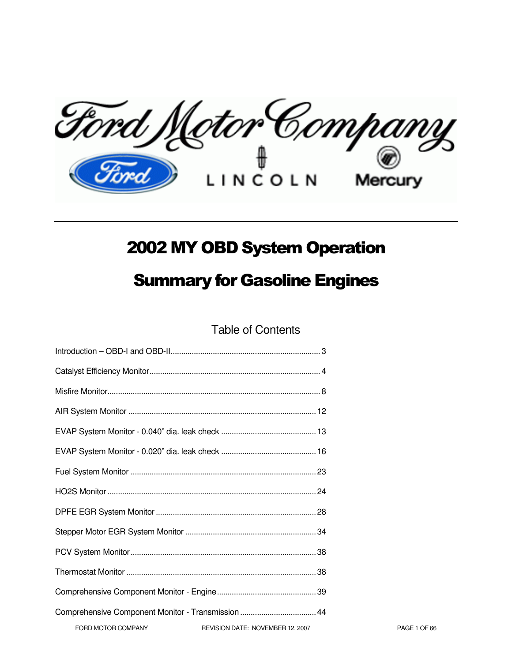Ford Motor Company Mercury

# 2002 MY OBD System Operation

# Summary for Gasoline Engines

Table of Contents

| Comprehensive Component Monitor - Transmission  44 |                                  |
|----------------------------------------------------|----------------------------------|
| FORD MOTOR COMPANY                                 | REVISION DATE: NOVEMBER 12, 2007 |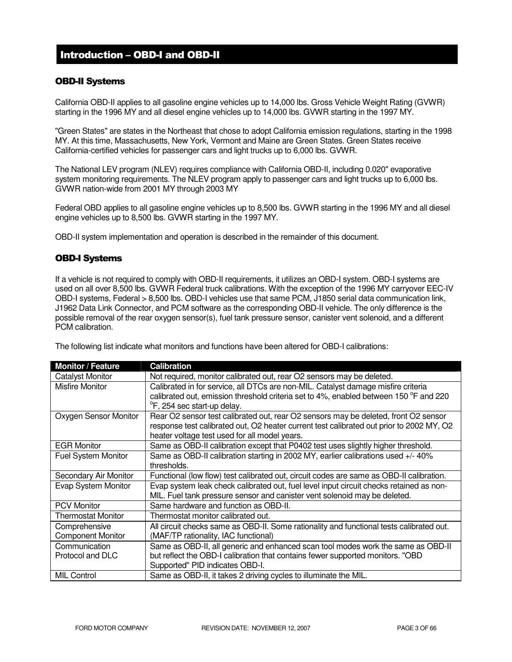# Introduction – OBD-I and OBD-II

# OBD-II Systems

California OBD-II applies to all gasoline engine vehicles up to 14,000 lbs. Gross Vehicle Weight Rating (GVWR) starting in the 1996 MY and all diesel engine vehicles up to 14,000 lbs. GVWR starting in the 1997 MY.

"Green States" are states in the Northeast that chose to adopt California emission regulations, starting in the 1998 MY. At this time, Massachusetts, New York, Vermont and Maine are Green States. Green States receive California-certified vehicles for passenger cars and light trucks up to 6,000 lbs. GVWR.

The National LEV program (NLEV) requires compliance with California OBD-II, including 0.020" evaporative system monitoring requirements. The NLEV program apply to passenger cars and light trucks up to 6,000 lbs. GVWR nation-wide from 2001 MY through 2003 MY

Federal OBD applies to all gasoline engine vehicles up to 8,500 lbs. GVWR starting in the 1996 MY and all diesel engine vehicles up to 8,500 lbs. GVWR starting in the 1997 MY.

OBD-II system implementation and operation is described in the remainder of this document.

## OBD-I Systems

If a vehicle is not required to comply with OBD-II requirements, it utilizes an OBD-I system. OBD-I systems are used on all over 8,500 lbs. GVWR Federal truck calibrations. With the exception of the 1996 MY carryover EEC-IV OBD-I systems, Federal > 8,500 lbs. OBD-I vehicles use that same PCM, J1850 serial data communication link, J1962 Data Link Connector, and PCM software as the corresponding OBD-II vehicle. The only difference is the possible removal of the rear oxygen sensor(s), fuel tank pressure sensor, canister vent solenoid, and a different PCM calibration.

The following list indicate what monitors and functions have been altered for OBD-I calibrations:

| <b>Monitor / Feature</b>   | <b>Calibration</b>                                                                                                                                                         |
|----------------------------|----------------------------------------------------------------------------------------------------------------------------------------------------------------------------|
| <b>Catalyst Monitor</b>    | Not required, monitor calibrated out, rear O2 sensors may be deleted.                                                                                                      |
| <b>Misfire Monitor</b>     | Calibrated in for service, all DTCs are non-MIL. Catalyst damage misfire criteria<br>calibrated out, emission threshold criteria set to 4%, enabled between 150 °F and 220 |
|                            | <sup>o</sup> F, 254 sec start-up delay.                                                                                                                                    |
| Oxygen Sensor Monitor      | Rear O2 sensor test calibrated out, rear O2 sensors may be deleted, front O2 sensor                                                                                        |
|                            | response test calibrated out, O2 heater current test calibrated out prior to 2002 MY, O2                                                                                   |
|                            | heater voltage test used for all model years.                                                                                                                              |
| <b>EGR Monitor</b>         | Same as OBD-II calibration except that P0402 test uses slightly higher threshold.                                                                                          |
| <b>Fuel System Monitor</b> | Same as OBD-II calibration starting in 2002 MY, earlier calibrations used +/- 40%<br>thresholds.                                                                           |
| Secondary Air Monitor      | Functional (low flow) test calibrated out, circuit codes are same as OBD-II calibration.                                                                                   |
| Evap System Monitor        | Evap system leak check calibrated out, fuel level input circuit checks retained as non-<br>MIL. Fuel tank pressure sensor and canister vent solenoid may be deleted.       |
| <b>PCV Monitor</b>         | Same hardware and function as OBD-II.                                                                                                                                      |
| <b>Thermostat Monitor</b>  | Thermostat monitor calibrated out.                                                                                                                                         |
| Comprehensive              | All circuit checks same as OBD-II. Some rationality and functional tests calibrated out.                                                                                   |
| <b>Component Monitor</b>   | (MAF/TP rationality, IAC functional)                                                                                                                                       |
| Communication              | Same as OBD-II, all generic and enhanced scan tool modes work the same as OBD-II                                                                                           |
| Protocol and DLC           | but reflect the OBD-I calibration that contains fewer supported monitors. "OBD                                                                                             |
|                            | Supported" PID indicates OBD-I.                                                                                                                                            |
| <b>MIL Control</b>         | Same as OBD-II, it takes 2 driving cycles to illuminate the MIL.                                                                                                           |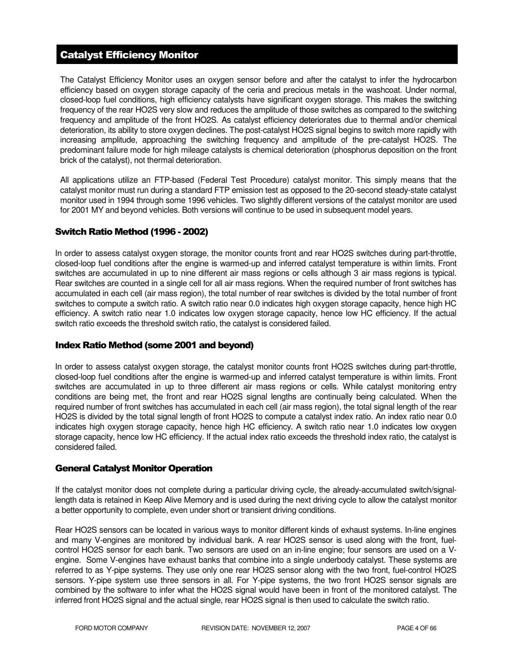# Catalyst Efficiency Monitor

The Catalyst Efficiency Monitor uses an oxygen sensor before and after the catalyst to infer the hydrocarbon efficiency based on oxygen storage capacity of the ceria and precious metals in the washcoat. Under normal, closed-loop fuel conditions, high efficiency catalysts have significant oxygen storage. This makes the switching frequency of the rear HO2S very slow and reduces the amplitude of those switches as compared to the switching frequency and amplitude of the front HO2S. As catalyst efficiency deteriorates due to thermal and/or chemical deterioration, its ability to store oxygen declines. The post-catalyst HO2S signal begins to switch more rapidly with increasing amplitude, approaching the switching frequency and amplitude of the pre-catalyst HO2S. The predominant failure mode for high mileage catalysts is chemical deterioration (phosphorus deposition on the front brick of the catalyst), not thermal deterioration.

All applications utilize an FTP-based (Federal Test Procedure) catalyst monitor. This simply means that the catalyst monitor must run during a standard FTP emission test as opposed to the 20-second steady-state catalyst monitor used in 1994 through some 1996 vehicles. Two slightly different versions of the catalyst monitor are used for 2001 MY and beyond vehicles. Both versions will continue to be used in subsequent model years.

# Switch Ratio Method (1996 - 2002)

In order to assess catalyst oxygen storage, the monitor counts front and rear HO2S switches during part-throttle, closed-loop fuel conditions after the engine is warmed-up and inferred catalyst temperature is within limits. Front switches are accumulated in up to nine different air mass regions or cells although 3 air mass regions is typical. Rear switches are counted in a single cell for all air mass regions. When the required number of front switches has accumulated in each cell (air mass region), the total number of rear switches is divided by the total number of front switches to compute a switch ratio. A switch ratio near 0.0 indicates high oxygen storage capacity, hence high HC efficiency. A switch ratio near 1.0 indicates low oxygen storage capacity, hence low HC efficiency. If the actual switch ratio exceeds the threshold switch ratio, the catalyst is considered failed.

# Index Ratio Method (some 2001 and beyond)

In order to assess catalyst oxygen storage, the catalyst monitor counts front HO2S switches during part-throttle, closed-loop fuel conditions after the engine is warmed-up and inferred catalyst temperature is within limits. Front switches are accumulated in up to three different air mass regions or cells. While catalyst monitoring entry conditions are being met, the front and rear HO2S signal lengths are continually being calculated. When the required number of front switches has accumulated in each cell (air mass region), the total signal length of the rear HO2S is divided by the total signal length of front HO2S to compute a catalyst index ratio. An index ratio near 0.0 indicates high oxygen storage capacity, hence high HC efficiency. A switch ratio near 1.0 indicates low oxygen storage capacity, hence low HC efficiency. If the actual index ratio exceeds the threshold index ratio, the catalyst is considered failed.

# General Catalyst Monitor Operation

If the catalyst monitor does not complete during a particular driving cycle, the already-accumulated switch/signallength data is retained in Keep Alive Memory and is used during the next driving cycle to allow the catalyst monitor a better opportunity to complete, even under short or transient driving conditions.

Rear HO2S sensors can be located in various ways to monitor different kinds of exhaust systems. In-line engines and many V-engines are monitored by individual bank. A rear HO2S sensor is used along with the front, fuelcontrol HO2S sensor for each bank. Two sensors are used on an in-line engine; four sensors are used on a Vengine. Some V-engines have exhaust banks that combine into a single underbody catalyst. These systems are referred to as Y-pipe systems. They use only one rear HO2S sensor along with the two front, fuel-control HO2S sensors. Y-pipe system use three sensors in all. For Y-pipe systems, the two front HO2S sensor signals are combined by the software to infer what the HO2S signal would have been in front of the monitored catalyst. The inferred front HO2S signal and the actual single, rear HO2S signal is then used to calculate the switch ratio.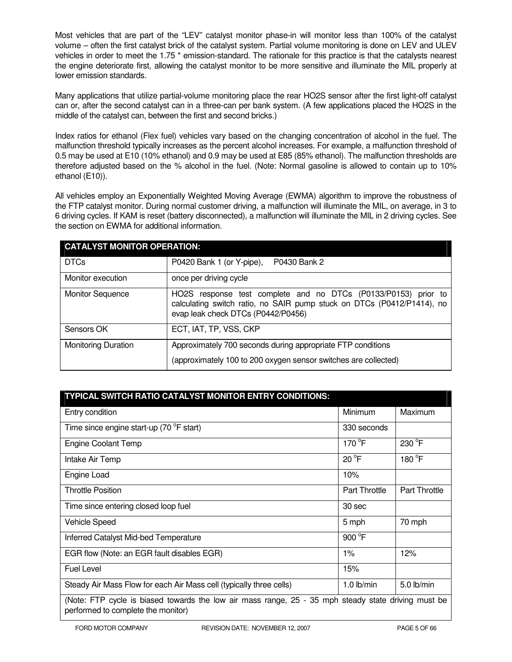Most vehicles that are part of the "LEV" catalyst monitor phase-in will monitor less than 100% of the catalyst volume – often the first catalyst brick of the catalyst system. Partial volume monitoring is done on LEV and ULEV vehicles in order to meet the 1.75<sup>\*</sup> emission-standard. The rationale for this practice is that the catalysts nearest the engine deteriorate first, allowing the catalyst monitor to be more sensitive and illuminate the MIL properly at lower emission standards.

Many applications that utilize partial-volume monitoring place the rear HO2S sensor after the first light-off catalyst can or, after the second catalyst can in a three-can per bank system. (A few applications placed the HO2S in the middle of the catalyst can, between the first and second bricks.)

Index ratios for ethanol (Flex fuel) vehicles vary based on the changing concentration of alcohol in the fuel. The malfunction threshold typically increases as the percent alcohol increases. For example, a malfunction threshold of 0.5 may be used at E10 (10% ethanol) and 0.9 may be used at E85 (85% ethanol). The malfunction thresholds are therefore adjusted based on the % alcohol in the fuel. (Note: Normal gasoline is allowed to contain up to 10% ethanol (E10)).

All vehicles employ an Exponentially Weighted Moving Average (EWMA) algorithm to improve the robustness of the FTP catalyst monitor. During normal customer driving, a malfunction will illuminate the MIL, on average, in 3 to 6 driving cycles. If KAM is reset (battery disconnected), a malfunction will illuminate the MIL in 2 driving cycles. See the section on EWMA for additional information.

| <b>CATALYST MONITOR OPERATION:</b> |                                                                                                                                                                                |  |
|------------------------------------|--------------------------------------------------------------------------------------------------------------------------------------------------------------------------------|--|
| <b>DTCs</b>                        | P0430 Bank 2<br>P0420 Bank 1 (or Y-pipe),                                                                                                                                      |  |
| Monitor execution                  | once per driving cycle                                                                                                                                                         |  |
| <b>Monitor Sequence</b>            | HO2S response test complete and no DTCs (P0133/P0153) prior to<br>calculating switch ratio, no SAIR pump stuck on DTCs (P0412/P1414), no<br>evap leak check DTCs (P0442/P0456) |  |
| Sensors OK                         | ECT, IAT, TP, VSS, CKP                                                                                                                                                         |  |
| <b>Monitoring Duration</b>         | Approximately 700 seconds during appropriate FTP conditions<br>(approximately 100 to 200 oxygen sensor switches are collected)                                                 |  |

| TYPICAL SWITCH RATIO CATALYST MONITOR ENTRY CONDITIONS:                                                                                   |                      |                      |  |
|-------------------------------------------------------------------------------------------------------------------------------------------|----------------------|----------------------|--|
| Entry condition                                                                                                                           | <b>Minimum</b>       | Maximum              |  |
| Time since engine start-up (70 °F start)                                                                                                  | 330 seconds          |                      |  |
| <b>Engine Coolant Temp</b>                                                                                                                | 170 $\degree$ F      | 230 °F               |  |
| Intake Air Temp                                                                                                                           | $20^{\circ}$ F       | 180 °F               |  |
| Engine Load                                                                                                                               | 10%                  |                      |  |
| <b>Throttle Position</b>                                                                                                                  | <b>Part Throttle</b> | <b>Part Throttle</b> |  |
| Time since entering closed loop fuel                                                                                                      | 30 sec               |                      |  |
| <b>Vehicle Speed</b>                                                                                                                      | 5 mph                | 70 mph               |  |
| Inferred Catalyst Mid-bed Temperature                                                                                                     | 900 °F               |                      |  |
| EGR flow (Note: an EGR fault disables EGR)                                                                                                | $1\%$                | 12%                  |  |
| <b>Fuel Level</b>                                                                                                                         | 15%                  |                      |  |
| Steady Air Mass Flow for each Air Mass cell (typically three cells)                                                                       | $1.0$ lb/min         | $5.0$ lb/min         |  |
| (Note: FTP cycle is biased towards the low air mass range, 25 - 35 mph steady state driving must be<br>performed to complete the monitor) |                      |                      |  |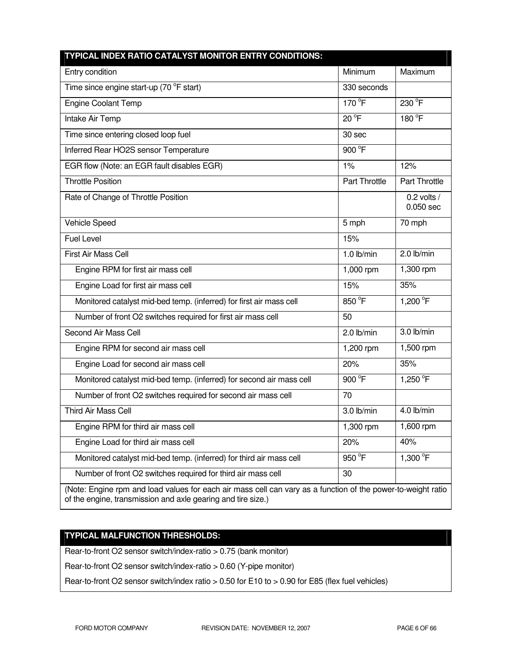| TYPICAL INDEX RATIO CATALYST MONITOR ENTRY CONDITIONS:                                                                                                                       |                |                            |
|------------------------------------------------------------------------------------------------------------------------------------------------------------------------------|----------------|----------------------------|
| Entry condition                                                                                                                                                              | Minimum        | Maximum                    |
| Time since engine start-up (70 °F start)                                                                                                                                     | 330 seconds    |                            |
| <b>Engine Coolant Temp</b>                                                                                                                                                   | 170 °F         | 230 °F                     |
| Intake Air Temp                                                                                                                                                              | $20^{\circ}$ F | 180 °F                     |
| Time since entering closed loop fuel                                                                                                                                         | 30 sec         |                            |
| Inferred Rear HO2S sensor Temperature                                                                                                                                        | 900 °F         |                            |
| EGR flow (Note: an EGR fault disables EGR)                                                                                                                                   | $1\%$          | 12%                        |
| <b>Throttle Position</b>                                                                                                                                                     | Part Throttle  | Part Throttle              |
| Rate of Change of Throttle Position                                                                                                                                          |                | $0.2$ volts /<br>0.050 sec |
| Vehicle Speed                                                                                                                                                                | 5 mph          | 70 mph                     |
| <b>Fuel Level</b>                                                                                                                                                            | 15%            |                            |
| First Air Mass Cell                                                                                                                                                          | $1.0$ lb/min   | 2.0 lb/min                 |
| Engine RPM for first air mass cell                                                                                                                                           | 1,000 rpm      | 1,300 rpm                  |
| Engine Load for first air mass cell                                                                                                                                          | 15%            | 35%                        |
| Monitored catalyst mid-bed temp. (inferred) for first air mass cell                                                                                                          | 850 °F         | 1,200 °F                   |
| Number of front O2 switches required for first air mass cell                                                                                                                 | 50             |                            |
| Second Air Mass Cell                                                                                                                                                         | $2.0$ lb/min   | 3.0 lb/min                 |
| Engine RPM for second air mass cell                                                                                                                                          | 1,200 rpm      | 1,500 rpm                  |
| Engine Load for second air mass cell                                                                                                                                         | 20%            | 35%                        |
| Monitored catalyst mid-bed temp. (inferred) for second air mass cell                                                                                                         | 900 °F         | 1,250 °F                   |
| Number of front O2 switches required for second air mass cell                                                                                                                | 70             |                            |
| Third Air Mass Cell                                                                                                                                                          | $3.0$ lb/min   | 4.0 lb/min                 |
| Engine RPM for third air mass cell                                                                                                                                           | 1,300 rpm      | $\overline{1,}600$ rpm     |
| Engine Load for third air mass cell                                                                                                                                          | 20%            | 40%                        |
| Monitored catalyst mid-bed temp. (inferred) for third air mass cell                                                                                                          | 950 °F         | 1,300 °F                   |
| Number of front O2 switches required for third air mass cell                                                                                                                 | 30             |                            |
| (Note: Engine rpm and load values for each air mass cell can vary as a function of the power-to-weight ratio<br>of the engine, transmission and axle gearing and tire size.) |                |                            |

# **TYPICAL MALFUNCTION THRESHOLDS:**

Rear-to-front O2 sensor switch/index-ratio > 0.75 (bank monitor)

Rear-to-front O2 sensor switch/index-ratio > 0.60 (Y-pipe monitor)

Rear-to-front O2 sensor switch/index ratio > 0.50 for E10 to > 0.90 for E85 (flex fuel vehicles)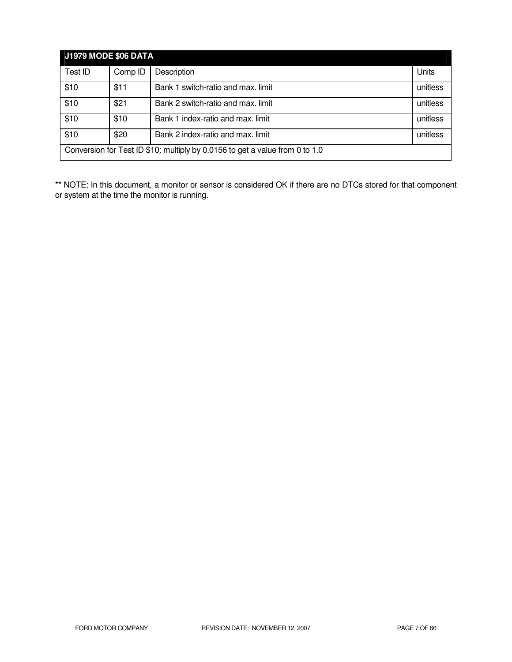| <b>J1979 MODE \$06 DATA</b>                                                  |         |                                    |          |
|------------------------------------------------------------------------------|---------|------------------------------------|----------|
| Test ID                                                                      | Comp ID | Description                        | Units    |
| \$10                                                                         | \$11    | Bank 1 switch-ratio and max. limit | unitless |
| \$10                                                                         | \$21    | Bank 2 switch-ratio and max. limit | unitless |
| \$10                                                                         | \$10    | Bank 1 index-ratio and max. limit  | unitless |
| \$10                                                                         | \$20    | Bank 2 index-ratio and max. limit  | unitless |
| Conversion for Test ID \$10: multiply by 0.0156 to get a value from 0 to 1.0 |         |                                    |          |

\*\* NOTE: In this document, a monitor or sensor is considered OK if there are no DTCs stored for that component or system at the time the monitor is running.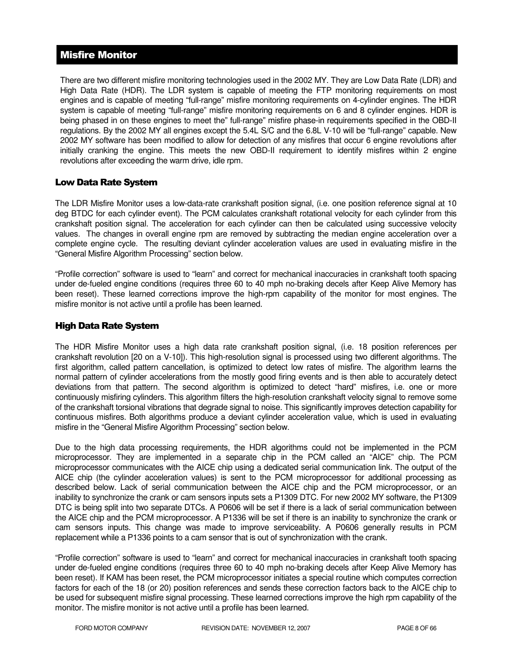# Misfire Monitor

There are two different misfire monitoring technologies used in the 2002 MY. They are Low Data Rate (LDR) and High Data Rate (HDR). The LDR system is capable of meeting the FTP monitoring requirements on most engines and is capable of meeting "full-range" misfire monitoring requirements on 4-cylinder engines. The HDR system is capable of meeting "full-range" misfire monitoring requirements on 6 and 8 cylinder engines. HDR is being phased in on these engines to meet the" full-range" misfire phase-in requirements specified in the OBD-II regulations. By the 2002 MY all engines except the 5.4L S/C and the 6.8L V-10 will be "full-range" capable. New 2002 MY software has been modified to allow for detection of any misfires that occur 6 engine revolutions after initially cranking the engine. This meets the new OBD-II requirement to identify misfires within 2 engine revolutions after exceeding the warm drive, idle rpm.

# Low Data Rate System

The LDR Misfire Monitor uses a low-data-rate crankshaft position signal, (i.e. one position reference signal at 10 deg BTDC for each cylinder event). The PCM calculates crankshaft rotational velocity for each cylinder from this crankshaft position signal. The acceleration for each cylinder can then be calculated using successive velocity values. The changes in overall engine rpm are removed by subtracting the median engine acceleration over a complete engine cycle. The resulting deviant cylinder acceleration values are used in evaluating misfire in the "General Misfire Algorithm Processing" section below.

"Profile correction" software is used to "learn" and correct for mechanical inaccuracies in crankshaft tooth spacing under de-fueled engine conditions (requires three 60 to 40 mph no-braking decels after Keep Alive Memory has been reset). These learned corrections improve the high-rpm capability of the monitor for most engines. The misfire monitor is not active until a profile has been learned.

# High Data Rate System

The HDR Misfire Monitor uses a high data rate crankshaft position signal, (i.e. 18 position references per crankshaft revolution [20 on a V-10]). This high-resolution signal is processed using two different algorithms. The first algorithm, called pattern cancellation, is optimized to detect low rates of misfire. The algorithm learns the normal pattern of cylinder accelerations from the mostly good firing events and is then able to accurately detect deviations from that pattern. The second algorithm is optimized to detect "hard" misfires, i.e. one or more continuously misfiring cylinders. This algorithm filters the high-resolution crankshaft velocity signal to remove some of the crankshaft torsional vibrations that degrade signal to noise. This significantly improves detection capability for continuous misfires. Both algorithms produce a deviant cylinder acceleration value, which is used in evaluating misfire in the "General Misfire Algorithm Processing" section below.

Due to the high data processing requirements, the HDR algorithms could not be implemented in the PCM microprocessor. They are implemented in a separate chip in the PCM called an "AICE" chip. The PCM microprocessor communicates with the AICE chip using a dedicated serial communication link. The output of the AICE chip (the cylinder acceleration values) is sent to the PCM microprocessor for additional processing as described below. Lack of serial communication between the AICE chip and the PCM microprocessor, or an inability to synchronize the crank or cam sensors inputs sets a P1309 DTC. For new 2002 MY software, the P1309 DTC is being split into two separate DTCs. A P0606 will be set if there is a lack of serial communication between the AICE chip and the PCM microprocessor. A P1336 will be set if there is an inability to synchronize the crank or cam sensors inputs. This change was made to improve serviceability. A P0606 generally results in PCM replacement while a P1336 points to a cam sensor that is out of synchronization with the crank.

"Profile correction" software is used to "learn" and correct for mechanical inaccuracies in crankshaft tooth spacing under de-fueled engine conditions (requires three 60 to 40 mph no-braking decels after Keep Alive Memory has been reset). If KAM has been reset, the PCM microprocessor initiates a special routine which computes correction factors for each of the 18 (or 20) position references and sends these correction factors back to the AICE chip to be used for subsequent misfire signal processing. These learned corrections improve the high rpm capability of the monitor. The misfire monitor is not active until a profile has been learned.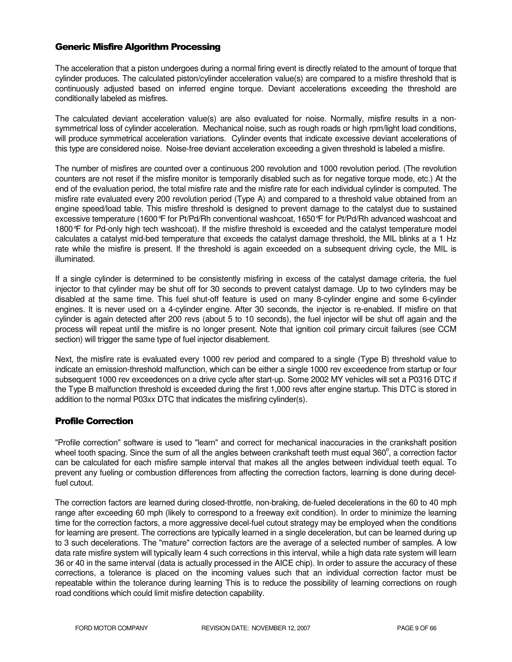# Generic Misfire Algorithm Processing

The acceleration that a piston undergoes during a normal firing event is directly related to the amount of torque that cylinder produces. The calculated piston/cylinder acceleration value(s) are compared to a misfire threshold that is continuously adjusted based on inferred engine torque. Deviant accelerations exceeding the threshold are conditionally labeled as misfires.

The calculated deviant acceleration value(s) are also evaluated for noise. Normally, misfire results in a nonsymmetrical loss of cylinder acceleration. Mechanical noise, such as rough roads or high rpm/light load conditions, will produce symmetrical acceleration variations. Cylinder events that indicate excessive deviant accelerations of this type are considered noise. Noise-free deviant acceleration exceeding a given threshold is labeled a misfire.

The number of misfires are counted over a continuous 200 revolution and 1000 revolution period. (The revolution counters are not reset if the misfire monitor is temporarily disabled such as for negative torque mode, etc.) At the end of the evaluation period, the total misfire rate and the misfire rate for each individual cylinder is computed. The misfire rate evaluated every 200 revolution period (Type A) and compared to a threshold value obtained from an engine speed/load table. This misfire threshold is designed to prevent damage to the catalyst due to sustained excessive temperature (1600°F for Pt/Pd/Rh conventional washcoat, 1650°F for Pt/Pd/Rh advanced washcoat and 1800°F for Pd-only high tech washcoat). If the misfire threshold is exceeded and the catalyst temperature model calculates a catalyst mid-bed temperature that exceeds the catalyst damage threshold, the MIL blinks at a 1 Hz rate while the misfire is present. If the threshold is again exceeded on a subsequent driving cycle, the MIL is illuminated.

If a single cylinder is determined to be consistently misfiring in excess of the catalyst damage criteria, the fuel injector to that cylinder may be shut off for 30 seconds to prevent catalyst damage. Up to two cylinders may be disabled at the same time. This fuel shut-off feature is used on many 8-cylinder engine and some 6-cylinder engines. It is never used on a 4-cylinder engine. After 30 seconds, the injector is re-enabled. If misfire on that cylinder is again detected after 200 revs (about 5 to 10 seconds), the fuel injector will be shut off again and the process will repeat until the misfire is no longer present. Note that ignition coil primary circuit failures (see CCM section) will trigger the same type of fuel injector disablement.

Next, the misfire rate is evaluated every 1000 rev period and compared to a single (Type B) threshold value to indicate an emission-threshold malfunction, which can be either a single 1000 rev exceedence from startup or four subsequent 1000 rev exceedences on a drive cycle after start-up. Some 2002 MY vehicles will set a P0316 DTC if the Type B malfunction threshold is exceeded during the first 1,000 revs after engine startup. This DTC is stored in addition to the normal P03xx DTC that indicates the misfiring cylinder(s).

# Profile Correction

"Profile correction" software is used to "learn" and correct for mechanical inaccuracies in the crankshaft position wheel tooth spacing. Since the sum of all the angles between crankshaft teeth must equal 360 $^{\circ}$ , a correction factor can be calculated for each misfire sample interval that makes all the angles between individual teeth equal. To prevent any fueling or combustion differences from affecting the correction factors, learning is done during decelfuel cutout.

The correction factors are learned during closed-throttle, non-braking, de-fueled decelerations in the 60 to 40 mph range after exceeding 60 mph (likely to correspond to a freeway exit condition). In order to minimize the learning time for the correction factors, a more aggressive decel-fuel cutout strategy may be employed when the conditions for learning are present. The corrections are typically learned in a single deceleration, but can be learned during up to 3 such decelerations. The "mature" correction factors are the average of a selected number of samples. A low data rate misfire system will typically learn 4 such corrections in this interval, while a high data rate system will learn 36 or 40 in the same interval (data is actually processed in the AICE chip). In order to assure the accuracy of these corrections, a tolerance is placed on the incoming values such that an individual correction factor must be repeatable within the tolerance during learning This is to reduce the possibility of learning corrections on rough road conditions which could limit misfire detection capability.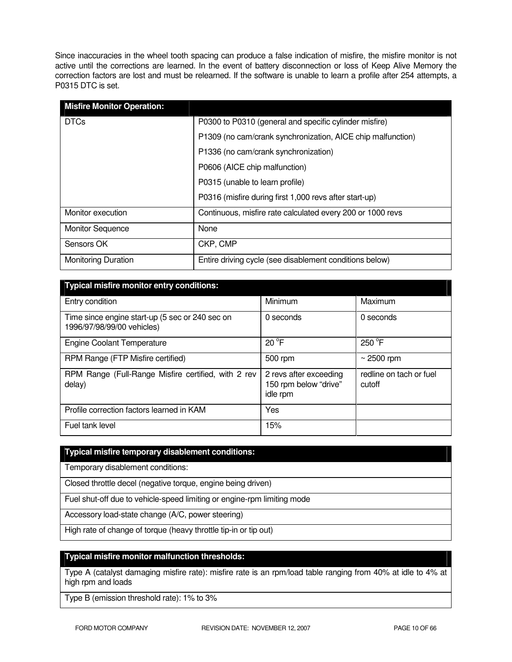Since inaccuracies in the wheel tooth spacing can produce a false indication of misfire, the misfire monitor is not active until the corrections are learned. In the event of battery disconnection or loss of Keep Alive Memory the correction factors are lost and must be relearned. If the software is unable to learn a profile after 254 attempts, a P0315 DTC is set.

| <b>Misfire Monitor Operation:</b> |                                                             |
|-----------------------------------|-------------------------------------------------------------|
| <b>DTCs</b>                       | P0300 to P0310 (general and specific cylinder misfire)      |
|                                   | P1309 (no cam/crank synchronization, AICE chip malfunction) |
|                                   | P1336 (no cam/crank synchronization)                        |
|                                   | P0606 (AICE chip malfunction)                               |
|                                   | P0315 (unable to learn profile)                             |
|                                   | P0316 (misfire during first 1,000 revs after start-up)      |
| Monitor execution                 | Continuous, misfire rate calculated every 200 or 1000 revs  |
| <b>Monitor Sequence</b>           | None                                                        |
| Sensors OK                        | CKP, CMP                                                    |
| <b>Monitoring Duration</b>        | Entire driving cycle (see disablement conditions below)     |

| <b>Typical misfire monitor entry conditions:</b>                              |                                                             |                                   |  |  |
|-------------------------------------------------------------------------------|-------------------------------------------------------------|-----------------------------------|--|--|
| Entry condition                                                               | Minimum                                                     | Maximum                           |  |  |
| Time since engine start-up (5 sec or 240 sec on<br>1996/97/98/99/00 vehicles) | 0 seconds                                                   | 0 seconds                         |  |  |
| <b>Engine Coolant Temperature</b>                                             | $20^{\circ}$ F                                              | $250^{\circ}$ F                   |  |  |
| RPM Range (FTP Misfire certified)                                             | 500 rpm                                                     | $\sim$ 2500 rpm                   |  |  |
| RPM Range (Full-Range Misfire certified, with 2 rev<br>delay)                 | 2 revs after exceeding<br>150 rpm below "drive"<br>idle rpm | redline on tach or fuel<br>cutoff |  |  |
| Profile correction factors learned in KAM                                     | Yes                                                         |                                   |  |  |
| Fuel tank level                                                               | 15%                                                         |                                   |  |  |

# **Typical misfire temporary disablement conditions:**

Temporary disablement conditions:

Closed throttle decel (negative torque, engine being driven)

Fuel shut-off due to vehicle-speed limiting or engine-rpm limiting mode

Accessory load-state change (A/C, power steering)

High rate of change of torque (heavy throttle tip-in or tip out)

## **Typical misfire monitor malfunction thresholds:**

Type A (catalyst damaging misfire rate): misfire rate is an rpm/load table ranging from 40% at idle to 4% at high rpm and loads

Type B (emission threshold rate): 1% to 3%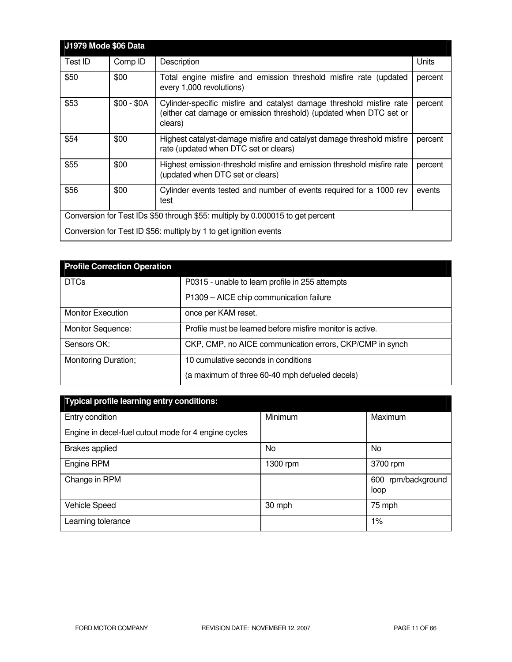| <b>J1979 Mode \$06 Data</b>                                                    |             |                                                                                                                                                       |         |
|--------------------------------------------------------------------------------|-------------|-------------------------------------------------------------------------------------------------------------------------------------------------------|---------|
| Test ID                                                                        | Comp ID     | Description                                                                                                                                           | Units   |
| \$50                                                                           | \$00        | Total engine misfire and emission threshold misfire rate (updated<br>every 1,000 revolutions)                                                         | percent |
| \$53                                                                           | $$00 - $0A$ | Cylinder-specific misfire and catalyst damage threshold misfire rate<br>(either cat damage or emission threshold) (updated when DTC set or<br>clears) | percent |
| \$54                                                                           | \$00        | Highest catalyst-damage misfire and catalyst damage threshold misfire<br>rate (updated when DTC set or clears)                                        | percent |
| \$55                                                                           | \$00        | Highest emission-threshold misfire and emission threshold misfire rate<br>(updated when DTC set or clears)                                            | percent |
| \$56                                                                           | \$00        | Cylinder events tested and number of events required for a 1000 rev<br>test                                                                           | events  |
| Conversion for Test IDs \$50 through \$55: multiply by 0.000015 to get percent |             |                                                                                                                                                       |         |
| Conversion for Test ID \$56: multiply by 1 to get ignition events              |             |                                                                                                                                                       |         |

| <b>Profile Correction Operation</b> |                                                           |
|-------------------------------------|-----------------------------------------------------------|
| <b>DTCs</b>                         | P0315 - unable to learn profile in 255 attempts           |
|                                     | P1309 - AICE chip communication failure                   |
| <b>Monitor Execution</b>            | once per KAM reset.                                       |
| Monitor Sequence:                   | Profile must be learned before misfire monitor is active. |
| Sensors OK:                         | CKP, CMP, no AICE communication errors, CKP/CMP in synch  |
| Monitoring Duration;                | 10 cumulative seconds in conditions                       |
|                                     | (a maximum of three 60-40 mph defueled decels)            |

| <b>Typical profile learning entry conditions:</b>    |          |                            |  |  |
|------------------------------------------------------|----------|----------------------------|--|--|
| Entry condition                                      | Minimum  | Maximum                    |  |  |
| Engine in decel-fuel cutout mode for 4 engine cycles |          |                            |  |  |
| <b>Brakes applied</b>                                | No.      | No                         |  |  |
| Engine RPM                                           | 1300 rpm | 3700 rpm                   |  |  |
| Change in RPM                                        |          | 600 rpm/background<br>loop |  |  |
| <b>Vehicle Speed</b>                                 | 30 mph   | 75 mph                     |  |  |
| Learning tolerance                                   |          | $1\%$                      |  |  |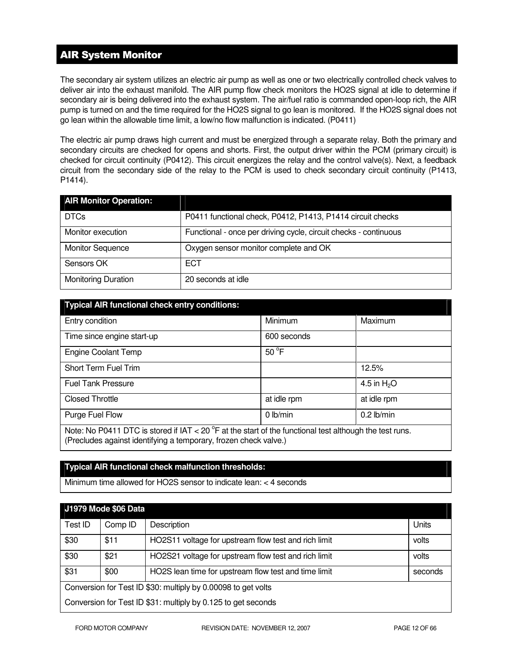# AIR System Monitor

The secondary air system utilizes an electric air pump as well as one or two electrically controlled check valves to deliver air into the exhaust manifold. The AIR pump flow check monitors the HO2S signal at idle to determine if secondary air is being delivered into the exhaust system. The air/fuel ratio is commanded open-loop rich, the AIR pump is turned on and the time required for the HO2S signal to go lean is monitored. If the HO2S signal does not go lean within the allowable time limit, a low/no flow malfunction is indicated. (P0411)

The electric air pump draws high current and must be energized through a separate relay. Both the primary and secondary circuits are checked for opens and shorts. First, the output driver within the PCM (primary circuit) is checked for circuit continuity (P0412). This circuit energizes the relay and the control valve(s). Next, a feedback circuit from the secondary side of the relay to the PCM is used to check secondary circuit continuity (P1413, P1414).

| <b>AIR Monitor Operation:</b> |                                                                  |
|-------------------------------|------------------------------------------------------------------|
| <b>DTCs</b>                   | P0411 functional check, P0412, P1413, P1414 circuit checks       |
| Monitor execution             | Functional - once per driving cycle, circuit checks - continuous |
| <b>Monitor Sequence</b>       | Oxygen sensor monitor complete and OK                            |
| Sensors OK                    | <b>ECT</b>                                                       |
| <b>Monitoring Duration</b>    | 20 seconds at idle                                               |

| <b>Typical AIR functional check entry conditions:</b>                                                                                                                                 |                |              |  |  |
|---------------------------------------------------------------------------------------------------------------------------------------------------------------------------------------|----------------|--------------|--|--|
| Entry condition                                                                                                                                                                       | Minimum        | Maximum      |  |  |
| Time since engine start-up                                                                                                                                                            | 600 seconds    |              |  |  |
| <b>Engine Coolant Temp</b>                                                                                                                                                            | $50^{\circ}$ F |              |  |  |
| Short Term Fuel Trim                                                                                                                                                                  |                | 12.5%        |  |  |
| <b>Fuel Tank Pressure</b>                                                                                                                                                             |                | 4.5 in $H2O$ |  |  |
| <b>Closed Throttle</b>                                                                                                                                                                | at idle rpm    | at idle rpm  |  |  |
| Purge Fuel Flow                                                                                                                                                                       | 0 lb/min       | $0.2$ lb/min |  |  |
| Note: No P0411 DTC is stored if IAT < 20 $^{\circ}$ F at the start of the functional test although the test runs.<br>(Precludes against identifying a temporary, frozen check valve.) |                |              |  |  |

# **Typical AIR functional check malfunction thresholds:**

Minimum time allowed for HO2S sensor to indicate lean: < 4 seconds

| <b>J1979 Mode \$06 Data</b>                                   |         |                                                      |         |  |
|---------------------------------------------------------------|---------|------------------------------------------------------|---------|--|
| Test ID                                                       | Comp ID | Description                                          | Units   |  |
| \$30                                                          | \$11    | HO2S11 voltage for upstream flow test and rich limit | volts   |  |
| \$30                                                          | \$21    | HO2S21 voltage for upstream flow test and rich limit | volts   |  |
| \$31                                                          | \$00    | HO2S lean time for upstream flow test and time limit | seconds |  |
| Conversion for Test ID \$30: multiply by 0.00098 to get volts |         |                                                      |         |  |
| Conversion for Test ID \$31: multiply by 0.125 to get seconds |         |                                                      |         |  |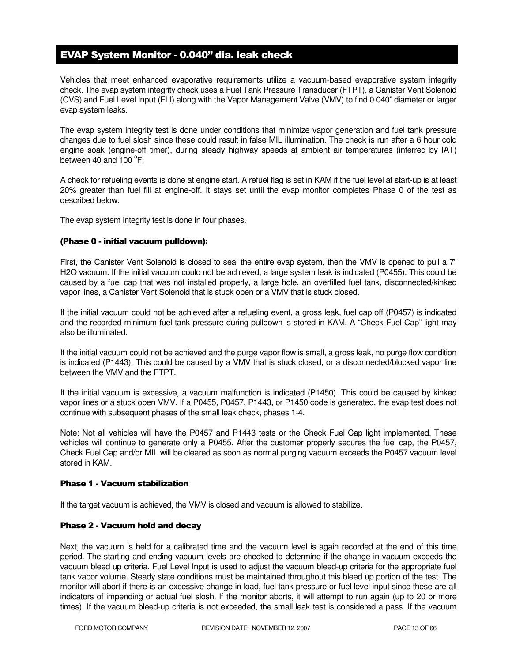# EVAP System Monitor - 0.040" dia. leak check

Vehicles that meet enhanced evaporative requirements utilize a vacuum-based evaporative system integrity check. The evap system integrity check uses a Fuel Tank Pressure Transducer (FTPT), a Canister Vent Solenoid (CVS) and Fuel Level Input (FLI) along with the Vapor Management Valve (VMV) to find 0.040" diameter or larger evap system leaks.

The evap system integrity test is done under conditions that minimize vapor generation and fuel tank pressure changes due to fuel slosh since these could result in false MIL illumination. The check is run after a 6 hour cold engine soak (engine-off timer), during steady highway speeds at ambient air temperatures (inferred by IAT) between 40 and  $100^{\circ}$ F.

A check for refueling events is done at engine start. A refuel flag is set in KAM if the fuel level at start-up is at least 20% greater than fuel fill at engine-off. It stays set until the evap monitor completes Phase 0 of the test as described below.

The evap system integrity test is done in four phases.

## (Phase 0 - initial vacuum pulldown):

First, the Canister Vent Solenoid is closed to seal the entire evap system, then the VMV is opened to pull a 7" H2O vacuum. If the initial vacuum could not be achieved, a large system leak is indicated (P0455). This could be caused by a fuel cap that was not installed properly, a large hole, an overfilled fuel tank, disconnected/kinked vapor lines, a Canister Vent Solenoid that is stuck open or a VMV that is stuck closed.

If the initial vacuum could not be achieved after a refueling event, a gross leak, fuel cap off (P0457) is indicated and the recorded minimum fuel tank pressure during pulldown is stored in KAM. A "Check Fuel Cap" light may also be illuminated.

If the initial vacuum could not be achieved and the purge vapor flow is small, a gross leak, no purge flow condition is indicated (P1443). This could be caused by a VMV that is stuck closed, or a disconnected/blocked vapor line between the VMV and the FTPT.

If the initial vacuum is excessive, a vacuum malfunction is indicated (P1450). This could be caused by kinked vapor lines or a stuck open VMV. If a P0455, P0457, P1443, or P1450 code is generated, the evap test does not continue with subsequent phases of the small leak check, phases 1-4.

Note: Not all vehicles will have the P0457 and P1443 tests or the Check Fuel Cap light implemented. These vehicles will continue to generate only a P0455. After the customer properly secures the fuel cap, the P0457, Check Fuel Cap and/or MIL will be cleared as soon as normal purging vacuum exceeds the P0457 vacuum level stored in KAM.

## Phase 1 - Vacuum stabilization

If the target vacuum is achieved, the VMV is closed and vacuum is allowed to stabilize.

## Phase 2 - Vacuum hold and decay

Next, the vacuum is held for a calibrated time and the vacuum level is again recorded at the end of this time period. The starting and ending vacuum levels are checked to determine if the change in vacuum exceeds the vacuum bleed up criteria. Fuel Level Input is used to adjust the vacuum bleed-up criteria for the appropriate fuel tank vapor volume. Steady state conditions must be maintained throughout this bleed up portion of the test. The monitor will abort if there is an excessive change in load, fuel tank pressure or fuel level input since these are all indicators of impending or actual fuel slosh. If the monitor aborts, it will attempt to run again (up to 20 or more times). If the vacuum bleed-up criteria is not exceeded, the small leak test is considered a pass. If the vacuum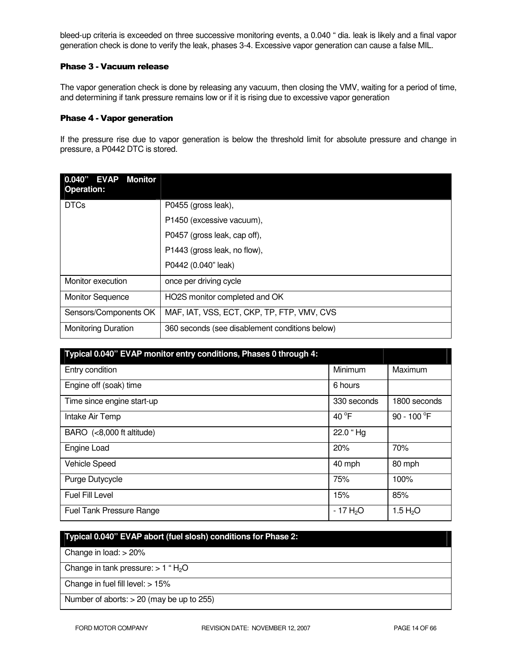bleed-up criteria is exceeded on three successive monitoring events, a 0.040 " dia. leak is likely and a final vapor generation check is done to verify the leak, phases 3-4. Excessive vapor generation can cause a false MIL.

## Phase 3 - Vacuum release

The vapor generation check is done by releasing any vacuum, then closing the VMV, waiting for a period of time, and determining if tank pressure remains low or if it is rising due to excessive vapor generation

#### Phase 4 - Vapor generation

If the pressure rise due to vapor generation is below the threshold limit for absolute pressure and change in pressure, a P0442 DTC is stored.

| $0.040"$ EVAP<br><b>Monitor</b><br><b>Operation:</b> |                                                |
|------------------------------------------------------|------------------------------------------------|
| <b>DTCs</b>                                          | P0455 (gross leak),                            |
|                                                      | P1450 (excessive vacuum),                      |
|                                                      | P0457 (gross leak, cap off),                   |
|                                                      | P1443 (gross leak, no flow),                   |
|                                                      | P0442 (0.040" leak)                            |
| Monitor execution                                    | once per driving cycle                         |
| <b>Monitor Sequence</b>                              | HO2S monitor completed and OK                  |
| Sensors/Components OK                                | MAF, IAT, VSS, ECT, CKP, TP, FTP, VMV, CVS     |
| <b>Monitoring Duration</b>                           | 360 seconds (see disablement conditions below) |

| Typical 0.040" EVAP monitor entry conditions, Phases 0 through 4: |                 |                       |
|-------------------------------------------------------------------|-----------------|-----------------------|
| Entry condition                                                   | Minimum         | Maximum               |
| Engine off (soak) time                                            | 6 hours         |                       |
| Time since engine start-up                                        | 330 seconds     | 1800 seconds          |
| Intake Air Temp                                                   | 40 $^{\circ}$ F | 90 - 100 $^{\circ}$ F |
| BARO (<8,000 ft altitude)                                         | 22.0 "Hg        |                       |
| Engine Load                                                       | 20%             | 70%                   |
| <b>Vehicle Speed</b>                                              | 40 mph          | 80 mph                |
| Purge Dutycycle                                                   | 75%             | 100%                  |
| Fuel Fill Level                                                   | 15%             | 85%                   |
| <b>Fuel Tank Pressure Range</b>                                   | $-17H2O$        | 1.5 H <sub>2</sub> O  |

# **Typical 0.040" EVAP abort (fuel slosh) conditions for Phase 2:**  Change in load: > 20% Change in tank pressure:  $> 1$  " H<sub>2</sub>O Change in fuel fill level: > 15% Number of aborts: > 20 (may be up to 255)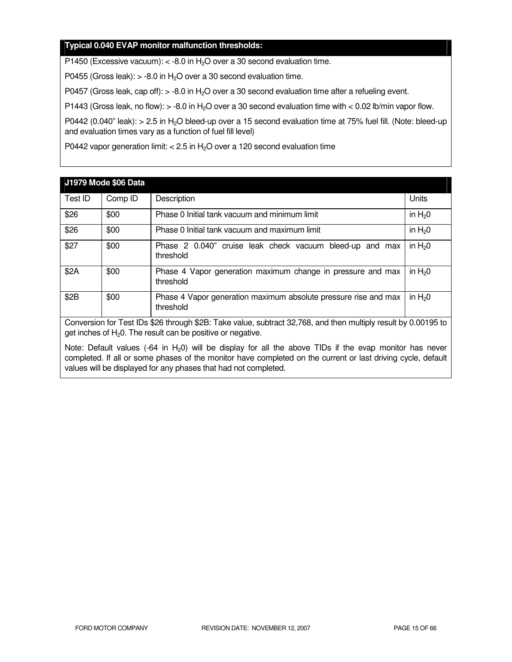## **Typical 0.040 EVAP monitor malfunction thresholds:**

P1450 (Excessive vacuum):  $<$  -8.0 in H<sub>2</sub>O over a 30 second evaluation time.

P0455 (Gross leak):  $> -8.0$  in H<sub>2</sub>O over a 30 second evaluation time.

P0457 (Gross leak, cap off):  $>$  -8.0 in H<sub>2</sub>O over a 30 second evaluation time after a refueling event.

P1443 (Gross leak, no flow):  $> -8.0$  in H<sub>2</sub>O over a 30 second evaluation time with  $< 0.02$  lb/min vapor flow.

P0442 (0.040" leak): > 2.5 in H<sub>2</sub>O bleed-up over a 15 second evaluation time at 75% fuel fill. (Note: bleed-up and evaluation times vary as a function of fuel fill level)

P0442 vapor generation limit:  $<$  2.5 in H<sub>2</sub>O over a 120 second evaluation time

|                                                                                                                                                                                  | <b>J1979 Mode \$06 Data</b> |                                                                              |          |
|----------------------------------------------------------------------------------------------------------------------------------------------------------------------------------|-----------------------------|------------------------------------------------------------------------------|----------|
| Test ID                                                                                                                                                                          | Comp ID                     | Description                                                                  | Units    |
| \$26                                                                                                                                                                             | \$00                        | Phase 0 Initial tank vacuum and minimum limit                                | in $H20$ |
| \$26                                                                                                                                                                             | \$00                        | Phase 0 Initial tank vacuum and maximum limit                                | in $H20$ |
| \$27                                                                                                                                                                             | \$00                        | Phase 2 0.040" cruise leak check vacuum bleed-up and max<br>threshold        | in $H20$ |
| \$2A                                                                                                                                                                             | \$00                        | Phase 4 Vapor generation maximum change in pressure and max<br>threshold     | in $H20$ |
| \$2B                                                                                                                                                                             | \$00                        | Phase 4 Vapor generation maximum absolute pressure rise and max<br>threshold | in $H20$ |
| Conversion for Test IDs \$26 through \$2B: Take value, subtract 32,768, and then multiply result by 0.00195 to<br>get inches of $H_2O$ . The result can be positive or negative. |                             |                                                                              |          |

Note: Default values (-64 in  $H_2$ 0) will be display for all the above TIDs if the evap monitor has never completed. If all or some phases of the monitor have completed on the current or last driving cycle, default values will be displayed for any phases that had not completed.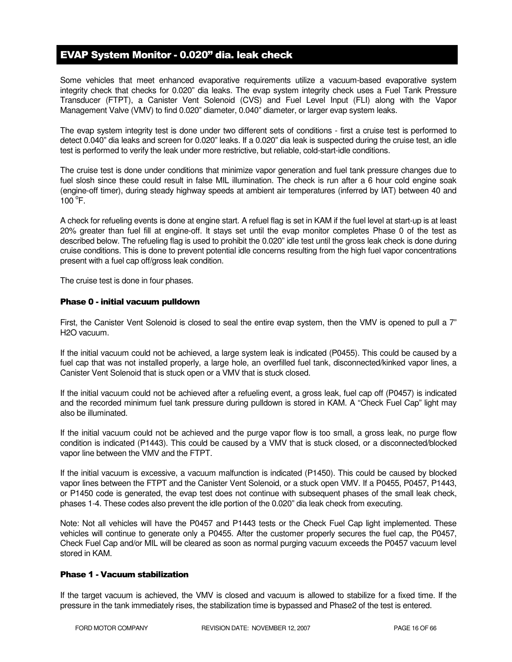# EVAP System Monitor - 0.020" dia. leak check

Some vehicles that meet enhanced evaporative requirements utilize a vacuum-based evaporative system integrity check that checks for 0.020" dia leaks. The evap system integrity check uses a Fuel Tank Pressure Transducer (FTPT), a Canister Vent Solenoid (CVS) and Fuel Level Input (FLI) along with the Vapor Management Valve (VMV) to find 0.020" diameter, 0.040" diameter, or larger evap system leaks.

The evap system integrity test is done under two different sets of conditions - first a cruise test is performed to detect 0.040" dia leaks and screen for 0.020" leaks. If a 0.020" dia leak is suspected during the cruise test, an idle test is performed to verify the leak under more restrictive, but reliable, cold-start-idle conditions.

The cruise test is done under conditions that minimize vapor generation and fuel tank pressure changes due to fuel slosh since these could result in false MIL illumination. The check is run after a 6 hour cold engine soak (engine-off timer), during steady highway speeds at ambient air temperatures (inferred by IAT) between 40 and  $100^{\circ}$ F.

A check for refueling events is done at engine start. A refuel flag is set in KAM if the fuel level at start-up is at least 20% greater than fuel fill at engine-off. It stays set until the evap monitor completes Phase 0 of the test as described below. The refueling flag is used to prohibit the 0.020" idle test until the gross leak check is done during cruise conditions. This is done to prevent potential idle concerns resulting from the high fuel vapor concentrations present with a fuel cap off/gross leak condition.

The cruise test is done in four phases.

#### Phase 0 - initial vacuum pulldown

First, the Canister Vent Solenoid is closed to seal the entire evap system, then the VMV is opened to pull a 7" H2O vacuum.

If the initial vacuum could not be achieved, a large system leak is indicated (P0455). This could be caused by a fuel cap that was not installed properly, a large hole, an overfilled fuel tank, disconnected/kinked vapor lines, a Canister Vent Solenoid that is stuck open or a VMV that is stuck closed.

If the initial vacuum could not be achieved after a refueling event, a gross leak, fuel cap off (P0457) is indicated and the recorded minimum fuel tank pressure during pulldown is stored in KAM. A "Check Fuel Cap" light may also be illuminated.

If the initial vacuum could not be achieved and the purge vapor flow is too small, a gross leak, no purge flow condition is indicated (P1443). This could be caused by a VMV that is stuck closed, or a disconnected/blocked vapor line between the VMV and the FTPT.

If the initial vacuum is excessive, a vacuum malfunction is indicated (P1450). This could be caused by blocked vapor lines between the FTPT and the Canister Vent Solenoid, or a stuck open VMV. If a P0455, P0457, P1443, or P1450 code is generated, the evap test does not continue with subsequent phases of the small leak check, phases 1-4. These codes also prevent the idle portion of the 0.020" dia leak check from executing.

Note: Not all vehicles will have the P0457 and P1443 tests or the Check Fuel Cap light implemented. These vehicles will continue to generate only a P0455. After the customer properly secures the fuel cap, the P0457, Check Fuel Cap and/or MIL will be cleared as soon as normal purging vacuum exceeds the P0457 vacuum level stored in KAM.

# Phase 1 - Vacuum stabilization

If the target vacuum is achieved, the VMV is closed and vacuum is allowed to stabilize for a fixed time. If the pressure in the tank immediately rises, the stabilization time is bypassed and Phase2 of the test is entered.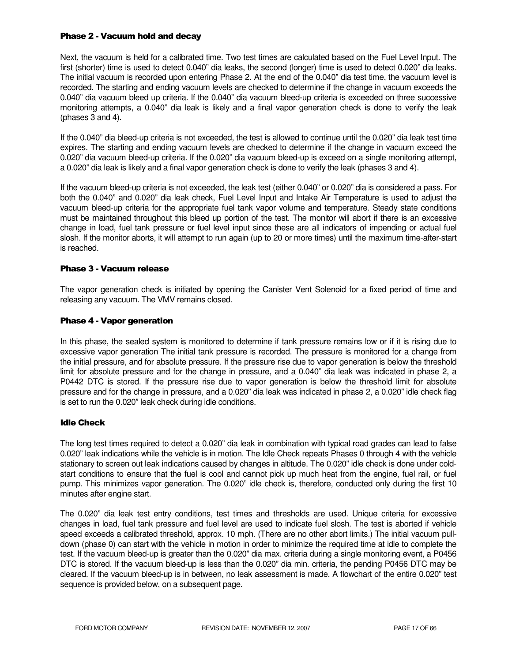## Phase 2 - Vacuum hold and decay

Next, the vacuum is held for a calibrated time. Two test times are calculated based on the Fuel Level Input. The first (shorter) time is used to detect 0.040" dia leaks, the second (longer) time is used to detect 0.020" dia leaks. The initial vacuum is recorded upon entering Phase 2. At the end of the 0.040" dia test time, the vacuum level is recorded. The starting and ending vacuum levels are checked to determine if the change in vacuum exceeds the 0.040" dia vacuum bleed up criteria. If the 0.040" dia vacuum bleed-up criteria is exceeded on three successive monitoring attempts, a 0.040" dia leak is likely and a final vapor generation check is done to verify the leak (phases 3 and 4).

If the 0.040" dia bleed-up criteria is not exceeded, the test is allowed to continue until the 0.020" dia leak test time expires. The starting and ending vacuum levels are checked to determine if the change in vacuum exceed the 0.020" dia vacuum bleed-up criteria. If the 0.020" dia vacuum bleed-up is exceed on a single monitoring attempt, a 0.020" dia leak is likely and a final vapor generation check is done to verify the leak (phases 3 and 4).

If the vacuum bleed-up criteria is not exceeded, the leak test (either 0.040" or 0.020" dia is considered a pass. For both the 0.040" and 0.020" dia leak check, Fuel Level Input and Intake Air Temperature is used to adjust the vacuum bleed-up criteria for the appropriate fuel tank vapor volume and temperature. Steady state conditions must be maintained throughout this bleed up portion of the test. The monitor will abort if there is an excessive change in load, fuel tank pressure or fuel level input since these are all indicators of impending or actual fuel slosh. If the monitor aborts, it will attempt to run again (up to 20 or more times) until the maximum time-after-start is reached.

## Phase 3 - Vacuum release

The vapor generation check is initiated by opening the Canister Vent Solenoid for a fixed period of time and releasing any vacuum. The VMV remains closed.

## Phase 4 - Vapor generation

In this phase, the sealed system is monitored to determine if tank pressure remains low or if it is rising due to excessive vapor generation The initial tank pressure is recorded. The pressure is monitored for a change from the initial pressure, and for absolute pressure. If the pressure rise due to vapor generation is below the threshold limit for absolute pressure and for the change in pressure, and a 0.040" dia leak was indicated in phase 2, a P0442 DTC is stored. If the pressure rise due to vapor generation is below the threshold limit for absolute pressure and for the change in pressure, and a 0.020" dia leak was indicated in phase 2, a 0.020" idle check flag is set to run the 0.020" leak check during idle conditions.

## Idle Check

The long test times required to detect a 0.020" dia leak in combination with typical road grades can lead to false 0.020" leak indications while the vehicle is in motion. The Idle Check repeats Phases 0 through 4 with the vehicle stationary to screen out leak indications caused by changes in altitude. The 0.020" idle check is done under coldstart conditions to ensure that the fuel is cool and cannot pick up much heat from the engine, fuel rail, or fuel pump. This minimizes vapor generation. The 0.020" idle check is, therefore, conducted only during the first 10 minutes after engine start.

The 0.020" dia leak test entry conditions, test times and thresholds are used. Unique criteria for excessive changes in load, fuel tank pressure and fuel level are used to indicate fuel slosh. The test is aborted if vehicle speed exceeds a calibrated threshold, approx. 10 mph. (There are no other abort limits.) The initial vacuum pulldown (phase 0) can start with the vehicle in motion in order to minimize the required time at idle to complete the test. If the vacuum bleed-up is greater than the 0.020" dia max. criteria during a single monitoring event, a P0456 DTC is stored. If the vacuum bleed-up is less than the 0.020" dia min. criteria, the pending P0456 DTC may be cleared. If the vacuum bleed-up is in between, no leak assessment is made. A flowchart of the entire 0.020" test sequence is provided below, on a subsequent page.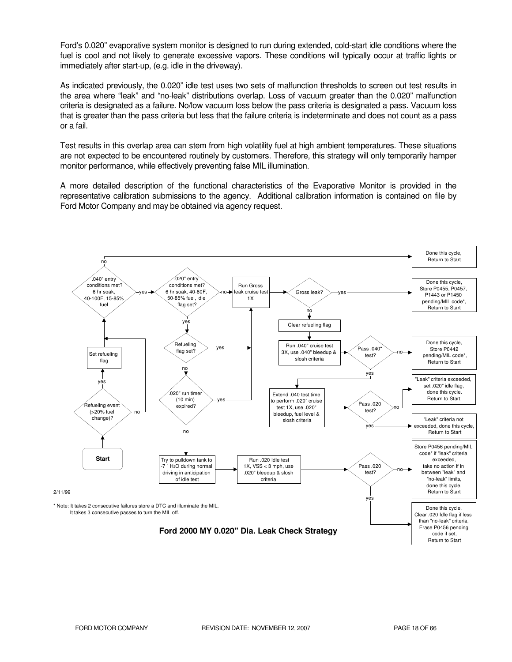Ford's 0.020" evaporative system monitor is designed to run during extended, cold-start idle conditions where the fuel is cool and not likely to generate excessive vapors. These conditions will typically occur at traffic lights or immediately after start-up, (e.g. idle in the driveway).

As indicated previously, the 0.020" idle test uses two sets of malfunction thresholds to screen out test results in the area where "leak" and "no-leak" distributions overlap. Loss of vacuum greater than the 0.020" malfunction criteria is designated as a failure. No/low vacuum loss below the pass criteria is designated a pass. Vacuum loss that is greater than the pass criteria but less that the failure criteria is indeterminate and does not count as a pass or a fail.

Test results in this overlap area can stem from high volatility fuel at high ambient temperatures. These situations are not expected to be encountered routinely by customers. Therefore, this strategy will only temporarily hamper monitor performance, while effectively preventing false MIL illumination.

A more detailed description of the functional characteristics of the Evaporative Monitor is provided in the representative calibration submissions to the agency. Additional calibration information is contained on file by Ford Motor Company and may be obtained via agency request.

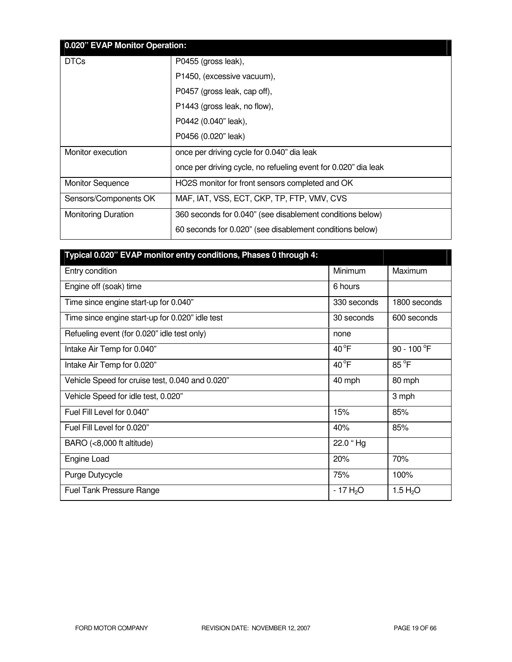| 0.020" EVAP Monitor Operation: |                                                                |
|--------------------------------|----------------------------------------------------------------|
| <b>DTCs</b>                    | P0455 (gross leak),                                            |
|                                | P1450, (excessive vacuum),                                     |
|                                | P0457 (gross leak, cap off),                                   |
|                                | P1443 (gross leak, no flow),                                   |
|                                | P0442 (0.040" leak),                                           |
|                                | P0456 (0.020" leak)                                            |
| Monitor execution              | once per driving cycle for 0.040" dia leak                     |
|                                | once per driving cycle, no refueling event for 0.020" dia leak |
| <b>Monitor Sequence</b>        | HO2S monitor for front sensors completed and OK                |
| Sensors/Components OK          | MAF, IAT, VSS, ECT, CKP, TP, FTP, VMV, CVS                     |
| <b>Monitoring Duration</b>     | 360 seconds for 0.040" (see disablement conditions below)      |
|                                | 60 seconds for 0.020" (see disablement conditions below)       |

| Typical 0.020" EVAP monitor entry conditions, Phases 0 through 4: |                |                       |
|-------------------------------------------------------------------|----------------|-----------------------|
| Entry condition                                                   | Minimum        | Maximum               |
| Engine off (soak) time                                            | 6 hours        |                       |
| Time since engine start-up for 0.040"                             | 330 seconds    | 1800 seconds          |
| Time since engine start-up for 0.020" idle test                   | 30 seconds     | 600 seconds           |
| Refueling event (for 0.020" idle test only)                       | none           |                       |
| Intake Air Temp for 0.040"                                        | $40^{\circ}$ F | 90 - 100 $^{\circ}$ F |
| Intake Air Temp for 0.020"                                        | $40^{\circ}F$  | $85^{\circ}$ F        |
| Vehicle Speed for cruise test, 0.040 and 0.020"                   | 40 mph         | 80 mph                |
| Vehicle Speed for idle test, 0.020"                               |                | 3 mph                 |
| Fuel Fill Level for 0.040"                                        | 15%            | 85%                   |
| Fuel Fill Level for 0.020"                                        | 40%            | 85%                   |
| BARO (<8,000 ft altitude)                                         | 22.0 "Hg       |                       |
| Engine Load                                                       | 20%            | 70%                   |
| Purge Dutycycle                                                   | 75%            | 100%                  |
| <b>Fuel Tank Pressure Range</b>                                   | $-17H2O$       | 1.5 $H_2O$            |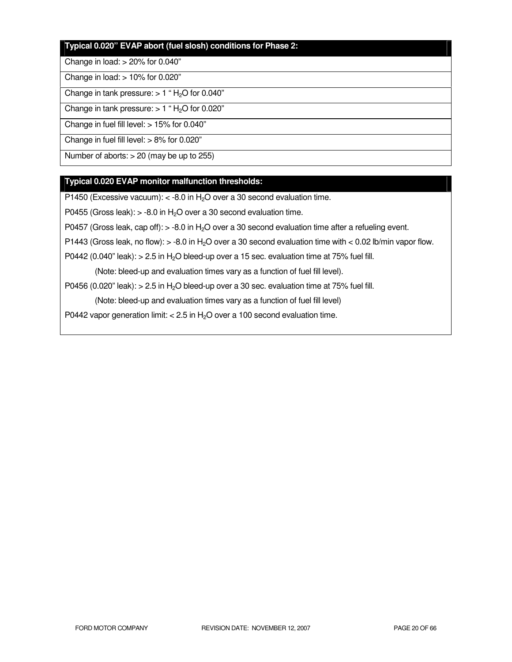# **Typical 0.020" EVAP abort (fuel slosh) conditions for Phase 2:**

#### Change in load: > 20% for 0.040"

Change in load: > 10% for 0.020"

Change in tank pressure:  $> 1$  " H<sub>2</sub>O for 0.040"

Change in tank pressure:  $> 1$  " H<sub>2</sub>O for 0.020"

Change in fuel fill level: > 15% for 0.040"

Change in fuel fill level: > 8% for 0.020"

Number of aborts: > 20 (may be up to 255)

# **Typical 0.020 EVAP monitor malfunction thresholds:**

P1450 (Excessive vacuum):  $<$  -8.0 in H<sub>2</sub>O over a 30 second evaluation time.

P0455 (Gross leak):  $> -8.0$  in H<sub>2</sub>O over a 30 second evaluation time.

P0457 (Gross leak, cap off):  $>$  -8.0 in H<sub>2</sub>O over a 30 second evaluation time after a refueling event.

P1443 (Gross leak, no flow):  $>$  -8.0 in H<sub>2</sub>O over a 30 second evaluation time with  $<$  0.02 lb/min vapor flow.

P0442 (0.040" leak):  $> 2.5$  in H<sub>2</sub>O bleed-up over a 15 sec. evaluation time at 75% fuel fill.

(Note: bleed-up and evaluation times vary as a function of fuel fill level).

P0456 (0.020" leak):  $> 2.5$  in H<sub>2</sub>O bleed-up over a 30 sec. evaluation time at 75% fuel fill.

(Note: bleed-up and evaluation times vary as a function of fuel fill level)

P0442 vapor generation limit:  $< 2.5$  in H<sub>2</sub>O over a 100 second evaluation time.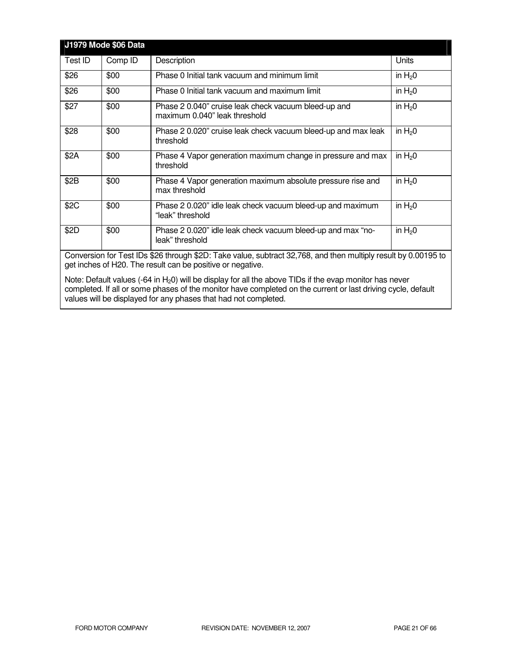|                                                                                                                                                                              | J1979 Mode \$06 Data |                                                                                       |            |
|------------------------------------------------------------------------------------------------------------------------------------------------------------------------------|----------------------|---------------------------------------------------------------------------------------|------------|
| Test ID                                                                                                                                                                      | Comp ID              | Description                                                                           | Units      |
| \$26                                                                                                                                                                         | \$00                 | Phase 0 Initial tank vacuum and minimum limit                                         | in $H_2$ 0 |
| \$26                                                                                                                                                                         | \$00                 | Phase 0 Initial tank vacuum and maximum limit                                         | in $H20$   |
| \$27                                                                                                                                                                         | \$00                 | Phase 2 0.040" cruise leak check vacuum bleed-up and<br>maximum 0.040" leak threshold | in $H_2$ 0 |
| \$28                                                                                                                                                                         | \$00                 | Phase 2 0.020" cruise leak check vacuum bleed-up and max leak<br>threshold            | in $H20$   |
| \$2A                                                                                                                                                                         | \$00                 | Phase 4 Vapor generation maximum change in pressure and max<br>threshold              | in $H20$   |
| \$2B                                                                                                                                                                         | \$00                 | Phase 4 Vapor generation maximum absolute pressure rise and<br>max threshold          | in $H20$   |
| \$2C                                                                                                                                                                         | \$00                 | Phase 2 0.020" idle leak check vacuum bleed-up and maximum<br>"leak" threshold        | in $H20$   |
| \$2D                                                                                                                                                                         | \$00                 | Phase 2 0.020" idle leak check vacuum bleed-up and max "no-<br>leak" threshold        | in $H20$   |
| Conversion for Test IDs \$26 through \$2D: Take value, subtract 32,768, and then multiply result by 0.00195 to<br>get inches of H20. The result can be positive or negative. |                      |                                                                                       |            |

Note: Default values (-64 in H<sub>2</sub>0) will be display for all the above TIDs if the evap monitor has never completed. If all or some phases of the monitor have completed on the current or last driving cycle, default values will be displayed for any phases that had not completed.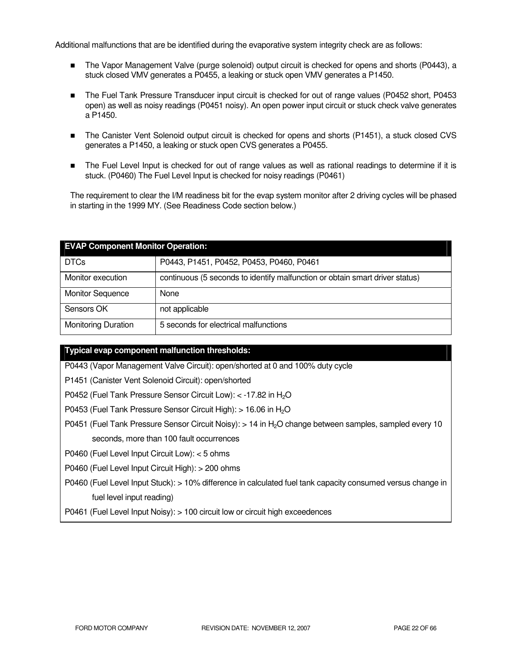Additional malfunctions that are be identified during the evaporative system integrity check are as follows:

- The Vapor Management Valve (purge solenoid) output circuit is checked for opens and shorts (P0443), a stuck closed VMV generates a P0455, a leaking or stuck open VMV generates a P1450.
- The Fuel Tank Pressure Transducer input circuit is checked for out of range values (P0452 short, P0453 open) as well as noisy readings (P0451 noisy). An open power input circuit or stuck check valve generates a P1450.
- The Canister Vent Solenoid output circuit is checked for opens and shorts (P1451), a stuck closed CVS generates a P1450, a leaking or stuck open CVS generates a P0455.
- The Fuel Level Input is checked for out of range values as well as rational readings to determine if it is stuck. (P0460) The Fuel Level Input is checked for noisy readings (P0461)

The requirement to clear the I/M readiness bit for the evap system monitor after 2 driving cycles will be phased in starting in the 1999 MY. (See Readiness Code section below.)

| <b>EVAP Component Monitor Operation:</b> |                                                                              |  |
|------------------------------------------|------------------------------------------------------------------------------|--|
| <b>DTCs</b>                              | P0443, P1451, P0452, P0453, P0460, P0461                                     |  |
| Monitor execution                        | continuous (5 seconds to identify malfunction or obtain smart driver status) |  |
| <b>Monitor Sequence</b>                  | None                                                                         |  |
| Sensors OK                               | not applicable                                                               |  |
| <b>Monitoring Duration</b>               | 5 seconds for electrical malfunctions                                        |  |

# **Typical evap component malfunction thresholds:**

P0443 (Vapor Management Valve Circuit): open/shorted at 0 and 100% duty cycle

P1451 (Canister Vent Solenoid Circuit): open/shorted

P0452 (Fuel Tank Pressure Sensor Circuit Low): < -17.82 in H<sub>2</sub>O

P0453 (Fuel Tank Pressure Sensor Circuit High): > 16.06 in H<sub>2</sub>O

P0451 (Fuel Tank Pressure Sensor Circuit Noisy): > 14 in H2O change between samples, sampled every 10 seconds, more than 100 fault occurrences

P0460 (Fuel Level Input Circuit Low): < 5 ohms

P0460 (Fuel Level Input Circuit High): > 200 ohms

P0460 (Fuel Level Input Stuck): > 10% difference in calculated fuel tank capacity consumed versus change in fuel level input reading)

P0461 (Fuel Level Input Noisy): > 100 circuit low or circuit high exceedences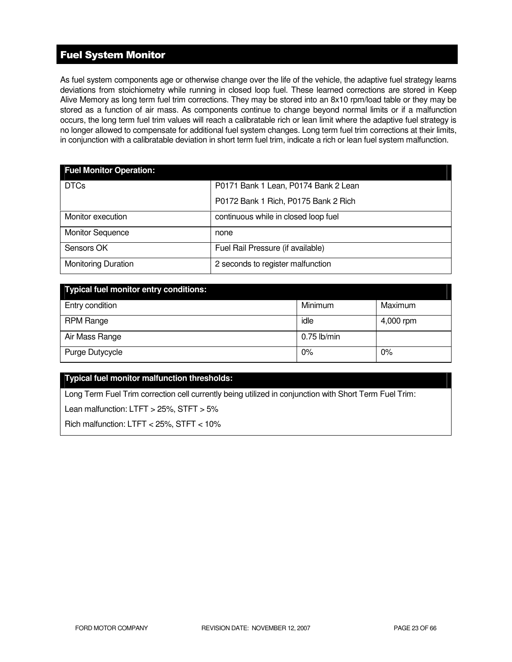# Fuel System Monitor

As fuel system components age or otherwise change over the life of the vehicle, the adaptive fuel strategy learns deviations from stoichiometry while running in closed loop fuel. These learned corrections are stored in Keep Alive Memory as long term fuel trim corrections. They may be stored into an 8x10 rpm/load table or they may be stored as a function of air mass. As components continue to change beyond normal limits or if a malfunction occurs, the long term fuel trim values will reach a calibratable rich or lean limit where the adaptive fuel strategy is no longer allowed to compensate for additional fuel system changes. Long term fuel trim corrections at their limits, in conjunction with a calibratable deviation in short term fuel trim, indicate a rich or lean fuel system malfunction.

| <b>Fuel Monitor Operation:</b> |                                      |  |  |
|--------------------------------|--------------------------------------|--|--|
| <b>DTCs</b>                    | P0171 Bank 1 Lean, P0174 Bank 2 Lean |  |  |
|                                | P0172 Bank 1 Rich, P0175 Bank 2 Rich |  |  |
| Monitor execution              | continuous while in closed loop fuel |  |  |
| <b>Monitor Sequence</b>        | none                                 |  |  |
| Sensors OK                     | Fuel Rail Pressure (if available)    |  |  |
| <b>Monitoring Duration</b>     | 2 seconds to register malfunction    |  |  |

| <b>Typical fuel monitor entry conditions:</b> |               |           |  |
|-----------------------------------------------|---------------|-----------|--|
| Entry condition                               | Minimum       | Maximum   |  |
| <b>RPM Range</b>                              | idle          | 4,000 rpm |  |
| Air Mass Range                                | $0.75$ lb/min |           |  |
| Purge Dutycycle                               | 0%            | 0%        |  |

# **Typical fuel monitor malfunction thresholds:**

Long Term Fuel Trim correction cell currently being utilized in conjunction with Short Term Fuel Trim:

Lean malfunction: LTFT > 25%, STFT > 5%

Rich malfunction: LTFT < 25%, STFT < 10%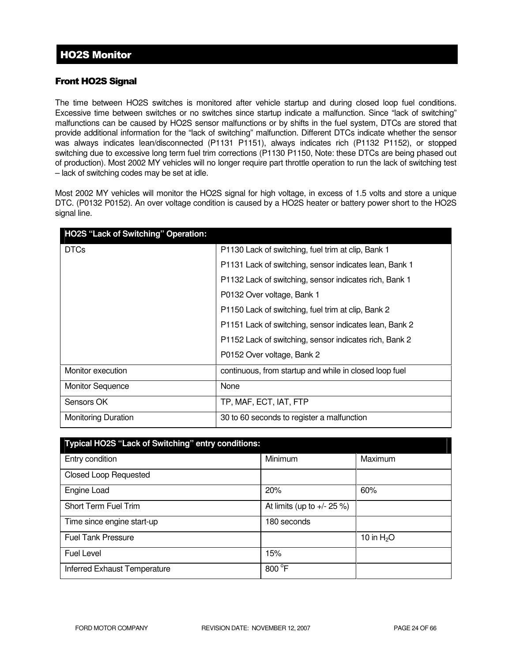# HO2S Monitor

# Front HO2S Signal

The time between HO2S switches is monitored after vehicle startup and during closed loop fuel conditions. Excessive time between switches or no switches since startup indicate a malfunction. Since "lack of switching" malfunctions can be caused by HO2S sensor malfunctions or by shifts in the fuel system, DTCs are stored that provide additional information for the "lack of switching" malfunction. Different DTCs indicate whether the sensor was always indicates lean/disconnected (P1131 P1151), always indicates rich (P1132 P1152), or stopped switching due to excessive long term fuel trim corrections (P1130 P1150, Note: these DTCs are being phased out of production). Most 2002 MY vehicles will no longer require part throttle operation to run the lack of switching test – lack of switching codes may be set at idle.

Most 2002 MY vehicles will monitor the HO2S signal for high voltage, in excess of 1.5 volts and store a unique DTC. (P0132 P0152). An over voltage condition is caused by a HO2S heater or battery power short to the HO2S signal line.

| <b>HO2S "Lack of Switching" Operation:</b> |                                                        |
|--------------------------------------------|--------------------------------------------------------|
| <b>DTCs</b>                                | P1130 Lack of switching, fuel trim at clip, Bank 1     |
|                                            | P1131 Lack of switching, sensor indicates lean, Bank 1 |
|                                            | P1132 Lack of switching, sensor indicates rich, Bank 1 |
|                                            | P0132 Over voltage, Bank 1                             |
|                                            | P1150 Lack of switching, fuel trim at clip, Bank 2     |
|                                            | P1151 Lack of switching, sensor indicates lean, Bank 2 |
|                                            | P1152 Lack of switching, sensor indicates rich, Bank 2 |
|                                            | P0152 Over voltage, Bank 2                             |
| Monitor execution                          | continuous, from startup and while in closed loop fuel |
| <b>Monitor Sequence</b>                    | None                                                   |
| Sensors OK                                 | TP, MAF, ECT, IAT, FTP                                 |
| <b>Monitoring Duration</b>                 | 30 to 60 seconds to register a malfunction             |

| Typical HO2S "Lack of Switching" entry conditions: |                                |              |
|----------------------------------------------------|--------------------------------|--------------|
| Entry condition                                    | Minimum                        | Maximum      |
| <b>Closed Loop Requested</b>                       |                                |              |
| Engine Load                                        | 20%                            | 60%          |
| Short Term Fuel Trim                               | At limits (up to $+/- 25 \%$ ) |              |
| Time since engine start-up                         | 180 seconds                    |              |
| <b>Fuel Tank Pressure</b>                          |                                | 10 in $H_2O$ |
| <b>Fuel Level</b>                                  | 15%                            |              |
| Inferred Exhaust Temperature                       | 800 °F                         |              |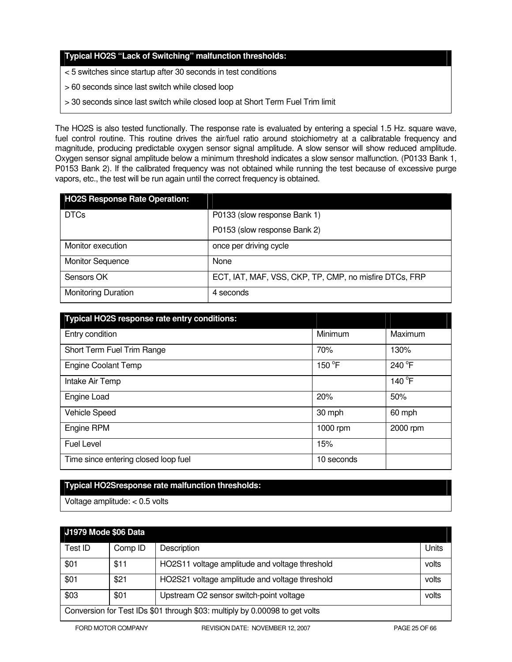# **Typical HO2S "Lack of Switching" malfunction thresholds:**

- < 5 switches since startup after 30 seconds in test conditions
- > 60 seconds since last switch while closed loop
- > 30 seconds since last switch while closed loop at Short Term Fuel Trim limit

The HO2S is also tested functionally. The response rate is evaluated by entering a special 1.5 Hz. square wave, fuel control routine. This routine drives the air/fuel ratio around stoichiometry at a calibratable frequency and magnitude, producing predictable oxygen sensor signal amplitude. A slow sensor will show reduced amplitude. Oxygen sensor signal amplitude below a minimum threshold indicates a slow sensor malfunction. (P0133 Bank 1, P0153 Bank 2). If the calibrated frequency was not obtained while running the test because of excessive purge vapors, etc., the test will be run again until the correct frequency is obtained.

| <b>HO2S Response Rate Operation:</b> |                                                        |
|--------------------------------------|--------------------------------------------------------|
| <b>DTCs</b>                          | P0133 (slow response Bank 1)                           |
|                                      | P0153 (slow response Bank 2)                           |
| Monitor execution                    | once per driving cycle                                 |
| <b>Monitor Sequence</b>              | None                                                   |
| Sensors OK                           | ECT, IAT, MAF, VSS, CKP, TP, CMP, no misfire DTCs, FRP |
| <b>Monitoring Duration</b>           | 4 seconds                                              |

| Typical HO2S response rate entry conditions: |            |          |
|----------------------------------------------|------------|----------|
| Entry condition                              | Minimum    | Maximum  |
| Short Term Fuel Trim Range                   | 70%        | 130%     |
| <b>Engine Coolant Temp</b>                   | 150 °F     | 240 °F   |
| Intake Air Temp                              |            | 140 °F   |
| Engine Load                                  | 20%        | 50%      |
| Vehicle Speed                                | 30 mph     | 60 mph   |
| Engine RPM                                   | 1000 rpm   | 2000 rpm |
| <b>Fuel Level</b>                            | 15%        |          |
| Time since entering closed loop fuel         | 10 seconds |          |

# **Typical HO2Sresponse rate malfunction thresholds:**

Voltage amplitude: < 0.5 volts

| J1979 Mode \$06 Data                                                        |         |                                                |       |
|-----------------------------------------------------------------------------|---------|------------------------------------------------|-------|
| Test ID                                                                     | Comp ID | Description                                    | Units |
| \$01                                                                        | \$11    | HO2S11 voltage amplitude and voltage threshold | volts |
| \$01                                                                        | \$21    | HO2S21 voltage amplitude and voltage threshold | volts |
| \$03                                                                        | \$01    | Upstream O2 sensor switch-point voltage        | volts |
| Conversion for Test IDs \$01 through \$03: multiply by 0.00098 to get volts |         |                                                |       |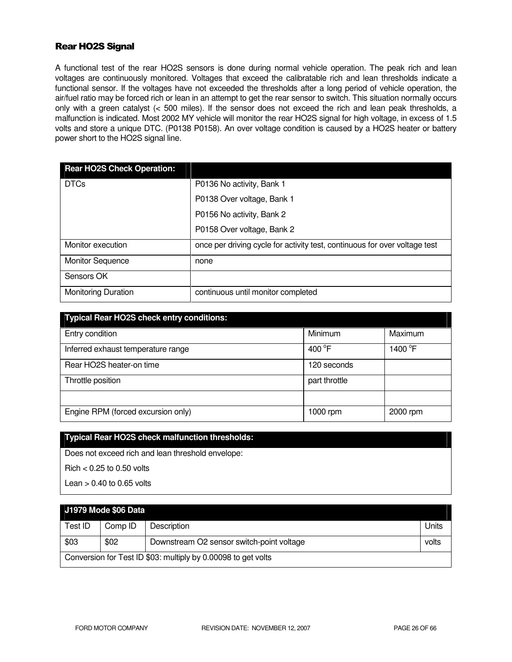# Rear HO2S Signal

A functional test of the rear HO2S sensors is done during normal vehicle operation. The peak rich and lean voltages are continuously monitored. Voltages that exceed the calibratable rich and lean thresholds indicate a functional sensor. If the voltages have not exceeded the thresholds after a long period of vehicle operation, the air/fuel ratio may be forced rich or lean in an attempt to get the rear sensor to switch. This situation normally occurs only with a green catalyst (< 500 miles). If the sensor does not exceed the rich and lean peak thresholds, a malfunction is indicated. Most 2002 MY vehicle will monitor the rear HO2S signal for high voltage, in excess of 1.5 volts and store a unique DTC. (P0138 P0158). An over voltage condition is caused by a HO2S heater or battery power short to the HO2S signal line.

| <b>Rear HO2S Check Operation:</b> |                                                                            |
|-----------------------------------|----------------------------------------------------------------------------|
| <b>DTCs</b>                       | P0136 No activity, Bank 1                                                  |
|                                   | P0138 Over voltage, Bank 1                                                 |
|                                   | P0156 No activity, Bank 2                                                  |
|                                   | P0158 Over voltage, Bank 2                                                 |
| Monitor execution                 | once per driving cycle for activity test, continuous for over voltage test |
| <b>Monitor Sequence</b>           | none                                                                       |
| Sensors OK                        |                                                                            |
| <b>Monitoring Duration</b>        | continuous until monitor completed                                         |

| <b>Typical Rear HO2S check entry conditions:</b> |                  |          |
|--------------------------------------------------|------------------|----------|
| Entry condition                                  | Minimum          | Maximum  |
| Inferred exhaust temperature range               | 400 $^{\circ}$ F | 1400 °F  |
| Rear HO2S heater-on time                         | 120 seconds      |          |
| Throttle position                                | part throttle    |          |
|                                                  |                  |          |
| Engine RPM (forced excursion only)               | 1000 rpm         | 2000 rpm |

## **Typical Rear HO2S check malfunction thresholds:**

Does not exceed rich and lean threshold envelope:

Rich < 0.25 to 0.50 volts

Lean  $> 0.40$  to 0.65 volts

|                                                               | J1979 Mode \$06 Data |                                           |       |
|---------------------------------------------------------------|----------------------|-------------------------------------------|-------|
| Test ID                                                       | Comp ID              | Description                               | Units |
| \$03                                                          | \$02                 | Downstream O2 sensor switch-point voltage | volts |
| Conversion for Test ID \$03: multiply by 0.00098 to get volts |                      |                                           |       |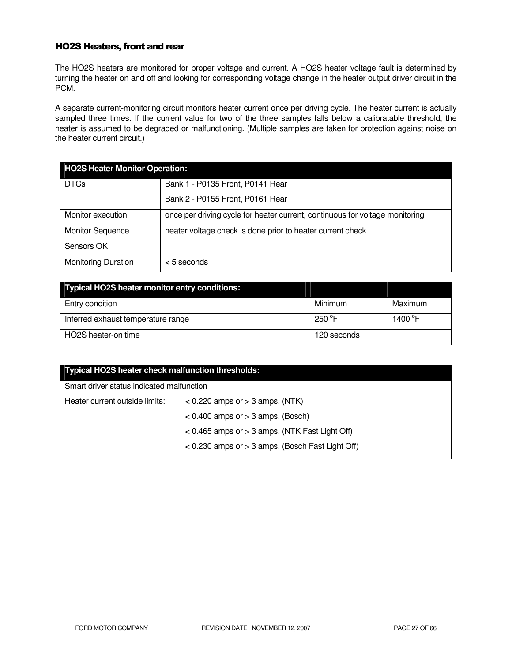# HO2S Heaters, front and rear

The HO2S heaters are monitored for proper voltage and current. A HO2S heater voltage fault is determined by turning the heater on and off and looking for corresponding voltage change in the heater output driver circuit in the PCM.

A separate current-monitoring circuit monitors heater current once per driving cycle. The heater current is actually sampled three times. If the current value for two of the three samples falls below a calibratable threshold, the heater is assumed to be degraded or malfunctioning. (Multiple samples are taken for protection against noise on the heater current circuit.)

| <b>HO2S Heater Monitor Operation:</b> |                                                                              |  |
|---------------------------------------|------------------------------------------------------------------------------|--|
| <b>DTCs</b>                           | Bank 1 - P0135 Front, P0141 Rear                                             |  |
|                                       | Bank 2 - P0155 Front, P0161 Rear                                             |  |
| Monitor execution                     | once per driving cycle for heater current, continuous for voltage monitoring |  |
| <b>Monitor Sequence</b>               | heater voltage check is done prior to heater current check                   |  |
| Sensors OK                            |                                                                              |  |
| <b>Monitoring Duration</b>            | $<$ 5 seconds                                                                |  |

| Typical HO2S heater monitor entry conditions: |                 |                     |
|-----------------------------------------------|-----------------|---------------------|
| Entry condition                               | Minimum         | Maximum             |
| Inferred exhaust temperature range            | 250 $\degree$ F | 1400 <sup>°</sup> F |
| HO2S heater-on time                           | 120 seconds     |                     |

| Typical HO2S heater check malfunction thresholds:    |  |  |
|------------------------------------------------------|--|--|
| Smart driver status indicated malfunction            |  |  |
| $<$ 0.220 amps or $>$ 3 amps, (NTK)                  |  |  |
| $< 0.400$ amps or $> 3$ amps, (Bosch)                |  |  |
| $< 0.465$ amps or $> 3$ amps, (NTK Fast Light Off)   |  |  |
| $<$ 0.230 amps or $>$ 3 amps, (Bosch Fast Light Off) |  |  |
|                                                      |  |  |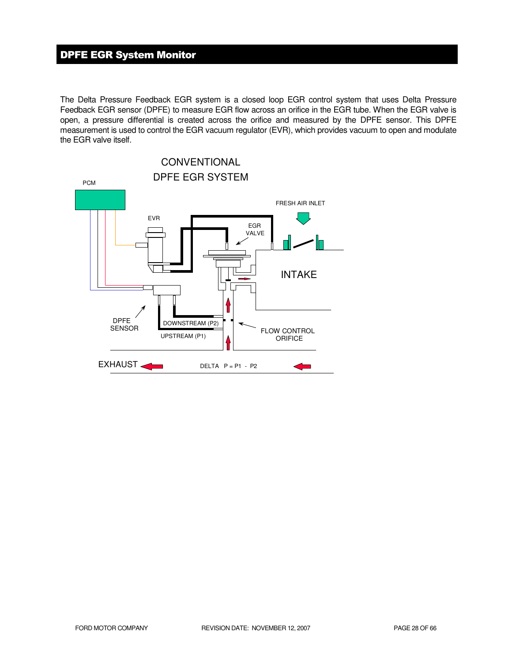# DPFE EGR System Monitor

The Delta Pressure Feedback EGR system is a closed loop EGR control system that uses Delta Pressure Feedback EGR sensor (DPFE) to measure EGR flow across an orifice in the EGR tube. When the EGR valve is open, a pressure differential is created across the orifice and measured by the DPFE sensor. This DPFE measurement is used to control the EGR vacuum regulator (EVR), which provides vacuum to open and modulate the EGR valve itself.

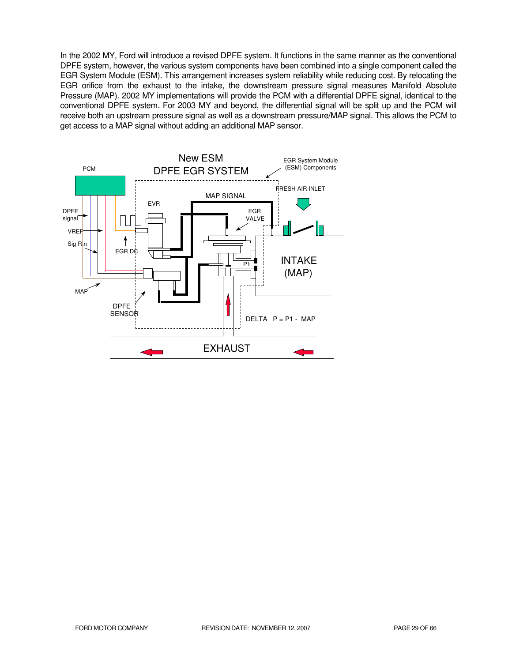In the 2002 MY, Ford will introduce a revised DPFE system. It functions in the same manner as the conventional DPFE system, however, the various system components have been combined into a single component called the EGR System Module (ESM). This arrangement increases system reliability while reducing cost. By relocating the EGR orifice from the exhaust to the intake, the downstream pressure signal measures Manifold Absolute Pressure (MAP). 2002 MY implementations will provide the PCM with a differential DPFE signal, identical to the conventional DPFE system. For 2003 MY and beyond, the differential signal will be split up and the PCM will receive both an upstream pressure signal as well as a downstream pressure/MAP signal. This allows the PCM to get access to a MAP signal without adding an additional MAP sensor.

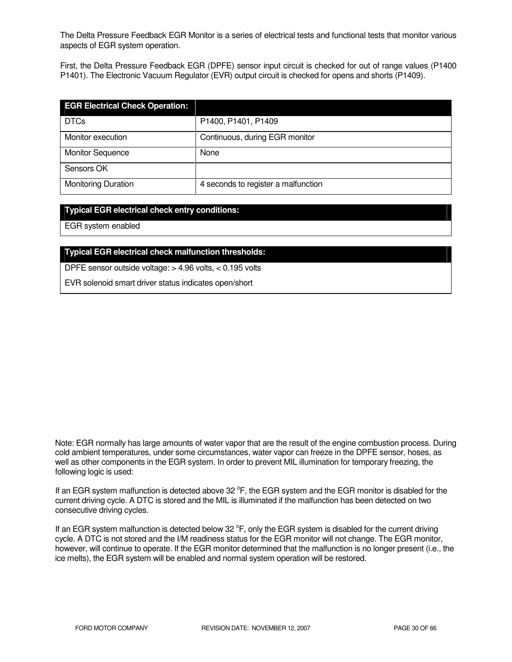The Delta Pressure Feedback EGR Monitor is a series of electrical tests and functional tests that monitor various aspects of EGR system operation.

First, the Delta Pressure Feedback EGR (DPFE) sensor input circuit is checked for out of range values (P1400 P1401). The Electronic Vacuum Regulator (EVR) output circuit is checked for opens and shorts (P1409).

| <b>EGR Electrical Check Operation:</b> |                                     |
|----------------------------------------|-------------------------------------|
| <b>DTCs</b>                            | P1400, P1401, P1409                 |
| Monitor execution                      | Continuous, during EGR monitor      |
| <b>Monitor Sequence</b>                | None                                |
| Sensors OK                             |                                     |
| <b>Monitoring Duration</b>             | 4 seconds to register a malfunction |

## **Typical EGR electrical check entry conditions:**

EGR system enabled

# **Typical EGR electrical check malfunction thresholds:**

DPFE sensor outside voltage: > 4.96 volts, < 0.195 volts

EVR solenoid smart driver status indicates open/short

Note: EGR normally has large amounts of water vapor that are the result of the engine combustion process. During cold ambient temperatures, under some circumstances, water vapor can freeze in the DPFE sensor, hoses, as well as other components in the EGR system. In order to prevent MIL illumination for temporary freezing, the following logic is used:

If an EGR system malfunction is detected above 32 °F, the EGR system and the EGR monitor is disabled for the current driving cycle. A DTC is stored and the MIL is illuminated if the malfunction has been detected on two consecutive driving cycles.

If an EGR system malfunction is detected below 32  $\degree$ F, only the EGR system is disabled for the current driving cycle. A DTC is not stored and the I/M readiness status for the EGR monitor will not change. The EGR monitor, however, will continue to operate. If the EGR monitor determined that the malfunction is no longer present (i.e., the ice melts), the EGR system will be enabled and normal system operation will be restored.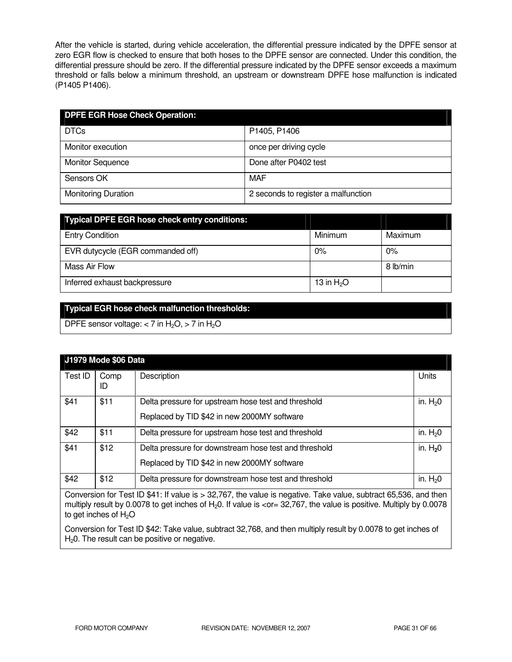After the vehicle is started, during vehicle acceleration, the differential pressure indicated by the DPFE sensor at zero EGR flow is checked to ensure that both hoses to the DPFE sensor are connected. Under this condition, the differential pressure should be zero. If the differential pressure indicated by the DPFE sensor exceeds a maximum threshold or falls below a minimum threshold, an upstream or downstream DPFE hose malfunction is indicated (P1405 P1406).

| <b>DPFE EGR Hose Check Operation:</b> |                                     |
|---------------------------------------|-------------------------------------|
| <b>DTCs</b>                           | P1405, P1406                        |
| Monitor execution                     | once per driving cycle              |
| <b>Monitor Sequence</b>               | Done after P0402 test               |
| Sensors OK                            | MAF                                 |
| <b>Monitoring Duration</b>            | 2 seconds to register a malfunction |

| <b>Typical DPFE EGR hose check entry conditions:</b> |              |          |
|------------------------------------------------------|--------------|----------|
| <b>Entry Condition</b>                               | Minimum      | Maximum  |
| EVR dutycycle (EGR commanded off)                    | 0%           | $0\%$    |
| Mass Air Flow                                        |              | 8 lb/min |
| Inferred exhaust backpressure                        | 13 in $H_2O$ |          |

# **Typical EGR hose check malfunction thresholds:**

DPFE sensor voltage:  $<$  7 in H<sub>2</sub>O,  $>$  7 in H<sub>2</sub>O

|         | J1979 Mode \$06 Data |                                                                                                      |           |
|---------|----------------------|------------------------------------------------------------------------------------------------------|-----------|
| Test ID | Comp<br>ID           | Description                                                                                          | Units     |
| \$41    | \$11                 | Delta pressure for upstream hose test and threshold<br>Replaced by TID \$42 in new 2000MY software   | in. $H20$ |
| \$42    | \$11                 | Delta pressure for upstream hose test and threshold                                                  | in. $H20$ |
| \$41    | \$12                 | Delta pressure for downstream hose test and threshold<br>Replaced by TID \$42 in new 2000MY software | in. $H20$ |
| \$42    | \$12                 | Delta pressure for downstream hose test and threshold                                                | in. $H20$ |

Conversion for Test ID \$41: If value is > 32,767, the value is negative. Take value, subtract 65,536, and then multiply result by 0.0078 to get inches of H<sub>2</sub>0. If value is <or= 32,767, the value is positive. Multiply by 0.0078 to get inches of  $H<sub>2</sub>O$ 

Conversion for Test ID \$42: Take value, subtract 32,768, and then multiply result by 0.0078 to get inches of  $H<sub>2</sub>0$ . The result can be positive or negative.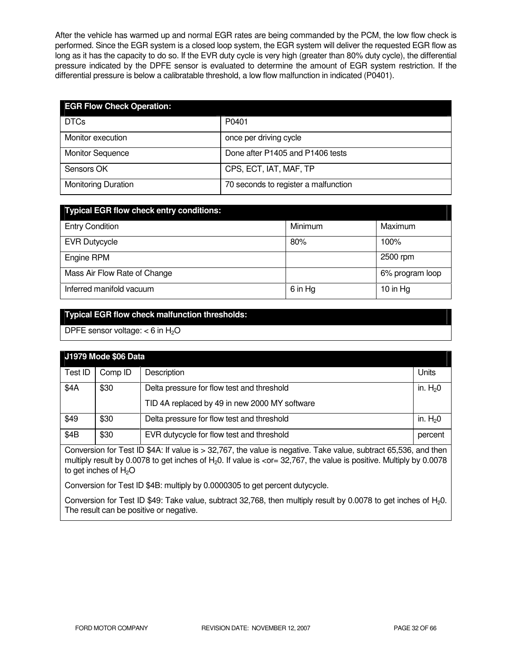After the vehicle has warmed up and normal EGR rates are being commanded by the PCM, the low flow check is performed. Since the EGR system is a closed loop system, the EGR system will deliver the requested EGR flow as long as it has the capacity to do so. If the EVR duty cycle is very high (greater than 80% duty cycle), the differential pressure indicated by the DPFE sensor is evaluated to determine the amount of EGR system restriction. If the differential pressure is below a calibratable threshold, a low flow malfunction in indicated (P0401).

| <b>EGR Flow Check Operation:</b> |                                      |
|----------------------------------|--------------------------------------|
| <b>DTCs</b>                      | P0401                                |
| Monitor execution                | once per driving cycle               |
| <b>Monitor Sequence</b>          | Done after P1405 and P1406 tests     |
| Sensors OK                       | CPS, ECT, IAT, MAF, TP               |
| <b>Monitoring Duration</b>       | 70 seconds to register a malfunction |

| <b>Typical EGR flow check entry conditions:</b> |         |                 |
|-------------------------------------------------|---------|-----------------|
| <b>Entry Condition</b>                          | Minimum | Maximum         |
| <b>EVR Dutycycle</b>                            | 80%     | 100%            |
| Engine RPM                                      |         | 2500 rpm        |
| Mass Air Flow Rate of Change                    |         | 6% program loop |
| Inferred manifold vacuum                        | 6 in Hg | 10 in Hg        |

# **Typical EGR flow check malfunction thresholds:**

DPFE sensor voltage:  $<$  6 in H<sub>2</sub>O

| J1979 Mode \$06 Data |         |                                               |           |
|----------------------|---------|-----------------------------------------------|-----------|
| Test ID              | Comp ID | Description                                   | Units     |
| \$4A                 | \$30    | Delta pressure for flow test and threshold    | in. $H20$ |
|                      |         | TID 4A replaced by 49 in new 2000 MY software |           |
| \$49                 | \$30    | Delta pressure for flow test and threshold    | in. $H20$ |
| \$4B                 | \$30    | EVR dutycycle for flow test and threshold     | percent   |

Conversion for Test ID \$4A: If value is > 32,767, the value is negative. Take value, subtract 65,536, and then multiply result by 0.0078 to get inches of  $H<sub>2</sub>0$ . If value is  $<$ or= 32,767, the value is positive. Multiply by 0.0078 to get inches of  $H_2O$ 

Conversion for Test ID \$4B: multiply by 0.0000305 to get percent dutycycle.

Conversion for Test ID \$49: Take value, subtract 32,768, then multiply result by 0.0078 to get inches of H<sub>2</sub>0. The result can be positive or negative.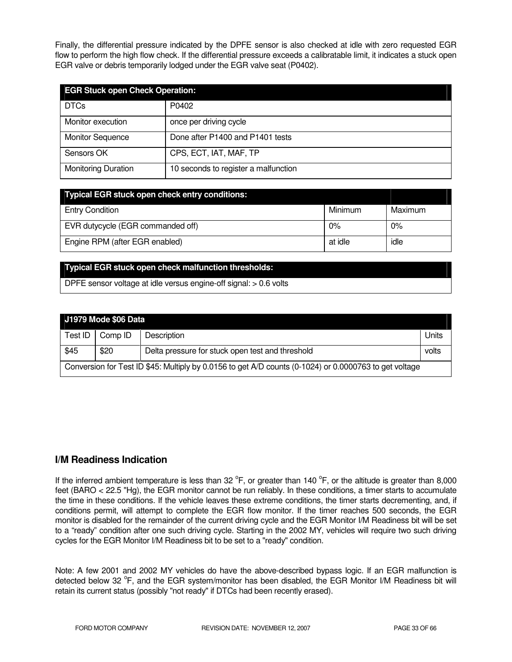Finally, the differential pressure indicated by the DPFE sensor is also checked at idle with zero requested EGR flow to perform the high flow check. If the differential pressure exceeds a calibratable limit, it indicates a stuck open EGR valve or debris temporarily lodged under the EGR valve seat (P0402).

| <b>EGR Stuck open Check Operation:</b> |                                      |  |
|----------------------------------------|--------------------------------------|--|
| <b>DTCs</b>                            | P0402                                |  |
| Monitor execution                      | once per driving cycle               |  |
| <b>Monitor Sequence</b>                | Done after P1400 and P1401 tests     |  |
| Sensors OK                             | CPS, ECT, IAT, MAF, TP               |  |
| <b>Monitoring Duration</b>             | 10 seconds to register a malfunction |  |

| <b>Typical EGR stuck open check entry conditions:</b> |         |         |
|-------------------------------------------------------|---------|---------|
| <b>Entry Condition</b>                                | Minimum | Maximum |
| EVR dutycycle (EGR commanded off)                     | 0%      | 0%      |
| Engine RPM (after EGR enabled)                        | at idle | idle    |

## **Typical EGR stuck open check malfunction thresholds:**

DPFE sensor voltage at idle versus engine-off signal: > 0.6 volts

|                                                                                                        | J1979 Mode \$06 Data |                                                  |       |
|--------------------------------------------------------------------------------------------------------|----------------------|--------------------------------------------------|-------|
| Test ID                                                                                                | Comp ID              | Description                                      | Units |
| \$45                                                                                                   | \$20                 | Delta pressure for stuck open test and threshold | volts |
| Conversion for Test ID \$45: Multiply by 0.0156 to get A/D counts (0-1024) or 0.0000763 to get voltage |                      |                                                  |       |

# **I/M Readiness Indication**

If the inferred ambient temperature is less than 32  $^{\circ}$ F, or greater than 140  $^{\circ}$ F, or the altitude is greater than 8,000 feet (BARO < 22.5 "Hg), the EGR monitor cannot be run reliably. In these conditions, a timer starts to accumulate the time in these conditions. If the vehicle leaves these extreme conditions, the timer starts decrementing, and, if conditions permit, will attempt to complete the EGR flow monitor. If the timer reaches 500 seconds, the EGR monitor is disabled for the remainder of the current driving cycle and the EGR Monitor I/M Readiness bit will be set to a "ready" condition after one such driving cycle. Starting in the 2002 MY, vehicles will require two such driving cycles for the EGR Monitor I/M Readiness bit to be set to a "ready" condition.

Note: A few 2001 and 2002 MY vehicles do have the above-described bypass logic. If an EGR malfunction is detected below 32 <sup>o</sup>F, and the EGR system/monitor has been disabled, the EGR Monitor I/M Readiness bit will retain its current status (possibly "not ready" if DTCs had been recently erased).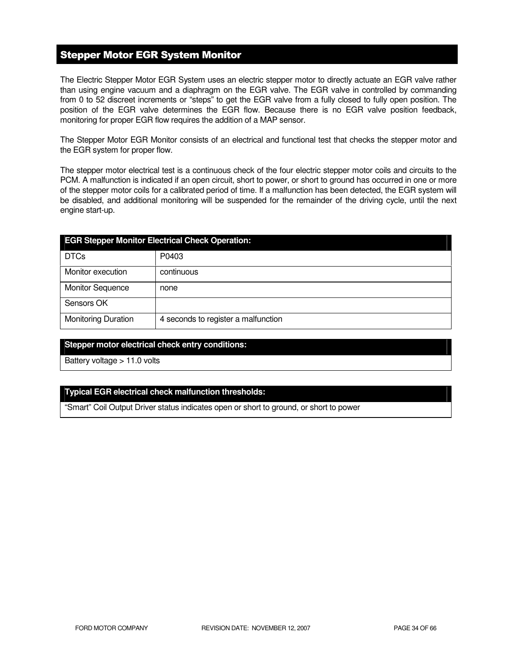# Stepper Motor EGR System Monitor

The Electric Stepper Motor EGR System uses an electric stepper motor to directly actuate an EGR valve rather than using engine vacuum and a diaphragm on the EGR valve. The EGR valve in controlled by commanding from 0 to 52 discreet increments or "steps" to get the EGR valve from a fully closed to fully open position. The position of the EGR valve determines the EGR flow. Because there is no EGR valve position feedback, monitoring for proper EGR flow requires the addition of a MAP sensor.

The Stepper Motor EGR Monitor consists of an electrical and functional test that checks the stepper motor and the EGR system for proper flow.

The stepper motor electrical test is a continuous check of the four electric stepper motor coils and circuits to the PCM. A malfunction is indicated if an open circuit, short to power, or short to ground has occurred in one or more of the stepper motor coils for a calibrated period of time. If a malfunction has been detected, the EGR system will be disabled, and additional monitoring will be suspended for the remainder of the driving cycle, until the next engine start-up.

| <b>EGR Stepper Monitor Electrical Check Operation:</b> |                                     |  |
|--------------------------------------------------------|-------------------------------------|--|
| <b>DTCs</b>                                            | P0403                               |  |
| Monitor execution                                      | continuous                          |  |
| <b>Monitor Sequence</b>                                | none                                |  |
| Sensors OK                                             |                                     |  |
| <b>Monitoring Duration</b>                             | 4 seconds to register a malfunction |  |

# **Stepper motor electrical check entry conditions:**

Battery voltage > 11.0 volts

## **Typical EGR electrical check malfunction thresholds:**

"Smart" Coil Output Driver status indicates open or short to ground, or short to power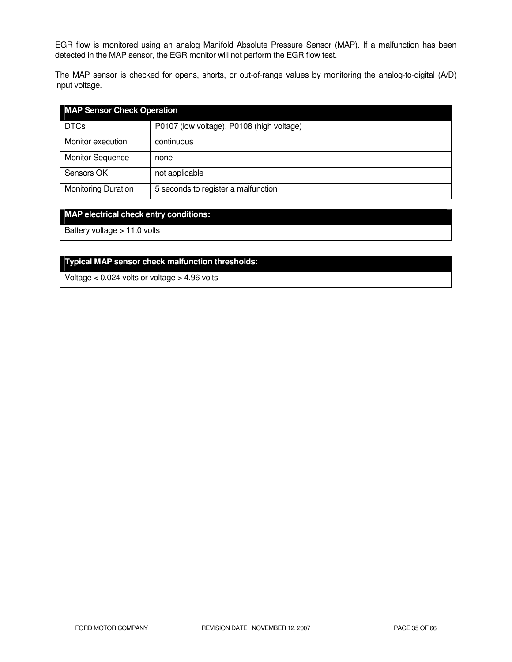EGR flow is monitored using an analog Manifold Absolute Pressure Sensor (MAP). If a malfunction has been detected in the MAP sensor, the EGR monitor will not perform the EGR flow test.

The MAP sensor is checked for opens, shorts, or out-of-range values by monitoring the analog-to-digital (A/D) input voltage.

| <b>MAP Sensor Check Operation</b> |                                           |
|-----------------------------------|-------------------------------------------|
| <b>DTCs</b>                       | P0107 (low voltage), P0108 (high voltage) |
| Monitor execution                 | continuous                                |
| <b>Monitor Sequence</b>           | none                                      |
| Sensors OK                        | not applicable                            |
| <b>Monitoring Duration</b>        | 5 seconds to register a malfunction       |

# **MAP electrical check entry conditions:**

Battery voltage > 11.0 volts

# **Typical MAP sensor check malfunction thresholds:**

Voltage < 0.024 volts or voltage > 4.96 volts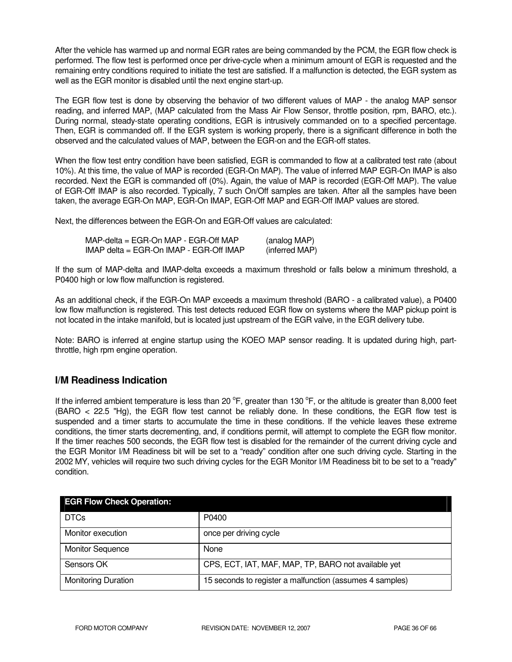After the vehicle has warmed up and normal EGR rates are being commanded by the PCM, the EGR flow check is performed. The flow test is performed once per drive-cycle when a minimum amount of EGR is requested and the remaining entry conditions required to initiate the test are satisfied. If a malfunction is detected, the EGR system as well as the EGR monitor is disabled until the next engine start-up.

The EGR flow test is done by observing the behavior of two different values of MAP - the analog MAP sensor reading, and inferred MAP, (MAP calculated from the Mass Air Flow Sensor, throttle position, rpm, BARO, etc.). During normal, steady-state operating conditions, EGR is intrusively commanded on to a specified percentage. Then, EGR is commanded off. If the EGR system is working properly, there is a significant difference in both the observed and the calculated values of MAP, between the EGR-on and the EGR-off states.

When the flow test entry condition have been satisfied, EGR is commanded to flow at a calibrated test rate (about 10%). At this time, the value of MAP is recorded (EGR-On MAP). The value of inferred MAP EGR-On IMAP is also recorded. Next the EGR is commanded off (0%). Again, the value of MAP is recorded (EGR-Off MAP). The value of EGR-Off IMAP is also recorded. Typically, 7 such On/Off samples are taken. After all the samples have been taken, the average EGR-On MAP, EGR-On IMAP, EGR-Off MAP and EGR-Off IMAP values are stored.

Next, the differences between the EGR-On and EGR-Off values are calculated:

| MAP-delta = EGR-On MAP - EGR-Off MAP_   | (analog MAP)   |  |
|-----------------------------------------|----------------|--|
| IMAP delta = EGR-On IMAP - EGR-Off IMAP | (inferred MAP) |  |

If the sum of MAP-delta and IMAP-delta exceeds a maximum threshold or falls below a minimum threshold, a P0400 high or low flow malfunction is registered.

As an additional check, if the EGR-On MAP exceeds a maximum threshold (BARO - a calibrated value), a P0400 low flow malfunction is registered. This test detects reduced EGR flow on systems where the MAP pickup point is not located in the intake manifold, but is located just upstream of the EGR valve, in the EGR delivery tube.

Note: BARO is inferred at engine startup using the KOEO MAP sensor reading. It is updated during high, partthrottle, high rpm engine operation.

# **I/M Readiness Indication**

If the inferred ambient temperature is less than 20  $^{\circ}$ F, greater than 130  $^{\circ}$ F, or the altitude is greater than 8,000 feet (BARO < 22.5 "Hg), the EGR flow test cannot be reliably done. In these conditions, the EGR flow test is suspended and a timer starts to accumulate the time in these conditions. If the vehicle leaves these extreme conditions, the timer starts decrementing, and, if conditions permit, will attempt to complete the EGR flow monitor. If the timer reaches 500 seconds, the EGR flow test is disabled for the remainder of the current driving cycle and the EGR Monitor I/M Readiness bit will be set to a "ready" condition after one such driving cycle. Starting in the 2002 MY, vehicles will require two such driving cycles for the EGR Monitor I/M Readiness bit to be set to a "ready" condition.

| <b>EGR Flow Check Operation:</b> |                                                          |
|----------------------------------|----------------------------------------------------------|
| <b>DTCs</b>                      | P0400                                                    |
| Monitor execution                | once per driving cycle                                   |
| <b>Monitor Sequence</b>          | None                                                     |
| Sensors OK                       | CPS, ECT, IAT, MAF, MAP, TP, BARO not available yet      |
| <b>Monitoring Duration</b>       | 15 seconds to register a malfunction (assumes 4 samples) |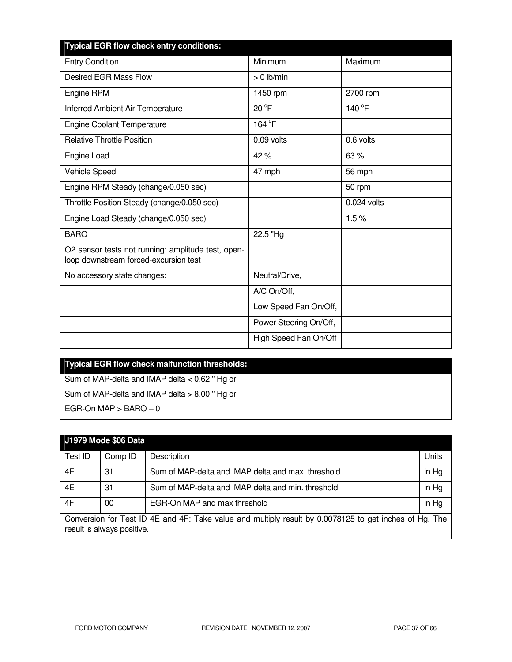| <b>Typical EGR flow check entry conditions:</b>                                             |                        |               |
|---------------------------------------------------------------------------------------------|------------------------|---------------|
| <b>Entry Condition</b>                                                                      | Minimum                | Maximum       |
| <b>Desired EGR Mass Flow</b>                                                                | $> 0$ lb/min           |               |
| Engine RPM                                                                                  | 1450 rpm               | 2700 rpm      |
| Inferred Ambient Air Temperature                                                            | $20^{\circ}$ F         | 140 °F        |
| <b>Engine Coolant Temperature</b>                                                           | 164 °F                 |               |
| <b>Relative Throttle Position</b>                                                           | 0.09 volts             | 0.6 volts     |
| Engine Load                                                                                 | 42%                    | 63 %          |
| Vehicle Speed                                                                               | 47 mph                 | 56 mph        |
| Engine RPM Steady (change/0.050 sec)                                                        |                        | 50 rpm        |
| Throttle Position Steady (change/0.050 sec)                                                 |                        | $0.024$ volts |
| Engine Load Steady (change/0.050 sec)                                                       |                        | 1.5%          |
| <b>BARO</b>                                                                                 | 22.5 "Hg               |               |
| O2 sensor tests not running: amplitude test, open-<br>loop downstream forced-excursion test |                        |               |
| No accessory state changes:                                                                 | Neutral/Drive,         |               |
|                                                                                             | A/C On/Off,            |               |
|                                                                                             | Low Speed Fan On/Off,  |               |
|                                                                                             | Power Steering On/Off, |               |
|                                                                                             | High Speed Fan On/Off  |               |

# **Typical EGR flow check malfunction thresholds:**  Sum of MAP-delta and IMAP delta < 0.62 " Hg or

Sum of MAP-delta and IMAP delta > 8.00 " Hg or

EGR-On MAP  $>$  BARO  $-0$ 

# **J1979 Mode \$06 Data**  Test ID | Comp ID | Description | Units 4E 31 Sum of MAP-delta and IMAP delta and max. threshold in Hg 4E 31 Sum of MAP-delta and IMAP delta and min. threshold in Hg 4F 00 EGR-On MAP and max threshold in Hg in Hg Conversion for Test ID 4E and 4F: Take value and multiply result by 0.0078125 to get inches of Hg. The result is always positive.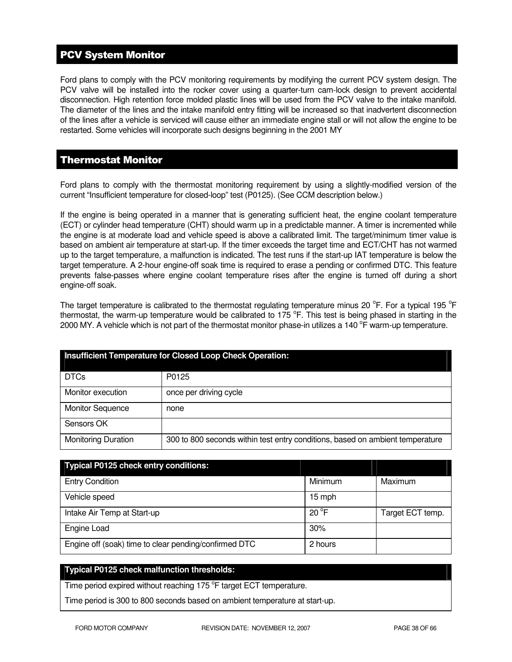# PCV System Monitor

Ford plans to comply with the PCV monitoring requirements by modifying the current PCV system design. The PCV valve will be installed into the rocker cover using a quarter-turn cam-lock design to prevent accidental disconnection. High retention force molded plastic lines will be used from the PCV valve to the intake manifold. The diameter of the lines and the intake manifold entry fitting will be increased so that inadvertent disconnection of the lines after a vehicle is serviced will cause either an immediate engine stall or will not allow the engine to be restarted. Some vehicles will incorporate such designs beginning in the 2001 MY

# Thermostat Monitor

Ford plans to comply with the thermostat monitoring requirement by using a slightly-modified version of the current "Insufficient temperature for closed-loop" test (P0125). (See CCM description below.)

If the engine is being operated in a manner that is generating sufficient heat, the engine coolant temperature (ECT) or cylinder head temperature (CHT) should warm up in a predictable manner. A timer is incremented while the engine is at moderate load and vehicle speed is above a calibrated limit. The target/minimum timer value is based on ambient air temperature at start-up. If the timer exceeds the target time and ECT/CHT has not warmed up to the target temperature, a malfunction is indicated. The test runs if the start-up IAT temperature is below the target temperature. A 2-hour engine-off soak time is required to erase a pending or confirmed DTC. This feature prevents false-passes where engine coolant temperature rises after the engine is turned off during a short engine-off soak.

The target temperature is calibrated to the thermostat regulating temperature minus 20  $\rm{^oF}$ . For a typical 195  $\rm{^oF}$ thermostat, the warm-up temperature would be calibrated to 175  $\degree$ F. This test is being phased in starting in the 2000 MY. A vehicle which is not part of the thermostat monitor phase-in utilizes a 140  $\rm{^oF}$  warm-up temperature.

| Insufficient Temperature for Closed Loop Check Operation: |                                                                               |  |
|-----------------------------------------------------------|-------------------------------------------------------------------------------|--|
| <b>DTCs</b>                                               | P0125                                                                         |  |
| Monitor execution                                         | once per driving cycle                                                        |  |
| <b>Monitor Sequence</b>                                   | none                                                                          |  |
| Sensors OK                                                |                                                                               |  |
| <b>Monitoring Duration</b>                                | 300 to 800 seconds within test entry conditions, based on ambient temperature |  |

| <b>Typical P0125 check entry conditions:</b>          |                |                  |
|-------------------------------------------------------|----------------|------------------|
| <b>Entry Condition</b>                                | Minimum        | Maximum          |
| Vehicle speed                                         | 15 mph         |                  |
| Intake Air Temp at Start-up                           | $20^{\circ}$ F | Target ECT temp. |
| Engine Load                                           | 30%            |                  |
| Engine off (soak) time to clear pending/confirmed DTC | 2 hours        |                  |

# **Typical P0125 check malfunction thresholds:**

Time period expired without reaching 175 °F target ECT temperature.

Time period is 300 to 800 seconds based on ambient temperature at start-up.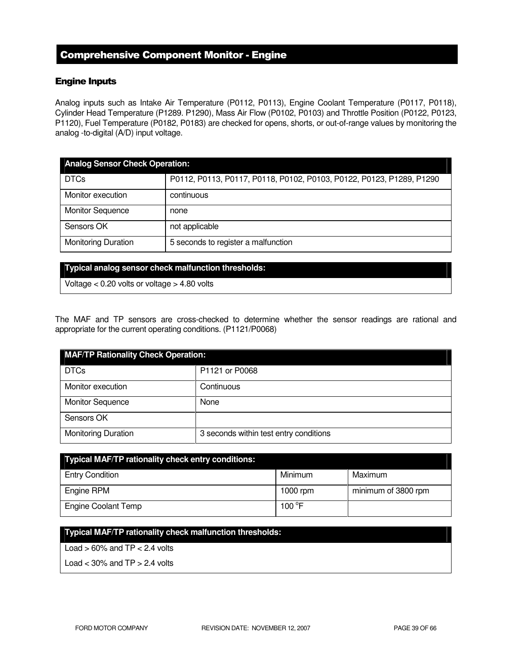# Comprehensive Component Monitor - Engine

# Engine Inputs

Analog inputs such as Intake Air Temperature (P0112, P0113), Engine Coolant Temperature (P0117, P0118), Cylinder Head Temperature (P1289. P1290), Mass Air Flow (P0102, P0103) and Throttle Position (P0122, P0123, P1120), Fuel Temperature (P0182, P0183) are checked for opens, shorts, or out-of-range values by monitoring the analog -to-digital (A/D) input voltage.

| <b>Analog Sensor Check Operation:</b> |                                                                      |  |
|---------------------------------------|----------------------------------------------------------------------|--|
| <b>DTCs</b>                           | P0112, P0113, P0117, P0118, P0102, P0103, P0122, P0123, P1289, P1290 |  |
| Monitor execution                     | continuous                                                           |  |
| <b>Monitor Sequence</b>               | none                                                                 |  |
| Sensors OK                            | not applicable                                                       |  |
| <b>Monitoring Duration</b>            | 5 seconds to register a malfunction                                  |  |

#### **Typical analog sensor check malfunction thresholds:**

Voltage < 0.20 volts or voltage > 4.80 volts

The MAF and TP sensors are cross-checked to determine whether the sensor readings are rational and appropriate for the current operating conditions. (P1121/P0068)

| <b>MAF/TP Rationality Check Operation:</b> |                                        |  |
|--------------------------------------------|----------------------------------------|--|
| <b>DTCs</b>                                | P1121 or P0068                         |  |
| Monitor execution                          | Continuous                             |  |
| <b>Monitor Sequence</b>                    | None                                   |  |
| Sensors OK                                 |                                        |  |
| <b>Monitoring Duration</b>                 | 3 seconds within test entry conditions |  |

| <b>Typical MAF/TP rationality check entry conditions:</b> |                 |                     |
|-----------------------------------------------------------|-----------------|---------------------|
| <b>Entry Condition</b>                                    | Minimum         | Maximum             |
| Engine RPM                                                | 1000 rpm        | minimum of 3800 rpm |
| <b>Engine Coolant Temp</b>                                | 100 $\degree$ F |                     |

## **Typical MAF/TP rationality check malfunction thresholds:**

Load  $> 60\%$  and TP  $< 2.4$  volts

Load  $<$  30% and TP  $>$  2.4 volts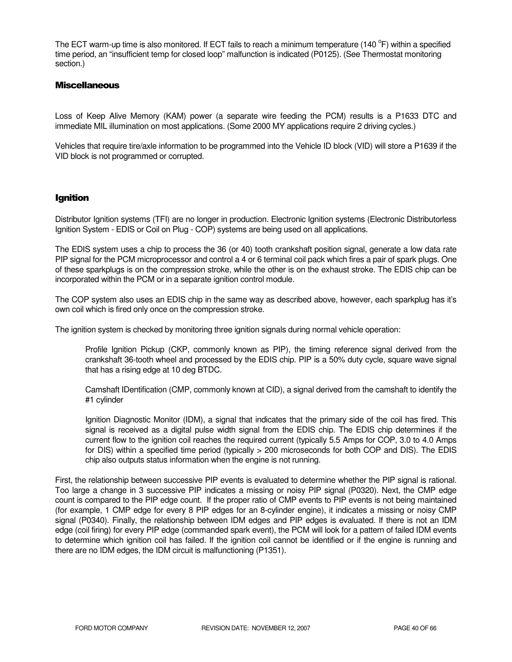The ECT warm-up time is also monitored. If ECT fails to reach a minimum temperature (140 °F) within a specified time period, an "insufficient temp for closed loop" malfunction is indicated (P0125). (See Thermostat monitoring section.)

## **Miscellaneous**

Loss of Keep Alive Memory (KAM) power (a separate wire feeding the PCM) results is a P1633 DTC and immediate MIL illumination on most applications. (Some 2000 MY applications require 2 driving cycles.)

Vehicles that require tire/axle information to be programmed into the Vehicle ID block (VID) will store a P1639 if the VID block is not programmed or corrupted.

# Ignition

Distributor Ignition systems (TFI) are no longer in production. Electronic Ignition systems (Electronic Distributorless Ignition System - EDIS or Coil on Plug - COP) systems are being used on all applications.

The EDIS system uses a chip to process the 36 (or 40) tooth crankshaft position signal, generate a low data rate PIP signal for the PCM microprocessor and control a 4 or 6 terminal coil pack which fires a pair of spark plugs. One of these sparkplugs is on the compression stroke, while the other is on the exhaust stroke. The EDIS chip can be incorporated within the PCM or in a separate ignition control module.

The COP system also uses an EDIS chip in the same way as described above, however, each sparkplug has it's own coil which is fired only once on the compression stroke.

The ignition system is checked by monitoring three ignition signals during normal vehicle operation:

Profile Ignition Pickup (CKP, commonly known as PIP), the timing reference signal derived from the crankshaft 36-tooth wheel and processed by the EDIS chip. PIP is a 50% duty cycle, square wave signal that has a rising edge at 10 deg BTDC.

Camshaft IDentification (CMP, commonly known at CID), a signal derived from the camshaft to identify the #1 cylinder

Ignition Diagnostic Monitor (IDM), a signal that indicates that the primary side of the coil has fired. This signal is received as a digital pulse width signal from the EDIS chip. The EDIS chip determines if the current flow to the ignition coil reaches the required current (typically 5.5 Amps for COP, 3.0 to 4.0 Amps for DIS) within a specified time period (typically > 200 microseconds for both COP and DIS). The EDIS chip also outputs status information when the engine is not running.

First, the relationship between successive PIP events is evaluated to determine whether the PIP signal is rational. Too large a change in 3 successive PIP indicates a missing or noisy PIP signal (P0320). Next, the CMP edge count is compared to the PIP edge count. If the proper ratio of CMP events to PIP events is not being maintained (for example, 1 CMP edge for every 8 PIP edges for an 8-cylinder engine), it indicates a missing or noisy CMP signal (P0340). Finally, the relationship between IDM edges and PIP edges is evaluated. If there is not an IDM edge (coil firing) for every PIP edge (commanded spark event), the PCM will look for a pattern of failed IDM events to determine which ignition coil has failed. If the ignition coil cannot be identified or if the engine is running and there are no IDM edges, the IDM circuit is malfunctioning (P1351).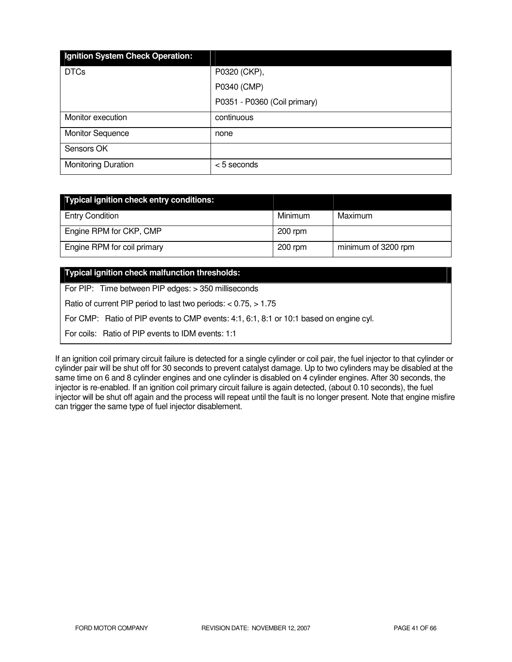| Ignition System Check Operation: |                              |
|----------------------------------|------------------------------|
| <b>DTCs</b>                      | P0320 (CKP),                 |
|                                  | P0340 (CMP)                  |
|                                  | P0351 - P0360 (Coil primary) |
| Monitor execution                | continuous                   |
| <b>Monitor Sequence</b>          | none                         |
| Sensors OK                       |                              |
| <b>Monitoring Duration</b>       | <5 seconds                   |

| Typical ignition check entry conditions: |           |                     |
|------------------------------------------|-----------|---------------------|
| <b>Entry Condition</b>                   | Minimum   | Maximum             |
| Engine RPM for CKP, CMP                  | $200$ rpm |                     |
| Engine RPM for coil primary              | $200$ rpm | minimum of 3200 rpm |

# **Typical ignition check malfunction thresholds:**

For PIP: Time between PIP edges: > 350 milliseconds

Ratio of current PIP period to last two periods: < 0.75, > 1.75

For CMP: Ratio of PIP events to CMP events: 4:1, 6:1, 8:1 or 10:1 based on engine cyl.

For coils: Ratio of PIP events to IDM events: 1:1

If an ignition coil primary circuit failure is detected for a single cylinder or coil pair, the fuel injector to that cylinder or cylinder pair will be shut off for 30 seconds to prevent catalyst damage. Up to two cylinders may be disabled at the same time on 6 and 8 cylinder engines and one cylinder is disabled on 4 cylinder engines. After 30 seconds, the injector is re-enabled. If an ignition coil primary circuit failure is again detected, (about 0.10 seconds), the fuel injector will be shut off again and the process will repeat until the fault is no longer present. Note that engine misfire can trigger the same type of fuel injector disablement.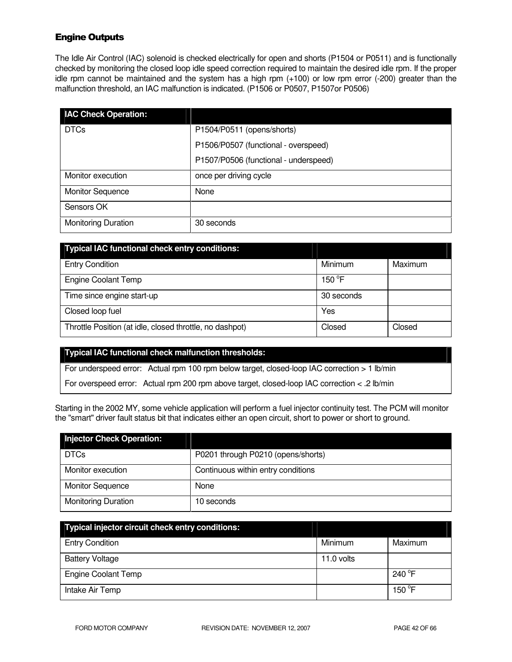# Engine Outputs

The Idle Air Control (IAC) solenoid is checked electrically for open and shorts (P1504 or P0511) and is functionally checked by monitoring the closed loop idle speed correction required to maintain the desired idle rpm. If the proper idle rpm cannot be maintained and the system has a high rpm (+100) or low rpm error (-200) greater than the malfunction threshold, an IAC malfunction is indicated. (P1506 or P0507, P1507or P0506)

| <b>IAC Check Operation:</b> |                                       |
|-----------------------------|---------------------------------------|
| <b>DTCs</b>                 | P1504/P0511 (opens/shorts)            |
|                             | P1506/P0507 (functional - overspeed)  |
|                             | P1507/P0506 (functional - underspeed) |
| Monitor execution           | once per driving cycle                |
| <b>Monitor Sequence</b>     | None                                  |
| Sensors OK                  |                                       |
| <b>Monitoring Duration</b>  | 30 seconds                            |

| <b>Typical IAC functional check entry conditions:</b>    |            |         |
|----------------------------------------------------------|------------|---------|
| <b>Entry Condition</b>                                   | Minimum    | Maximum |
| <b>Engine Coolant Temp</b>                               | 150 °F     |         |
| Time since engine start-up                               | 30 seconds |         |
| Closed loop fuel                                         | Yes        |         |
| Throttle Position (at idle, closed throttle, no dashpot) | Closed     | Closed  |

## **Typical IAC functional check malfunction thresholds:**

For underspeed error: Actual rpm 100 rpm below target, closed-loop IAC correction > 1 lb/min

For overspeed error: Actual rpm 200 rpm above target, closed-loop IAC correction < .2 lb/min

Starting in the 2002 MY, some vehicle application will perform a fuel injector continuity test. The PCM will monitor the "smart" driver fault status bit that indicates either an open circuit, short to power or short to ground.

| <b>Injector Check Operation:</b> |                                    |
|----------------------------------|------------------------------------|
| <b>DTCs</b>                      | P0201 through P0210 (opens/shorts) |
| Monitor execution                | Continuous within entry conditions |
| <b>Monitor Sequence</b>          | None                               |
| <b>Monitoring Duration</b>       | 10 seconds                         |

| Typical injector circuit check entry conditions: |              |                  |
|--------------------------------------------------|--------------|------------------|
| <b>Entry Condition</b>                           | Minimum      | Maximum          |
| <b>Battery Voltage</b>                           | $11.0$ volts |                  |
| <b>Engine Coolant Temp</b>                       |              | 240 $^{\circ}$ F |
| Intake Air Temp                                  |              | 150 $\degree$ F  |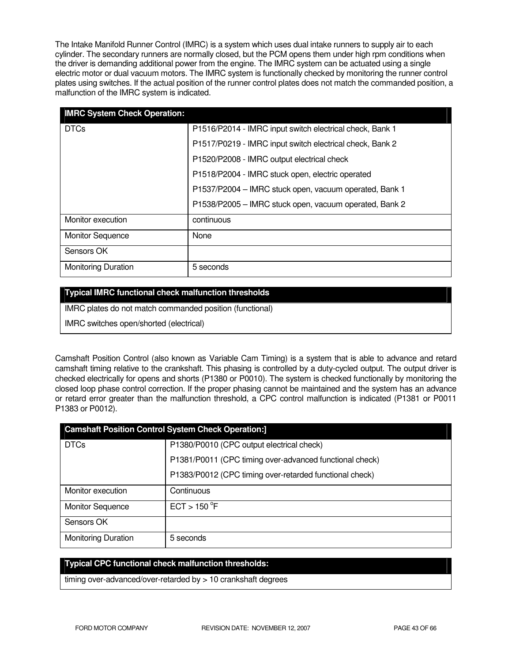The Intake Manifold Runner Control (IMRC) is a system which uses dual intake runners to supply air to each cylinder. The secondary runners are normally closed, but the PCM opens them under high rpm conditions when the driver is demanding additional power from the engine. The IMRC system can be actuated using a single electric motor or dual vacuum motors. The IMRC system is functionally checked by monitoring the runner control plates using switches. If the actual position of the runner control plates does not match the commanded position, a malfunction of the IMRC system is indicated.

| <b>IMRC System Check Operation:</b> |                                                          |
|-------------------------------------|----------------------------------------------------------|
| <b>DTCs</b>                         | P1516/P2014 - IMRC input switch electrical check, Bank 1 |
|                                     | P1517/P0219 - IMRC input switch electrical check, Bank 2 |
|                                     | P1520/P2008 - IMRC output electrical check               |
|                                     | P1518/P2004 - IMRC stuck open, electric operated         |
|                                     | P1537/P2004 - IMRC stuck open, vacuum operated, Bank 1   |
|                                     | P1538/P2005 - IMRC stuck open, vacuum operated, Bank 2   |
| Monitor execution                   | continuous                                               |
| <b>Monitor Sequence</b>             | None                                                     |
| Sensors OK                          |                                                          |
| <b>Monitoring Duration</b>          | 5 seconds                                                |

## **Typical IMRC functional check malfunction thresholds**

IMRC plates do not match commanded position (functional)

IMRC switches open/shorted (electrical)

Camshaft Position Control (also known as Variable Cam Timing) is a system that is able to advance and retard camshaft timing relative to the crankshaft. This phasing is controlled by a duty-cycled output. The output driver is checked electrically for opens and shorts (P1380 or P0010). The system is checked functionally by monitoring the closed loop phase control correction. If the proper phasing cannot be maintained and the system has an advance or retard error greater than the malfunction threshold, a CPC control malfunction is indicated (P1381 or P0011 P1383 or P0012).

| <b>Camshaft Position Control System Check Operation:]</b> |                                                         |  |
|-----------------------------------------------------------|---------------------------------------------------------|--|
| <b>DTCs</b>                                               | P1380/P0010 (CPC output electrical check)               |  |
|                                                           | P1381/P0011 (CPC timing over-advanced functional check) |  |
|                                                           | P1383/P0012 (CPC timing over-retarded functional check) |  |
| Monitor execution                                         | Continuous                                              |  |
| <b>Monitor Sequence</b>                                   | ECT > 150 °F                                            |  |
| Sensors OK                                                |                                                         |  |
| <b>Monitoring Duration</b>                                | 5 seconds                                               |  |

# **Typical CPC functional check malfunction thresholds:**

timing over-advanced/over-retarded by > 10 crankshaft degrees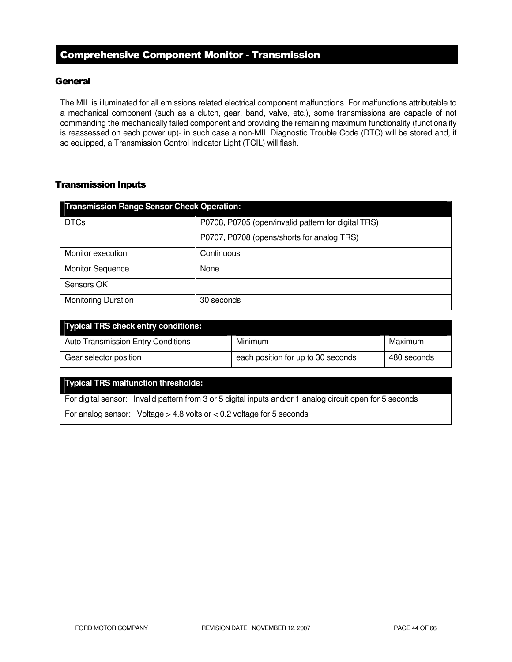# Comprehensive Component Monitor - Transmission

## **General**

The MIL is illuminated for all emissions related electrical component malfunctions. For malfunctions attributable to a mechanical component (such as a clutch, gear, band, valve, etc.), some transmissions are capable of not commanding the mechanically failed component and providing the remaining maximum functionality (functionality is reassessed on each power up)- in such case a non-MIL Diagnostic Trouble Code (DTC) will be stored and, if so equipped, a Transmission Control Indicator Light (TCIL) will flash.

# Transmission Inputs

| <b>Transmission Range Sensor Check Operation:</b> |                                                     |  |
|---------------------------------------------------|-----------------------------------------------------|--|
| <b>DTCs</b>                                       | P0708, P0705 (open/invalid pattern for digital TRS) |  |
|                                                   | P0707, P0708 (opens/shorts for analog TRS)          |  |
| Monitor execution                                 | Continuous                                          |  |
| <b>Monitor Sequence</b>                           | None                                                |  |
| Sensors OK                                        |                                                     |  |
| <b>Monitoring Duration</b>                        | 30 seconds                                          |  |

| <b>Typical TRS check entry conditions:</b> |                                    |             |
|--------------------------------------------|------------------------------------|-------------|
| <b>Auto Transmission Entry Conditions</b>  | Minimum                            | Maximum     |
| Gear selector position                     | each position for up to 30 seconds | 480 seconds |

# **Typical TRS malfunction thresholds:**

For digital sensor: Invalid pattern from 3 or 5 digital inputs and/or 1 analog circuit open for 5 seconds

For analog sensor: Voltage  $> 4.8$  volts or  $< 0.2$  voltage for 5 seconds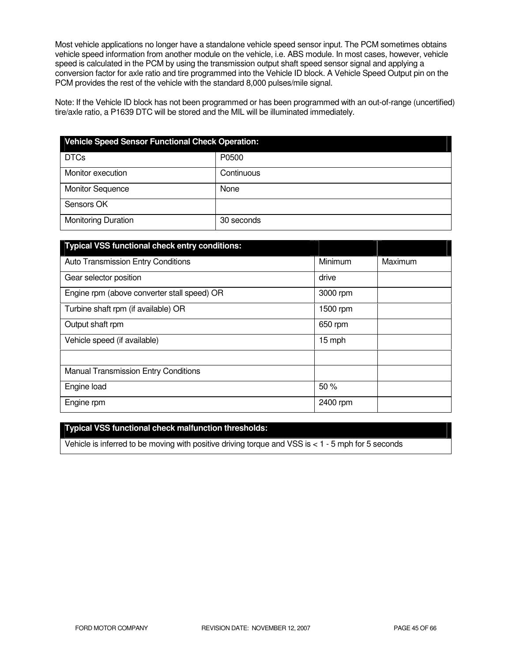Most vehicle applications no longer have a standalone vehicle speed sensor input. The PCM sometimes obtains vehicle speed information from another module on the vehicle, i.e. ABS module. In most cases, however, vehicle speed is calculated in the PCM by using the transmission output shaft speed sensor signal and applying a conversion factor for axle ratio and tire programmed into the Vehicle ID block. A Vehicle Speed Output pin on the PCM provides the rest of the vehicle with the standard 8,000 pulses/mile signal.

Note: If the Vehicle ID block has not been programmed or has been programmed with an out-of-range (uncertified) tire/axle ratio, a P1639 DTC will be stored and the MIL will be illuminated immediately.

| <b>Vehicle Speed Sensor Functional Check Operation:</b> |            |  |
|---------------------------------------------------------|------------|--|
| <b>DTCs</b>                                             | P0500      |  |
| Monitor execution                                       | Continuous |  |
| <b>Monitor Sequence</b>                                 | None       |  |
| Sensors OK                                              |            |  |
| <b>Monitoring Duration</b>                              | 30 seconds |  |

| <b>Typical VSS functional check entry conditions:</b> |          |         |
|-------------------------------------------------------|----------|---------|
| <b>Auto Transmission Entry Conditions</b>             | Minimum  | Maximum |
| Gear selector position                                | drive    |         |
| Engine rpm (above converter stall speed) OR           | 3000 rpm |         |
| Turbine shaft rpm (if available) OR                   | 1500 rpm |         |
| Output shaft rpm                                      | 650 rpm  |         |
| Vehicle speed (if available)                          | 15 mph   |         |
|                                                       |          |         |
| <b>Manual Transmission Entry Conditions</b>           |          |         |
| Engine load                                           | 50%      |         |
| Engine rpm                                            | 2400 rpm |         |

# **Typical VSS functional check malfunction thresholds:**

Vehicle is inferred to be moving with positive driving torque and VSS is < 1 - 5 mph for 5 seconds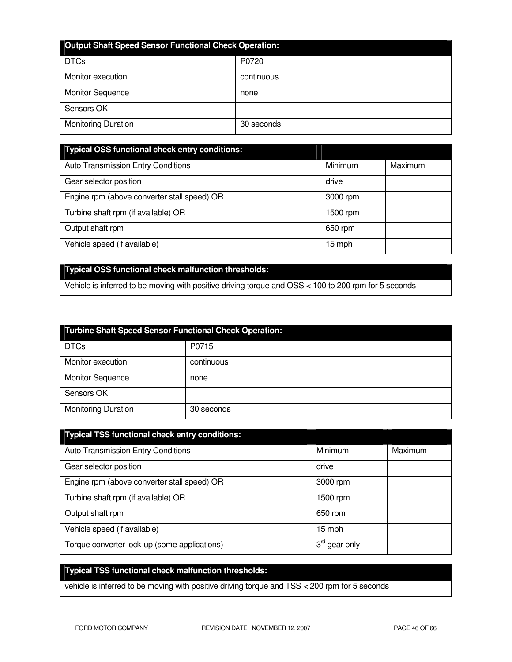| <b>Output Shaft Speed Sensor Functional Check Operation:</b> |            |  |
|--------------------------------------------------------------|------------|--|
| <b>DTCs</b>                                                  | P0720      |  |
| Monitor execution                                            | continuous |  |
| <b>Monitor Sequence</b>                                      | none       |  |
| Sensors OK                                                   |            |  |
| <b>Monitoring Duration</b>                                   | 30 seconds |  |

| Typical OSS functional check entry conditions: |          |         |
|------------------------------------------------|----------|---------|
| Auto Transmission Entry Conditions             | Minimum  | Maximum |
| Gear selector position                         | drive    |         |
| Engine rpm (above converter stall speed) OR    | 3000 rpm |         |
| Turbine shaft rpm (if available) OR            | 1500 rpm |         |
| Output shaft rpm                               | 650 rpm  |         |
| Vehicle speed (if available)                   | 15 mph   |         |

# **Typical OSS functional check malfunction thresholds:**

Vehicle is inferred to be moving with positive driving torque and OSS < 100 to 200 rpm for 5 seconds

| <b>Turbine Shaft Speed Sensor Functional Check Operation:</b> |            |  |
|---------------------------------------------------------------|------------|--|
| <b>DTCs</b>                                                   | P0715      |  |
| Monitor execution                                             | continuous |  |
| <b>Monitor Sequence</b>                                       | none       |  |
| Sensors OK                                                    |            |  |
| <b>Monitoring Duration</b>                                    | 30 seconds |  |

| <b>Typical TSS functional check entry conditions:</b> |                           |         |
|-------------------------------------------------------|---------------------------|---------|
| <b>Auto Transmission Entry Conditions</b>             | Minimum                   | Maximum |
| Gear selector position                                | drive                     |         |
| Engine rpm (above converter stall speed) OR           | 3000 rpm                  |         |
| Turbine shaft rpm (if available) OR                   | 1500 rpm                  |         |
| Output shaft rpm                                      | 650 rpm                   |         |
| Vehicle speed (if available)                          | 15 mph                    |         |
| Torque converter lock-up (some applications)          | $3^{\text{rd}}$ gear only |         |

# **Typical TSS functional check malfunction thresholds:**

vehicle is inferred to be moving with positive driving torque and TSS < 200 rpm for 5 seconds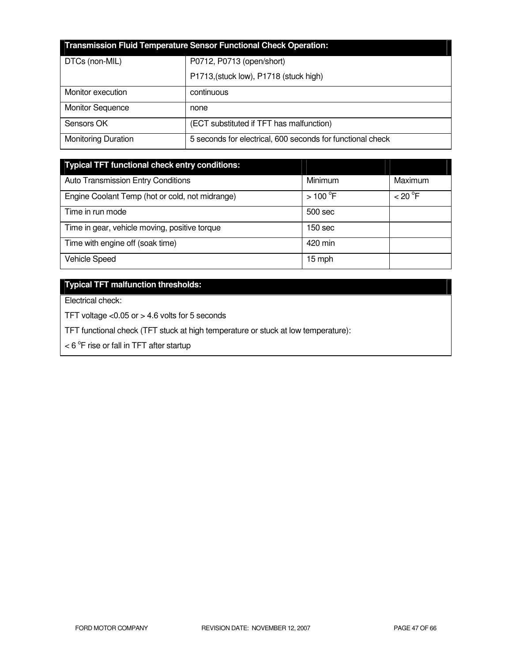| <b>Transmission Fluid Temperature Sensor Functional Check Operation:</b> |                                                            |  |
|--------------------------------------------------------------------------|------------------------------------------------------------|--|
| DTCs (non-MIL)                                                           | P0712, P0713 (open/short)                                  |  |
|                                                                          | P1713, (stuck low), P1718 (stuck high)                     |  |
| Monitor execution                                                        | continuous                                                 |  |
| <b>Monitor Sequence</b>                                                  | none                                                       |  |
| Sensors OK                                                               | (ECT substituted if TFT has malfunction)                   |  |
| <b>Monitoring Duration</b>                                               | 5 seconds for electrical, 600 seconds for functional check |  |

| <b>Typical TFT functional check entry conditions:</b> |                  |         |
|-------------------------------------------------------|------------------|---------|
| <b>Auto Transmission Entry Conditions</b>             | Minimum          | Maximum |
| Engine Coolant Temp (hot or cold, not midrange)       | $>100^{\circ}$ F | < 20 °F |
| Time in run mode                                      | 500 sec          |         |
| Time in gear, vehicle moving, positive torque         | 150 sec          |         |
| Time with engine off (soak time)                      | 420 min          |         |
| Vehicle Speed                                         | 15 mph           |         |

# **Typical TFT malfunction thresholds:**

Electrical check:

TFT voltage <0.05 or > 4.6 volts for 5 seconds

TFT functional check (TFT stuck at high temperature or stuck at low temperature):

 $<$  6  $\mathrm{^{\circ}F}$  rise or fall in TFT after startup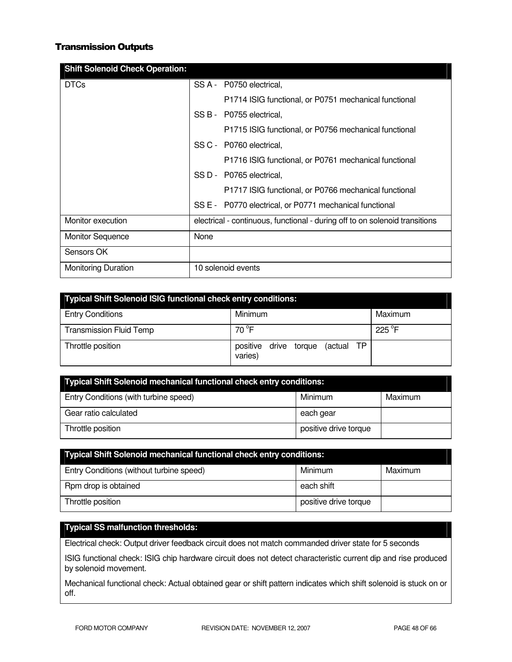# Transmission Outputs

| <b>Shift Solenoid Check Operation:</b> |                                                                             |
|----------------------------------------|-----------------------------------------------------------------------------|
| <b>DTCs</b>                            | SS A - P0750 electrical,                                                    |
|                                        | P1714 ISIG functional, or P0751 mechanical functional                       |
|                                        | SS B - P0755 electrical,                                                    |
|                                        | P1715 ISIG functional, or P0756 mechanical functional                       |
|                                        | SS C - P0760 electrical.                                                    |
|                                        | P1716 ISIG functional, or P0761 mechanical functional                       |
|                                        | SS D - P0765 electrical,                                                    |
|                                        | P1717 ISIG functional, or P0766 mechanical functional                       |
|                                        | SS E - P0770 electrical, or P0771 mechanical functional                     |
| Monitor execution                      | electrical - continuous, functional - during off to on solenoid transitions |
| <b>Monitor Sequence</b>                | None                                                                        |
| Sensors OK                             |                                                                             |
| <b>Monitoring Duration</b>             | 10 solenoid events                                                          |

| <b>Typical Shift Solenoid ISIG functional check entry conditions:</b> |                                                   |         |  |
|-----------------------------------------------------------------------|---------------------------------------------------|---------|--|
| <b>Entry Conditions</b>                                               | Minimum                                           | Maximum |  |
| <b>Transmission Fluid Temp</b>                                        | 70 °F                                             | 225 °F  |  |
| Throttle position                                                     | (actual TP<br>positive<br>drive torque<br>varies) |         |  |

| Typical Shift Solenoid mechanical functional check entry conditions: |                       |         |
|----------------------------------------------------------------------|-----------------------|---------|
| Entry Conditions (with turbine speed)                                | Minimum               | Maximum |
| Gear ratio calculated                                                | each gear             |         |
| Throttle position                                                    | positive drive torque |         |

| <b>Typical Shift Solenoid mechanical functional check entry conditions:</b> |                       |         |  |
|-----------------------------------------------------------------------------|-----------------------|---------|--|
| Entry Conditions (without turbine speed)                                    | Minimum               | Maximum |  |
| Rpm drop is obtained                                                        | each shift            |         |  |
| Throttle position                                                           | positive drive torque |         |  |

# **Typical SS malfunction thresholds:**

Electrical check: Output driver feedback circuit does not match commanded driver state for 5 seconds

ISIG functional check: ISIG chip hardware circuit does not detect characteristic current dip and rise produced by solenoid movement.

Mechanical functional check: Actual obtained gear or shift pattern indicates which shift solenoid is stuck on or off.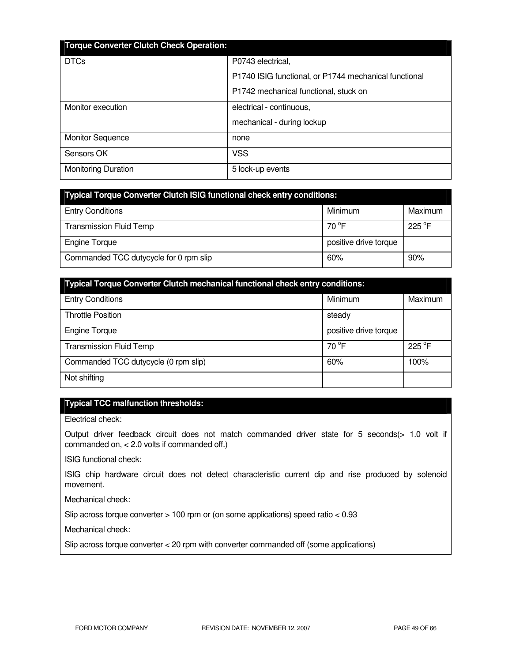| <b>Torque Converter Clutch Check Operation:</b> |                                                       |
|-------------------------------------------------|-------------------------------------------------------|
| <b>DTCs</b>                                     | P0743 electrical,                                     |
|                                                 | P1740 ISIG functional, or P1744 mechanical functional |
|                                                 | P1742 mechanical functional, stuck on                 |
| Monitor execution                               | electrical - continuous,                              |
|                                                 | mechanical - during lockup                            |
| <b>Monitor Sequence</b>                         | none                                                  |
| Sensors OK                                      | <b>VSS</b>                                            |
| <b>Monitoring Duration</b>                      | 5 lock-up events                                      |

| <b>Typical Torque Converter Clutch ISIG functional check entry conditions:</b> |                       |                 |  |
|--------------------------------------------------------------------------------|-----------------------|-----------------|--|
| <b>Entry Conditions</b>                                                        | Minimum               | Maximum         |  |
| <b>Transmission Fluid Temp</b>                                                 | 70 $\degree$ F        | $225^{\circ}$ F |  |
| <b>Engine Torque</b>                                                           | positive drive torque |                 |  |
| Commanded TCC dutycycle for 0 rpm slip                                         | 60%                   | 90%             |  |

| <b>Typical Torque Converter Clutch mechanical functional check entry conditions:</b> |                       |         |
|--------------------------------------------------------------------------------------|-----------------------|---------|
| <b>Entry Conditions</b>                                                              | Minimum               | Maximum |
| <b>Throttle Position</b>                                                             | steady                |         |
| <b>Engine Torque</b>                                                                 | positive drive torque |         |
| <b>Transmission Fluid Temp</b>                                                       | $70^{\circ}$ F        | 225 °F  |
| Commanded TCC dutycycle (0 rpm slip)                                                 | 60%                   | 100%    |
| Not shifting                                                                         |                       |         |

# **Typical TCC malfunction thresholds:**

Electrical check:

Output driver feedback circuit does not match commanded driver state for 5 seconds(> 1.0 volt if commanded on, < 2.0 volts if commanded off.)

ISIG functional check:

ISIG chip hardware circuit does not detect characteristic current dip and rise produced by solenoid movement.

Mechanical check:

Slip across torque converter > 100 rpm or (on some applications) speed ratio < 0.93

Mechanical check:

Slip across torque converter < 20 rpm with converter commanded off (some applications)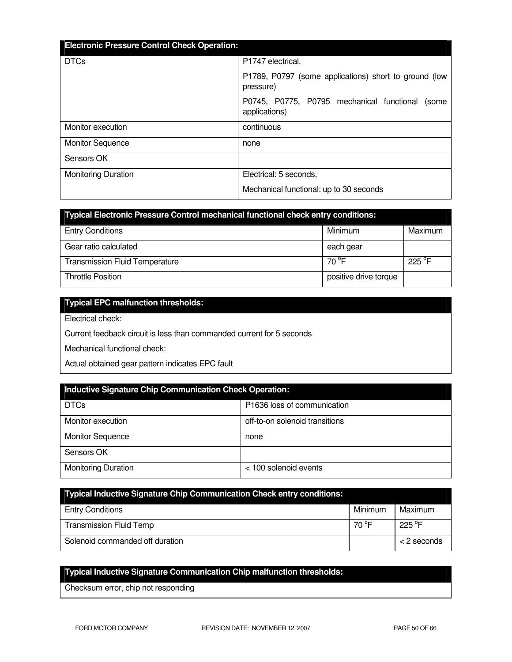| <b>Electronic Pressure Control Check Operation:</b> |                                                                     |
|-----------------------------------------------------|---------------------------------------------------------------------|
| <b>DTCs</b>                                         | P1747 electrical,                                                   |
|                                                     | P1789, P0797 (some applications) short to ground (low<br>pressure)  |
|                                                     | P0745, P0775, P0795 mechanical functional<br>(some<br>applications) |
| Monitor execution                                   | continuous                                                          |
| <b>Monitor Sequence</b>                             | none                                                                |
| Sensors OK                                          |                                                                     |
| <b>Monitoring Duration</b>                          | Electrical: 5 seconds,                                              |
|                                                     | Mechanical functional: up to 30 seconds                             |

| <b>Typical Electronic Pressure Control mechanical functional check entry conditions:</b> |                       |                  |
|------------------------------------------------------------------------------------------|-----------------------|------------------|
| <b>Entry Conditions</b>                                                                  | Minimum               | Maximum          |
| Gear ratio calculated                                                                    | each gear             |                  |
| <b>Transmission Fluid Temperature</b>                                                    | 70 °F                 | 225 $^{\circ}$ F |
| <b>Throttle Position</b>                                                                 | positive drive torque |                  |

# **Typical EPC malfunction thresholds:**

Electrical check:

Current feedback circuit is less than commanded current for 5 seconds

Mechanical functional check:

Actual obtained gear pattern indicates EPC fault

| <b>Inductive Signature Chip Communication Check Operation:</b> |                                |  |
|----------------------------------------------------------------|--------------------------------|--|
| <b>DTCs</b>                                                    | P1636 loss of communication    |  |
| Monitor execution                                              | off-to-on solenoid transitions |  |
| <b>Monitor Sequence</b>                                        | none                           |  |
| Sensors OK                                                     |                                |  |
| <b>Monitoring Duration</b>                                     | < 100 solenoid events          |  |

| Typical Inductive Signature Chip Communication Check entry conditions: |         |                  |
|------------------------------------------------------------------------|---------|------------------|
| <b>Entry Conditions</b>                                                | Minimum | Maximum          |
| <b>Transmission Fluid Temp</b>                                         | 70 °F   | 225 $^{\circ}$ F |
| Solenoid commanded off duration                                        |         | < 2 seconds      |

# **Typical Inductive Signature Communication Chip malfunction thresholds:**

Checksum error, chip not responding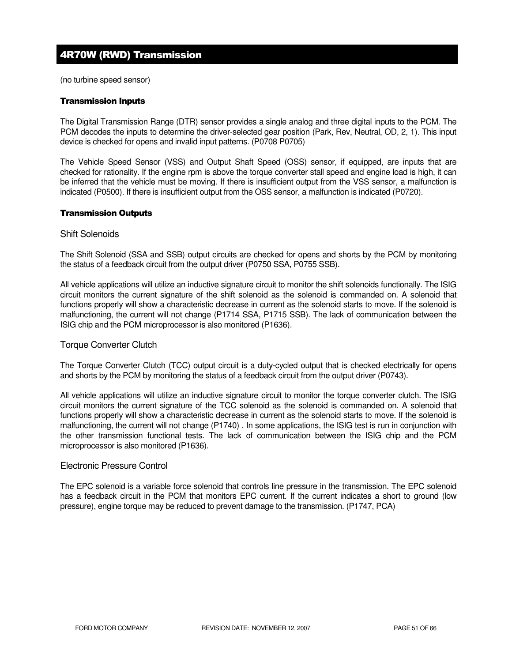# 4R70W (RWD) Transmission

(no turbine speed sensor)

#### Transmission Inputs

The Digital Transmission Range (DTR) sensor provides a single analog and three digital inputs to the PCM. The PCM decodes the inputs to determine the driver-selected gear position (Park, Rev, Neutral, OD, 2, 1). This input device is checked for opens and invalid input patterns. (P0708 P0705)

The Vehicle Speed Sensor (VSS) and Output Shaft Speed (OSS) sensor, if equipped, are inputs that are checked for rationality. If the engine rpm is above the torque converter stall speed and engine load is high, it can be inferred that the vehicle must be moving. If there is insufficient output from the VSS sensor, a malfunction is indicated (P0500). If there is insufficient output from the OSS sensor, a malfunction is indicated (P0720).

#### Transmission Outputs

#### Shift Solenoids

The Shift Solenoid (SSA and SSB) output circuits are checked for opens and shorts by the PCM by monitoring the status of a feedback circuit from the output driver (P0750 SSA, P0755 SSB).

All vehicle applications will utilize an inductive signature circuit to monitor the shift solenoids functionally. The ISIG circuit monitors the current signature of the shift solenoid as the solenoid is commanded on. A solenoid that functions properly will show a characteristic decrease in current as the solenoid starts to move. If the solenoid is malfunctioning, the current will not change (P1714 SSA, P1715 SSB). The lack of communication between the ISIG chip and the PCM microprocessor is also monitored (P1636).

## Torque Converter Clutch

The Torque Converter Clutch (TCC) output circuit is a duty-cycled output that is checked electrically for opens and shorts by the PCM by monitoring the status of a feedback circuit from the output driver (P0743).

All vehicle applications will utilize an inductive signature circuit to monitor the torque converter clutch. The ISIG circuit monitors the current signature of the TCC solenoid as the solenoid is commanded on. A solenoid that functions properly will show a characteristic decrease in current as the solenoid starts to move. If the solenoid is malfunctioning, the current will not change (P1740) . In some applications, the ISIG test is run in conjunction with the other transmission functional tests. The lack of communication between the ISIG chip and the PCM microprocessor is also monitored (P1636).

#### Electronic Pressure Control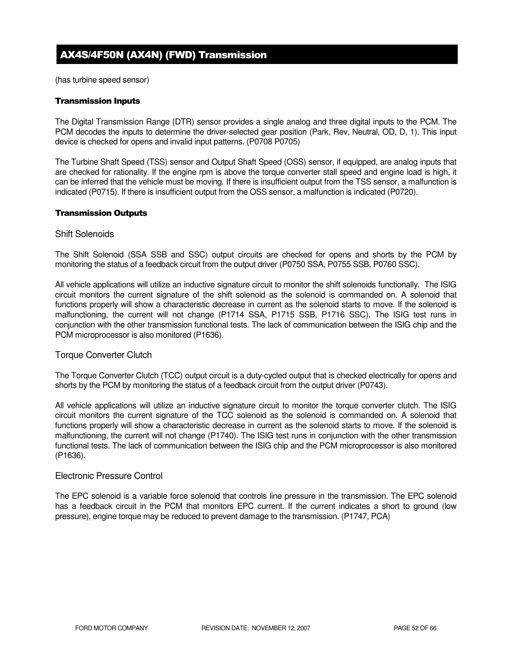# AX4S/4F50N (AX4N) (FWD) Transmission

(has turbine speed sensor)

#### Transmission Inputs

The Digital Transmission Range (DTR) sensor provides a single analog and three digital inputs to the PCM. The PCM decodes the inputs to determine the driver-selected gear position (Park, Rev, Neutral, OD, D, 1). This input device is checked for opens and invalid input patterns. (P0708 P0705)

The Turbine Shaft Speed (TSS) sensor and Output Shaft Speed (OSS) sensor, if equipped, are analog inputs that are checked for rationality. If the engine rpm is above the torque converter stall speed and engine load is high, it can be inferred that the vehicle must be moving. If there is insufficient output from the TSS sensor, a malfunction is indicated (P0715). If there is insufficient output from the OSS sensor, a malfunction is indicated (P0720).

#### Transmission Outputs

#### Shift Solenoids

The Shift Solenoid (SSA SSB and SSC) output circuits are checked for opens and shorts by the PCM by monitoring the status of a feedback circuit from the output driver (P0750 SSA, P0755 SSB, P0760 SSC).

All vehicle applications will utilize an inductive signature circuit to monitor the shift solenoids functionally. The ISIG circuit monitors the current signature of the shift solenoid as the solenoid is commanded on. A solenoid that functions properly will show a characteristic decrease in current as the solenoid starts to move. If the solenoid is malfunctioning, the current will not change (P1714 SSA, P1715 SSB, P1716 SSC). The ISIG test runs in conjunction with the other transmission functional tests. The lack of communication between the ISIG chip and the PCM microprocessor is also monitored (P1636).

## Torque Converter Clutch

The Torque Converter Clutch (TCC) output circuit is a duty-cycled output that is checked electrically for opens and shorts by the PCM by monitoring the status of a feedback circuit from the output driver (P0743).

All vehicle applications will utilize an inductive signature circuit to monitor the torque converter clutch. The ISIG circuit monitors the current signature of the TCC solenoid as the solenoid is commanded on. A solenoid that functions properly will show a characteristic decrease in current as the solenoid starts to move. If the solenoid is malfunctioning, the current will not change (P1740). The ISIG test runs in conjunction with the other transmission functional tests. The lack of communication between the ISIG chip and the PCM microprocessor is also monitored (P1636).

## Electronic Pressure Control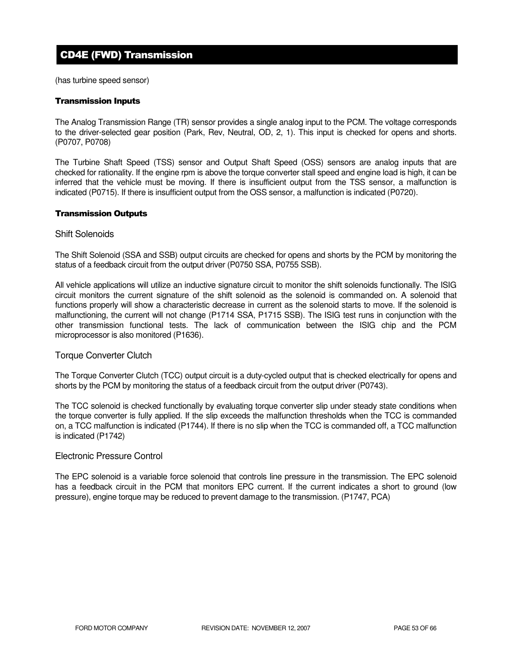# CD4E (FWD) Transmission

(has turbine speed sensor)

#### Transmission Inputs

The Analog Transmission Range (TR) sensor provides a single analog input to the PCM. The voltage corresponds to the driver-selected gear position (Park, Rev, Neutral, OD, 2, 1). This input is checked for opens and shorts. (P0707, P0708)

The Turbine Shaft Speed (TSS) sensor and Output Shaft Speed (OSS) sensors are analog inputs that are checked for rationality. If the engine rpm is above the torque converter stall speed and engine load is high, it can be inferred that the vehicle must be moving. If there is insufficient output from the TSS sensor, a malfunction is indicated (P0715). If there is insufficient output from the OSS sensor, a malfunction is indicated (P0720).

#### Transmission Outputs

#### Shift Solenoids

The Shift Solenoid (SSA and SSB) output circuits are checked for opens and shorts by the PCM by monitoring the status of a feedback circuit from the output driver (P0750 SSA, P0755 SSB).

All vehicle applications will utilize an inductive signature circuit to monitor the shift solenoids functionally. The ISIG circuit monitors the current signature of the shift solenoid as the solenoid is commanded on. A solenoid that functions properly will show a characteristic decrease in current as the solenoid starts to move. If the solenoid is malfunctioning, the current will not change (P1714 SSA, P1715 SSB). The ISIG test runs in conjunction with the other transmission functional tests. The lack of communication between the ISIG chip and the PCM microprocessor is also monitored (P1636).

## Torque Converter Clutch

The Torque Converter Clutch (TCC) output circuit is a duty-cycled output that is checked electrically for opens and shorts by the PCM by monitoring the status of a feedback circuit from the output driver (P0743).

The TCC solenoid is checked functionally by evaluating torque converter slip under steady state conditions when the torque converter is fully applied. If the slip exceeds the malfunction thresholds when the TCC is commanded on, a TCC malfunction is indicated (P1744). If there is no slip when the TCC is commanded off, a TCC malfunction is indicated (P1742)

## Electronic Pressure Control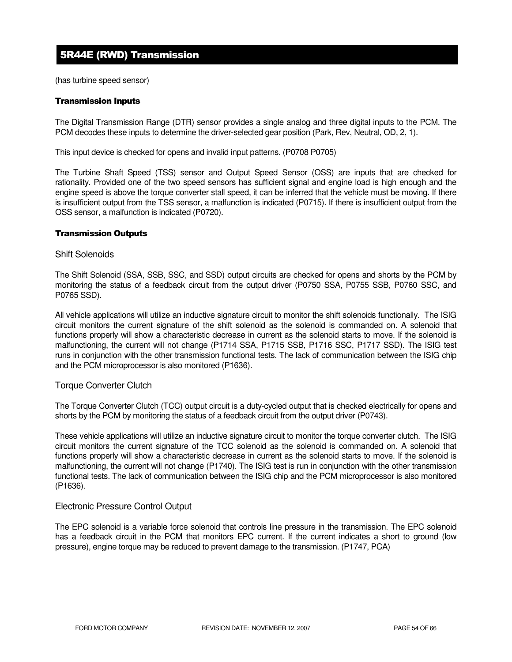# 5R44E (RWD) Transmission

(has turbine speed sensor)

#### Transmission Inputs

The Digital Transmission Range (DTR) sensor provides a single analog and three digital inputs to the PCM. The PCM decodes these inputs to determine the driver-selected gear position (Park, Rev, Neutral, OD, 2, 1).

This input device is checked for opens and invalid input patterns. (P0708 P0705)

The Turbine Shaft Speed (TSS) sensor and Output Speed Sensor (OSS) are inputs that are checked for rationality. Provided one of the two speed sensors has sufficient signal and engine load is high enough and the engine speed is above the torque converter stall speed, it can be inferred that the vehicle must be moving. If there is insufficient output from the TSS sensor, a malfunction is indicated (P0715). If there is insufficient output from the OSS sensor, a malfunction is indicated (P0720).

#### Transmission Outputs

#### Shift Solenoids

The Shift Solenoid (SSA, SSB, SSC, and SSD) output circuits are checked for opens and shorts by the PCM by monitoring the status of a feedback circuit from the output driver (P0750 SSA, P0755 SSB, P0760 SSC, and P0765 SSD).

All vehicle applications will utilize an inductive signature circuit to monitor the shift solenoids functionally. The ISIG circuit monitors the current signature of the shift solenoid as the solenoid is commanded on. A solenoid that functions properly will show a characteristic decrease in current as the solenoid starts to move. If the solenoid is malfunctioning, the current will not change (P1714 SSA, P1715 SSB, P1716 SSC, P1717 SSD). The ISIG test runs in conjunction with the other transmission functional tests. The lack of communication between the ISIG chip and the PCM microprocessor is also monitored (P1636).

## Torque Converter Clutch

The Torque Converter Clutch (TCC) output circuit is a duty-cycled output that is checked electrically for opens and shorts by the PCM by monitoring the status of a feedback circuit from the output driver (P0743).

These vehicle applications will utilize an inductive signature circuit to monitor the torque converter clutch. The ISIG circuit monitors the current signature of the TCC solenoid as the solenoid is commanded on. A solenoid that functions properly will show a characteristic decrease in current as the solenoid starts to move. If the solenoid is malfunctioning, the current will not change (P1740). The ISIG test is run in conjunction with the other transmission functional tests. The lack of communication between the ISIG chip and the PCM microprocessor is also monitored (P1636).

## Electronic Pressure Control Output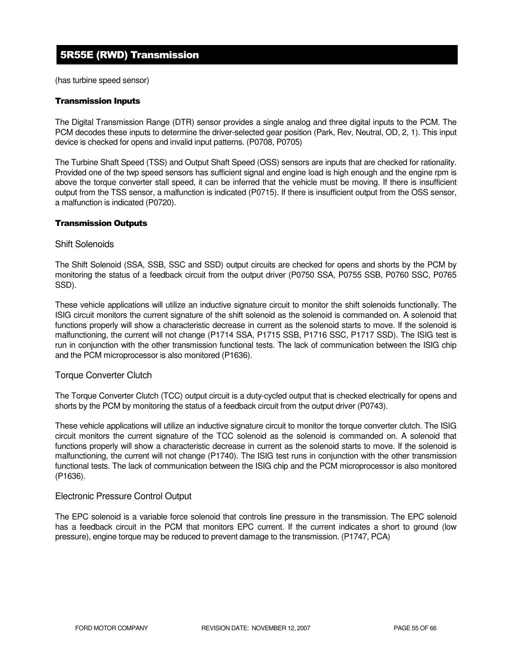# 5R55E (RWD) Transmission

(has turbine speed sensor)

## Transmission Inputs

The Digital Transmission Range (DTR) sensor provides a single analog and three digital inputs to the PCM. The PCM decodes these inputs to determine the driver-selected gear position (Park, Rev, Neutral, OD, 2, 1). This input device is checked for opens and invalid input patterns. (P0708, P0705)

The Turbine Shaft Speed (TSS) and Output Shaft Speed (OSS) sensors are inputs that are checked for rationality. Provided one of the twp speed sensors has sufficient signal and engine load is high enough and the engine rpm is above the torque converter stall speed, it can be inferred that the vehicle must be moving. If there is insufficient output from the TSS sensor, a malfunction is indicated (P0715). If there is insufficient output from the OSS sensor, a malfunction is indicated (P0720).

## Transmission Outputs

## Shift Solenoids

The Shift Solenoid (SSA, SSB, SSC and SSD) output circuits are checked for opens and shorts by the PCM by monitoring the status of a feedback circuit from the output driver (P0750 SSA, P0755 SSB, P0760 SSC, P0765 SSD).

These vehicle applications will utilize an inductive signature circuit to monitor the shift solenoids functionally. The ISIG circuit monitors the current signature of the shift solenoid as the solenoid is commanded on. A solenoid that functions properly will show a characteristic decrease in current as the solenoid starts to move. If the solenoid is malfunctioning, the current will not change (P1714 SSA, P1715 SSB, P1716 SSC, P1717 SSD). The ISIG test is run in conjunction with the other transmission functional tests. The lack of communication between the ISIG chip and the PCM microprocessor is also monitored (P1636).

## Torque Converter Clutch

The Torque Converter Clutch (TCC) output circuit is a duty-cycled output that is checked electrically for opens and shorts by the PCM by monitoring the status of a feedback circuit from the output driver (P0743).

These vehicle applications will utilize an inductive signature circuit to monitor the torque converter clutch. The ISIG circuit monitors the current signature of the TCC solenoid as the solenoid is commanded on. A solenoid that functions properly will show a characteristic decrease in current as the solenoid starts to move. If the solenoid is malfunctioning, the current will not change (P1740). The ISIG test runs in conjunction with the other transmission functional tests. The lack of communication between the ISIG chip and the PCM microprocessor is also monitored (P1636).

## Electronic Pressure Control Output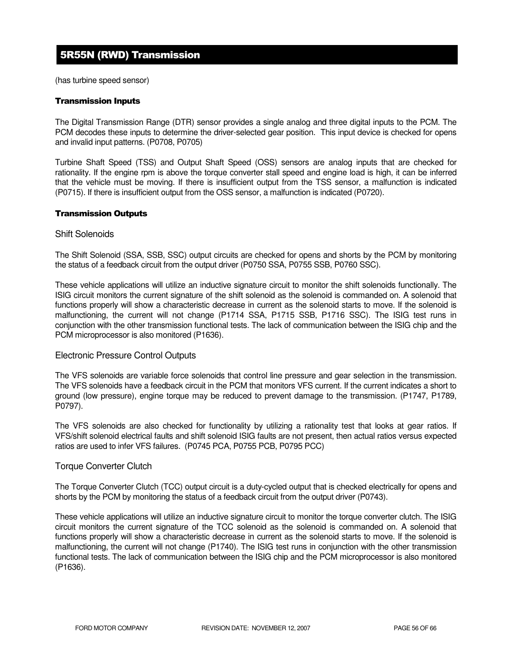# 5R55N (RWD) Transmission

(has turbine speed sensor)

#### Transmission Inputs

The Digital Transmission Range (DTR) sensor provides a single analog and three digital inputs to the PCM. The PCM decodes these inputs to determine the driver-selected gear position. This input device is checked for opens and invalid input patterns. (P0708, P0705)

Turbine Shaft Speed (TSS) and Output Shaft Speed (OSS) sensors are analog inputs that are checked for rationality. If the engine rpm is above the torque converter stall speed and engine load is high, it can be inferred that the vehicle must be moving. If there is insufficient output from the TSS sensor, a malfunction is indicated (P0715). If there is insufficient output from the OSS sensor, a malfunction is indicated (P0720).

#### Transmission Outputs

#### Shift Solenoids

The Shift Solenoid (SSA, SSB, SSC) output circuits are checked for opens and shorts by the PCM by monitoring the status of a feedback circuit from the output driver (P0750 SSA, P0755 SSB, P0760 SSC).

These vehicle applications will utilize an inductive signature circuit to monitor the shift solenoids functionally. The ISIG circuit monitors the current signature of the shift solenoid as the solenoid is commanded on. A solenoid that functions properly will show a characteristic decrease in current as the solenoid starts to move. If the solenoid is malfunctioning, the current will not change (P1714 SSA, P1715 SSB, P1716 SSC). The ISIG test runs in conjunction with the other transmission functional tests. The lack of communication between the ISIG chip and the PCM microprocessor is also monitored (P1636).

## Electronic Pressure Control Outputs

The VFS solenoids are variable force solenoids that control line pressure and gear selection in the transmission. The VFS solenoids have a feedback circuit in the PCM that monitors VFS current. If the current indicates a short to ground (low pressure), engine torque may be reduced to prevent damage to the transmission. (P1747, P1789, P0797).

The VFS solenoids are also checked for functionality by utilizing a rationality test that looks at gear ratios. If VFS/shift solenoid electrical faults and shift solenoid ISIG faults are not present, then actual ratios versus expected ratios are used to infer VFS failures. (P0745 PCA, P0755 PCB, P0795 PCC)

## Torque Converter Clutch

The Torque Converter Clutch (TCC) output circuit is a duty-cycled output that is checked electrically for opens and shorts by the PCM by monitoring the status of a feedback circuit from the output driver (P0743).

These vehicle applications will utilize an inductive signature circuit to monitor the torque converter clutch. The ISIG circuit monitors the current signature of the TCC solenoid as the solenoid is commanded on. A solenoid that functions properly will show a characteristic decrease in current as the solenoid starts to move. If the solenoid is malfunctioning, the current will not change (P1740). The ISIG test runs in conjunction with the other transmission functional tests. The lack of communication between the ISIG chip and the PCM microprocessor is also monitored (P1636).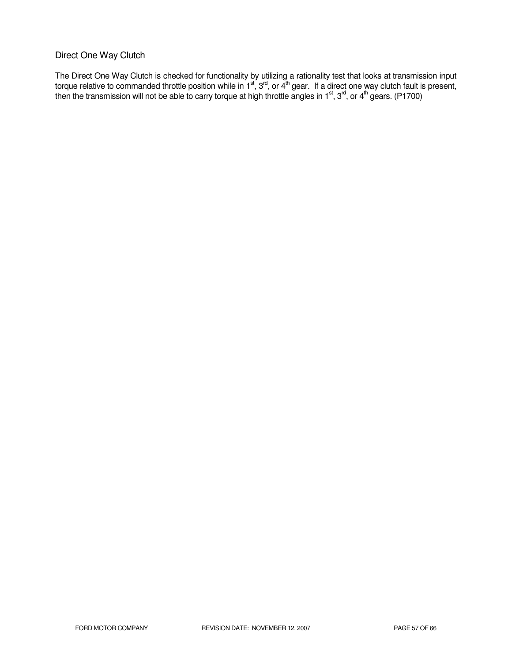# Direct One Way Clutch

The Direct One Way Clutch is checked for functionality by utilizing a rationality test that looks at transmission input torque relative to commanded throttle position while in 1<sup>st</sup>, 3<sup>rd</sup>, or 4<sup>th</sup> gear. If a direct one way clutch fault is present, then the transmission will not be able to carry torque at high throttle angles in 1<sup>st</sup>, 3<sup>rd</sup>, or 4<sup>th</sup> gears. (P1700)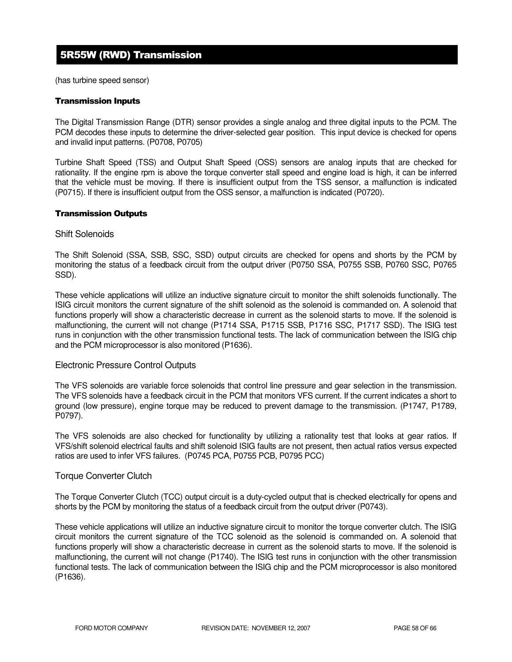# 5R55W (RWD) Transmission

(has turbine speed sensor)

#### Transmission Inputs

The Digital Transmission Range (DTR) sensor provides a single analog and three digital inputs to the PCM. The PCM decodes these inputs to determine the driver-selected gear position. This input device is checked for opens and invalid input patterns. (P0708, P0705)

Turbine Shaft Speed (TSS) and Output Shaft Speed (OSS) sensors are analog inputs that are checked for rationality. If the engine rpm is above the torque converter stall speed and engine load is high, it can be inferred that the vehicle must be moving. If there is insufficient output from the TSS sensor, a malfunction is indicated (P0715). If there is insufficient output from the OSS sensor, a malfunction is indicated (P0720).

#### Transmission Outputs

#### Shift Solenoids

The Shift Solenoid (SSA, SSB, SSC, SSD) output circuits are checked for opens and shorts by the PCM by monitoring the status of a feedback circuit from the output driver (P0750 SSA, P0755 SSB, P0760 SSC, P0765 SSD).

These vehicle applications will utilize an inductive signature circuit to monitor the shift solenoids functionally. The ISIG circuit monitors the current signature of the shift solenoid as the solenoid is commanded on. A solenoid that functions properly will show a characteristic decrease in current as the solenoid starts to move. If the solenoid is malfunctioning, the current will not change (P1714 SSA, P1715 SSB, P1716 SSC, P1717 SSD). The ISIG test runs in conjunction with the other transmission functional tests. The lack of communication between the ISIG chip and the PCM microprocessor is also monitored (P1636).

## Electronic Pressure Control Outputs

The VFS solenoids are variable force solenoids that control line pressure and gear selection in the transmission. The VFS solenoids have a feedback circuit in the PCM that monitors VFS current. If the current indicates a short to ground (low pressure), engine torque may be reduced to prevent damage to the transmission. (P1747, P1789, P0797).

The VFS solenoids are also checked for functionality by utilizing a rationality test that looks at gear ratios. If VFS/shift solenoid electrical faults and shift solenoid ISIG faults are not present, then actual ratios versus expected ratios are used to infer VFS failures. (P0745 PCA, P0755 PCB, P0795 PCC)

## Torque Converter Clutch

The Torque Converter Clutch (TCC) output circuit is a duty-cycled output that is checked electrically for opens and shorts by the PCM by monitoring the status of a feedback circuit from the output driver (P0743).

These vehicle applications will utilize an inductive signature circuit to monitor the torque converter clutch. The ISIG circuit monitors the current signature of the TCC solenoid as the solenoid is commanded on. A solenoid that functions properly will show a characteristic decrease in current as the solenoid starts to move. If the solenoid is malfunctioning, the current will not change (P1740). The ISIG test runs in conjunction with the other transmission functional tests. The lack of communication between the ISIG chip and the PCM microprocessor is also monitored (P1636).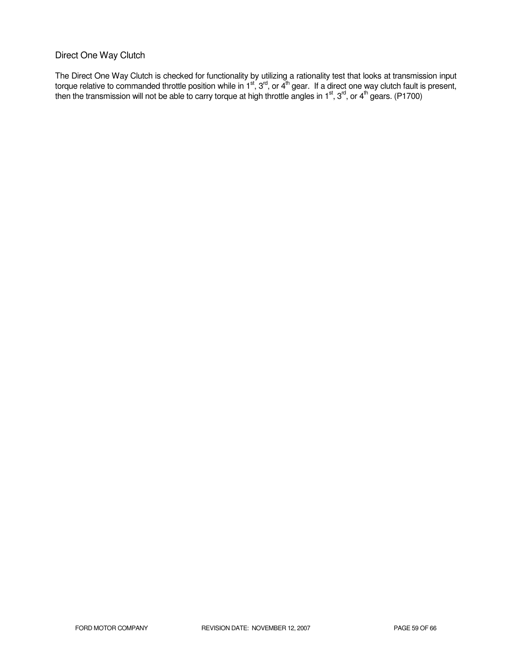# Direct One Way Clutch

The Direct One Way Clutch is checked for functionality by utilizing a rationality test that looks at transmission input torque relative to commanded throttle position while in 1<sup>st</sup>, 3<sup>rd</sup>, or 4<sup>th</sup> gear. If a direct one way clutch fault is present, then the transmission will not be able to carry torque at high throttle angles in 1<sup>st</sup>, 3<sup>rd</sup>, or 4<sup>th</sup> gears. (P1700)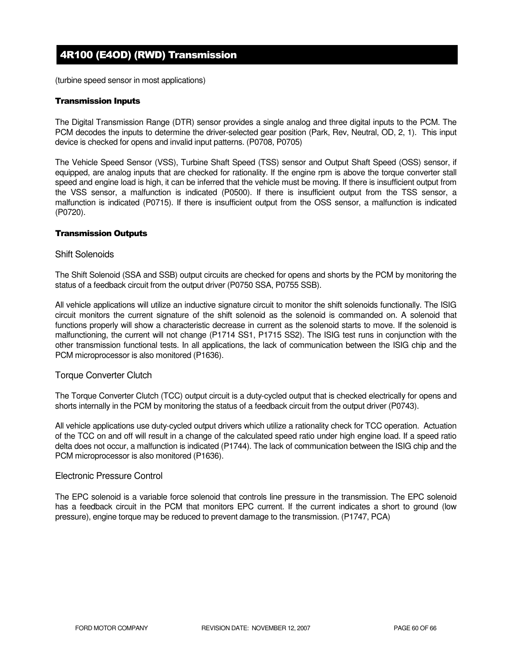# 4R100 (E4OD) (RWD) Transmission

(turbine speed sensor in most applications)

## Transmission Inputs

The Digital Transmission Range (DTR) sensor provides a single analog and three digital inputs to the PCM. The PCM decodes the inputs to determine the driver-selected gear position (Park, Rev, Neutral, OD, 2, 1). This input device is checked for opens and invalid input patterns. (P0708, P0705)

The Vehicle Speed Sensor (VSS), Turbine Shaft Speed (TSS) sensor and Output Shaft Speed (OSS) sensor, if equipped, are analog inputs that are checked for rationality. If the engine rpm is above the torque converter stall speed and engine load is high, it can be inferred that the vehicle must be moving. If there is insufficient output from the VSS sensor, a malfunction is indicated (P0500). If there is insufficient output from the TSS sensor, a malfunction is indicated (P0715). If there is insufficient output from the OSS sensor, a malfunction is indicated (P0720).

## Transmission Outputs

#### Shift Solenoids

The Shift Solenoid (SSA and SSB) output circuits are checked for opens and shorts by the PCM by monitoring the status of a feedback circuit from the output driver (P0750 SSA, P0755 SSB).

All vehicle applications will utilize an inductive signature circuit to monitor the shift solenoids functionally. The ISIG circuit monitors the current signature of the shift solenoid as the solenoid is commanded on. A solenoid that functions properly will show a characteristic decrease in current as the solenoid starts to move. If the solenoid is malfunctioning, the current will not change (P1714 SS1, P1715 SS2). The ISIG test runs in conjunction with the other transmission functional tests. In all applications, the lack of communication between the ISIG chip and the PCM microprocessor is also monitored (P1636).

## Torque Converter Clutch

The Torque Converter Clutch (TCC) output circuit is a duty-cycled output that is checked electrically for opens and shorts internally in the PCM by monitoring the status of a feedback circuit from the output driver (P0743).

All vehicle applications use duty-cycled output drivers which utilize a rationality check for TCC operation. Actuation of the TCC on and off will result in a change of the calculated speed ratio under high engine load. If a speed ratio delta does not occur, a malfunction is indicated (P1744). The lack of communication between the ISIG chip and the PCM microprocessor is also monitored (P1636).

## Electronic Pressure Control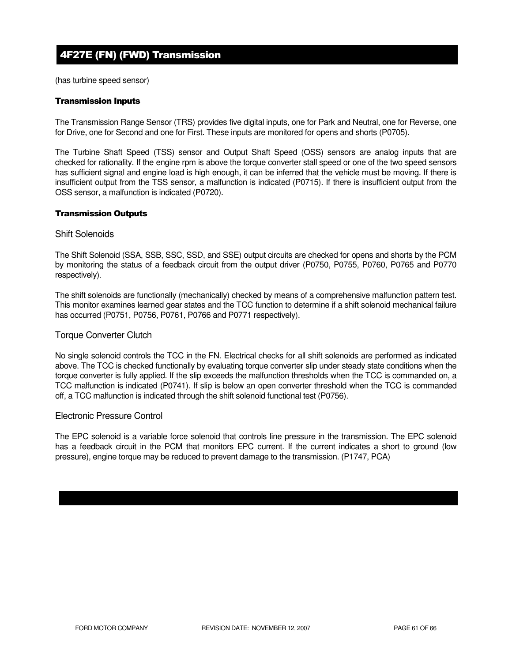# 4F27E (FN) (FWD) Transmission

(has turbine speed sensor)

## Transmission Inputs

The Transmission Range Sensor (TRS) provides five digital inputs, one for Park and Neutral, one for Reverse, one for Drive, one for Second and one for First. These inputs are monitored for opens and shorts (P0705).

The Turbine Shaft Speed (TSS) sensor and Output Shaft Speed (OSS) sensors are analog inputs that are checked for rationality. If the engine rpm is above the torque converter stall speed or one of the two speed sensors has sufficient signal and engine load is high enough, it can be inferred that the vehicle must be moving. If there is insufficient output from the TSS sensor, a malfunction is indicated (P0715). If there is insufficient output from the OSS sensor, a malfunction is indicated (P0720).

#### Transmission Outputs

#### Shift Solenoids

The Shift Solenoid (SSA, SSB, SSC, SSD, and SSE) output circuits are checked for opens and shorts by the PCM by monitoring the status of a feedback circuit from the output driver (P0750, P0755, P0760, P0765 and P0770 respectively).

The shift solenoids are functionally (mechanically) checked by means of a comprehensive malfunction pattern test. This monitor examines learned gear states and the TCC function to determine if a shift solenoid mechanical failure has occurred (P0751, P0756, P0761, P0766 and P0771 respectively).

## Torque Converter Clutch

No single solenoid controls the TCC in the FN. Electrical checks for all shift solenoids are performed as indicated above. The TCC is checked functionally by evaluating torque converter slip under steady state conditions when the torque converter is fully applied. If the slip exceeds the malfunction thresholds when the TCC is commanded on, a TCC malfunction is indicated (P0741). If slip is below an open converter threshold when the TCC is commanded off, a TCC malfunction is indicated through the shift solenoid functional test (P0756).

## Electronic Pressure Control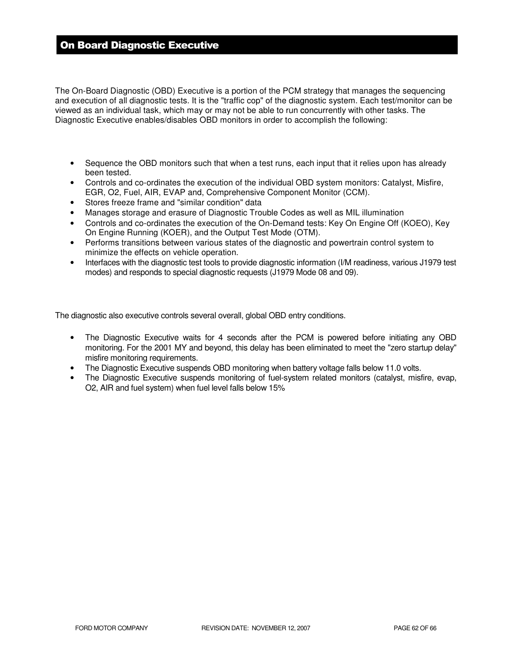# On Board Diagnostic Executive

The On-Board Diagnostic (OBD) Executive is a portion of the PCM strategy that manages the sequencing and execution of all diagnostic tests. It is the "traffic cop" of the diagnostic system. Each test/monitor can be viewed as an individual task, which may or may not be able to run concurrently with other tasks. The Diagnostic Executive enables/disables OBD monitors in order to accomplish the following:

- Sequence the OBD monitors such that when a test runs, each input that it relies upon has already been tested.
- Controls and co-ordinates the execution of the individual OBD system monitors: Catalyst, Misfire, EGR, O2, Fuel, AIR, EVAP and, Comprehensive Component Monitor (CCM).
- Stores freeze frame and "similar condition" data
- Manages storage and erasure of Diagnostic Trouble Codes as well as MIL illumination
- Controls and co-ordinates the execution of the On-Demand tests: Key On Engine Off (KOEO), Key On Engine Running (KOER), and the Output Test Mode (OTM).
- Performs transitions between various states of the diagnostic and powertrain control system to minimize the effects on vehicle operation.
- Interfaces with the diagnostic test tools to provide diagnostic information (I/M readiness, various J1979 test modes) and responds to special diagnostic requests (J1979 Mode 08 and 09).

The diagnostic also executive controls several overall, global OBD entry conditions.

- The Diagnostic Executive waits for 4 seconds after the PCM is powered before initiating any OBD monitoring. For the 2001 MY and beyond, this delay has been eliminated to meet the "zero startup delay" misfire monitoring requirements.
- The Diagnostic Executive suspends OBD monitoring when battery voltage falls below 11.0 volts.
- The Diagnostic Executive suspends monitoring of fuel-system related monitors (catalyst, misfire, evap, O2, AIR and fuel system) when fuel level falls below 15%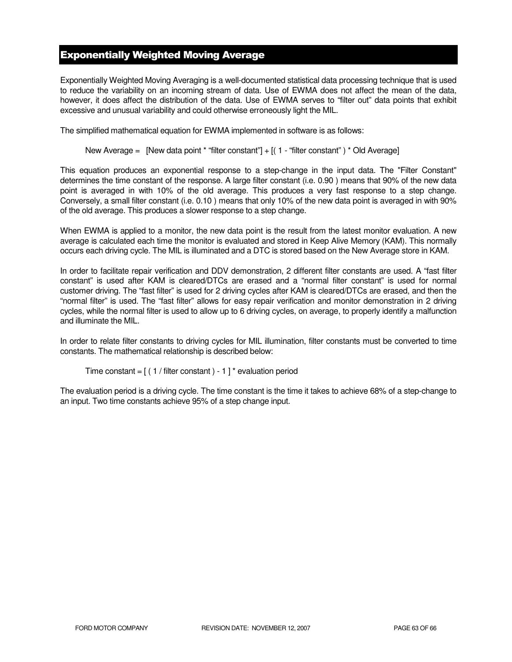# Exponentially Weighted Moving Average

Exponentially Weighted Moving Averaging is a well-documented statistical data processing technique that is used to reduce the variability on an incoming stream of data. Use of EWMA does not affect the mean of the data, however, it does affect the distribution of the data. Use of EWMA serves to "filter out" data points that exhibit excessive and unusual variability and could otherwise erroneously light the MIL.

The simplified mathematical equation for EWMA implemented in software is as follows:

New Average = [New data point \* "filter constant"] + [( 1 - "filter constant") \* Old Average]

This equation produces an exponential response to a step-change in the input data. The "Filter Constant" determines the time constant of the response. A large filter constant (i.e. 0.90 ) means that 90% of the new data point is averaged in with 10% of the old average. This produces a very fast response to a step change. Conversely, a small filter constant (i.e. 0.10 ) means that only 10% of the new data point is averaged in with 90% of the old average. This produces a slower response to a step change.

When EWMA is applied to a monitor, the new data point is the result from the latest monitor evaluation. A new average is calculated each time the monitor is evaluated and stored in Keep Alive Memory (KAM). This normally occurs each driving cycle. The MIL is illuminated and a DTC is stored based on the New Average store in KAM.

In order to facilitate repair verification and DDV demonstration, 2 different filter constants are used. A "fast filter constant" is used after KAM is cleared/DTCs are erased and a "normal filter constant" is used for normal customer driving. The "fast filter" is used for 2 driving cycles after KAM is cleared/DTCs are erased, and then the "normal filter" is used. The "fast filter" allows for easy repair verification and monitor demonstration in 2 driving cycles, while the normal filter is used to allow up to 6 driving cycles, on average, to properly identify a malfunction and illuminate the MIL.

In order to relate filter constants to driving cycles for MIL illumination, filter constants must be converted to time constants. The mathematical relationship is described below:

```
Time constant = [(1 / \text{filter constant}) - 1]^* evaluation period
```
The evaluation period is a driving cycle. The time constant is the time it takes to achieve 68% of a step-change to an input. Two time constants achieve 95% of a step change input.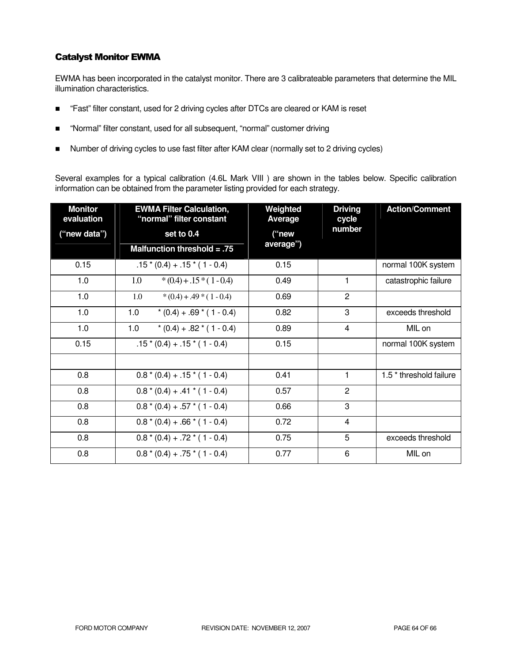# Catalyst Monitor EWMA

EWMA has been incorporated in the catalyst monitor. There are 3 calibrateable parameters that determine the MIL illumination characteristics.

- "Fast" filter constant, used for 2 driving cycles after DTCs are cleared or KAM is reset
- "Normal" filter constant, used for all subsequent, "normal" customer driving
- Number of driving cycles to use fast filter after KAM clear (normally set to 2 driving cycles)

Several examples for a typical calibration (4.6L Mark VIII ) are shown in the tables below. Specific calibration information can be obtained from the parameter listing provided for each strategy.

| <b>Monitor</b><br>evaluation | <b>EWMA Filter Calculation,</b><br>"normal" filter constant | Weighted<br><b>Average</b> | <b>Driving</b><br>cycle | <b>Action/Comment</b>              |
|------------------------------|-------------------------------------------------------------|----------------------------|-------------------------|------------------------------------|
| ("new data")                 | set to 0.4                                                  | ("new                      | number                  |                                    |
|                              | Malfunction threshold $= .75$                               | average")                  |                         |                                    |
| 0.15                         | $.15*(0.4) + .15*(1 - 0.4)$                                 | 0.15                       |                         | normal 100K system                 |
| 1.0                          | $*(0.4) + .15*(1 - 0.4)$<br>1.0                             | 0.49                       | 1                       | catastrophic failure               |
| 1.0                          | 1.0<br>$*(0.4) + .49 * (1 - 0.4)$                           | 0.69                       | $\overline{2}$          |                                    |
| 1.0                          | 1.0<br>$*(0.4) + .69 * (1 - 0.4)$                           | 0.82                       | 3                       | exceeds threshold                  |
| 1.0                          | 1.0<br>$*(0.4) + .82 * (1 - 0.4)$                           | 0.89                       | 4                       | MIL on                             |
| 0.15                         | $.15*(0.4) + .15*(1 - 0.4)$                                 | 0.15                       |                         | normal 100K system                 |
|                              |                                                             |                            |                         |                                    |
| 0.8                          | $0.8*(0.4) + .15*(1 - 0.4)$                                 | 0.41                       | 1                       | 1.5 <sup>*</sup> threshold failure |
| 0.8                          | $0.8*(0.4) + .41*(1 - 0.4)$                                 | 0.57                       | $\overline{2}$          |                                    |
| 0.8                          | $0.8*(0.4) + .57*(1 - 0.4)$                                 | 0.66                       | 3                       |                                    |
| 0.8                          | $0.8*(0.4) + .66*(1 - 0.4)$                                 | 0.72                       | 4                       |                                    |
| 0.8                          | $0.8*(0.4) + .72*(1 - 0.4)$                                 | 0.75                       | 5                       | exceeds threshold                  |
| 0.8                          | $0.8*(0.4) + .75*(1 - 0.4)$                                 | 0.77                       | 6                       | MIL on                             |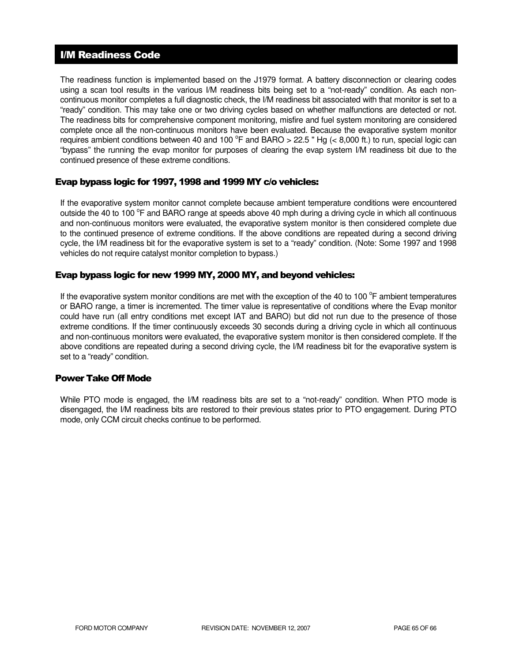# I/M Readiness Code

The readiness function is implemented based on the J1979 format. A battery disconnection or clearing codes using a scan tool results in the various I/M readiness bits being set to a "not-ready" condition. As each noncontinuous monitor completes a full diagnostic check, the I/M readiness bit associated with that monitor is set to a "ready" condition. This may take one or two driving cycles based on whether malfunctions are detected or not. The readiness bits for comprehensive component monitoring, misfire and fuel system monitoring are considered complete once all the non-continuous monitors have been evaluated. Because the evaporative system monitor requires ambient conditions between 40 and 100  $^{\circ}$ F and BARO > 22.5 " Hg (< 8,000 ft.) to run, special logic can "bypass" the running the evap monitor for purposes of clearing the evap system I/M readiness bit due to the continued presence of these extreme conditions.

# Evap bypass logic for 1997, 1998 and 1999 MY c/o vehicles:

If the evaporative system monitor cannot complete because ambient temperature conditions were encountered outside the 40 to 100 °F and BARO range at speeds above 40 mph during a driving cycle in which all continuous and non-continuous monitors were evaluated, the evaporative system monitor is then considered complete due to the continued presence of extreme conditions. If the above conditions are repeated during a second driving cycle, the I/M readiness bit for the evaporative system is set to a "ready" condition. (Note: Some 1997 and 1998 vehicles do not require catalyst monitor completion to bypass.)

# Evap bypass logic for new 1999 MY, 2000 MY, and beyond vehicles:

If the evaporative system monitor conditions are met with the exception of the 40 to 100 $^{\circ}$ F ambient temperatures or BARO range, a timer is incremented. The timer value is representative of conditions where the Evap monitor could have run (all entry conditions met except IAT and BARO) but did not run due to the presence of those extreme conditions. If the timer continuously exceeds 30 seconds during a driving cycle in which all continuous and non-continuous monitors were evaluated, the evaporative system monitor is then considered complete. If the above conditions are repeated during a second driving cycle, the I/M readiness bit for the evaporative system is set to a "ready" condition.

# Power Take Off Mode

While PTO mode is engaged, the I/M readiness bits are set to a "not-ready" condition. When PTO mode is disengaged, the I/M readiness bits are restored to their previous states prior to PTO engagement. During PTO mode, only CCM circuit checks continue to be performed.